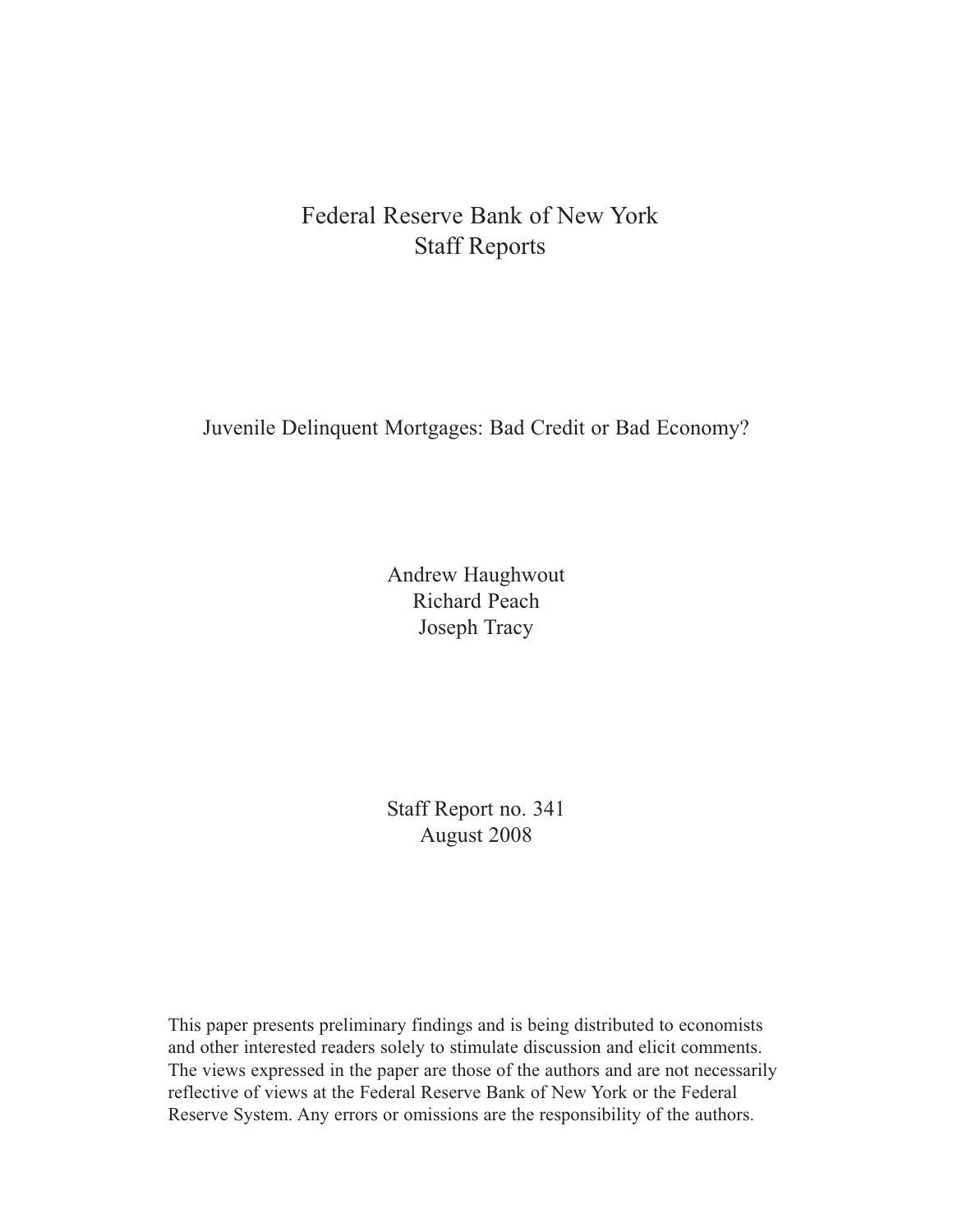# Federal Reserve Bank of New York Staff Reports

Juvenile Delinquent Mortgages: Bad Credit or Bad Economy?

Andrew Haughwout Richard Peach Joseph Tracy

Staff Report no. 341 August 2008

This paper presents preliminary findings and is being distributed to economists and other interested readers solely to stimulate discussion and elicit comments. The views expressed in the paper are those of the authors and are not necessarily reflective of views at the Federal Reserve Bank of New York or the Federal Reserve System. Any errors or omissions are the responsibility of the authors.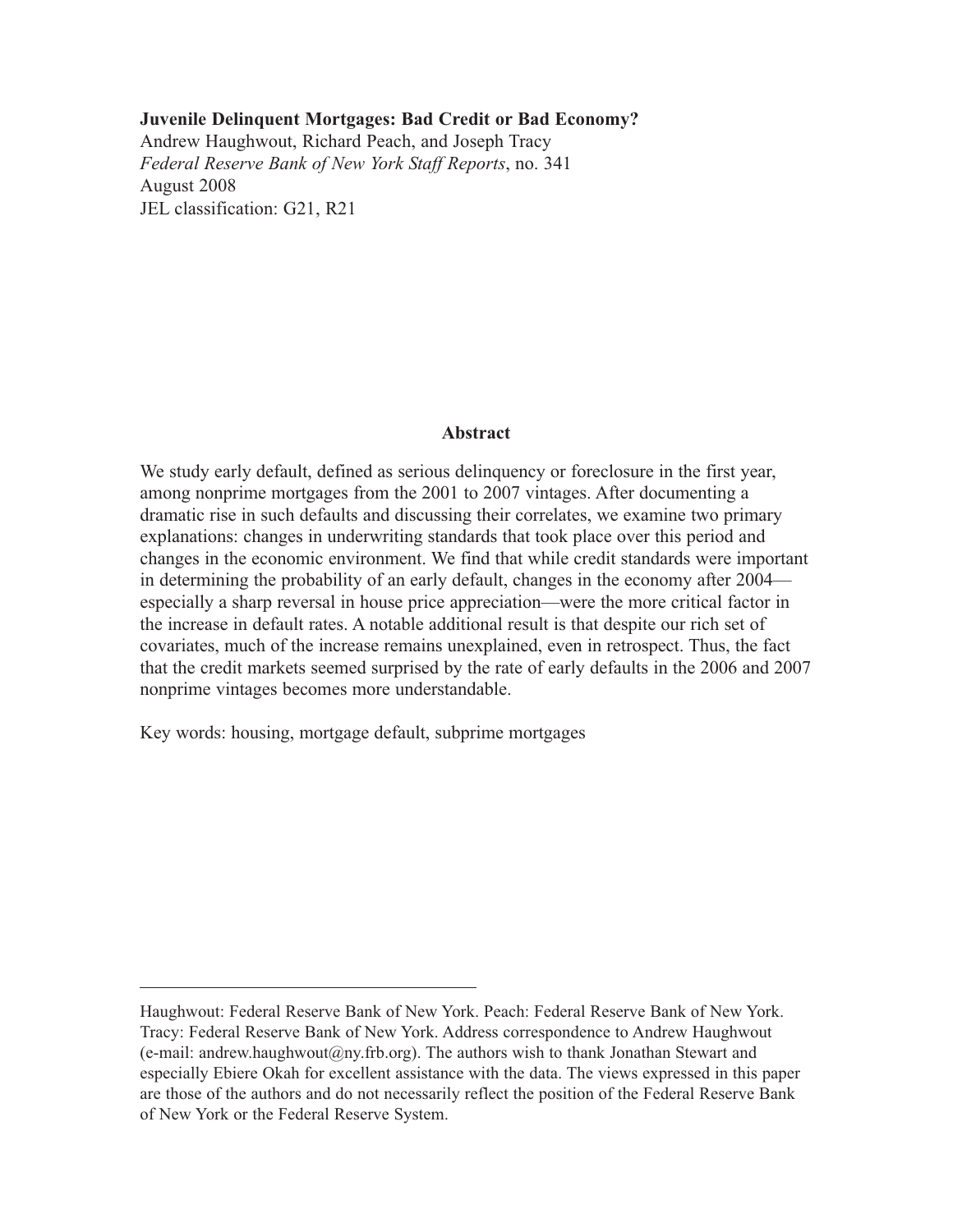#### **Juvenile Delinquent Mortgages: Bad Credit or Bad Economy?**

Andrew Haughwout, Richard Peach, and Joseph Tracy *Federal Reserve Bank of New York Staff Reports*, no. 341 August 2008 JEL classification: G21, R21

#### **Abstract**

We study early default, defined as serious delinquency or foreclosure in the first year, among nonprime mortgages from the 2001 to 2007 vintages. After documenting a dramatic rise in such defaults and discussing their correlates, we examine two primary explanations: changes in underwriting standards that took place over this period and changes in the economic environment. We find that while credit standards were important in determining the probability of an early default, changes in the economy after 2004 especially a sharp reversal in house price appreciation—were the more critical factor in the increase in default rates. A notable additional result is that despite our rich set of covariates, much of the increase remains unexplained, even in retrospect. Thus, the fact that the credit markets seemed surprised by the rate of early defaults in the 2006 and 2007 nonprime vintages becomes more understandable.

Key words: housing, mortgage default, subprime mortgages

Haughwout: Federal Reserve Bank of New York. Peach: Federal Reserve Bank of New York. Tracy: Federal Reserve Bank of New York. Address correspondence to Andrew Haughwout (e-mail: andrew.haughwout@ny.frb.org). The authors wish to thank Jonathan Stewart and especially Ebiere Okah for excellent assistance with the data. The views expressed in this paper are those of the authors and do not necessarily reflect the position of the Federal Reserve Bank of New York or the Federal Reserve System.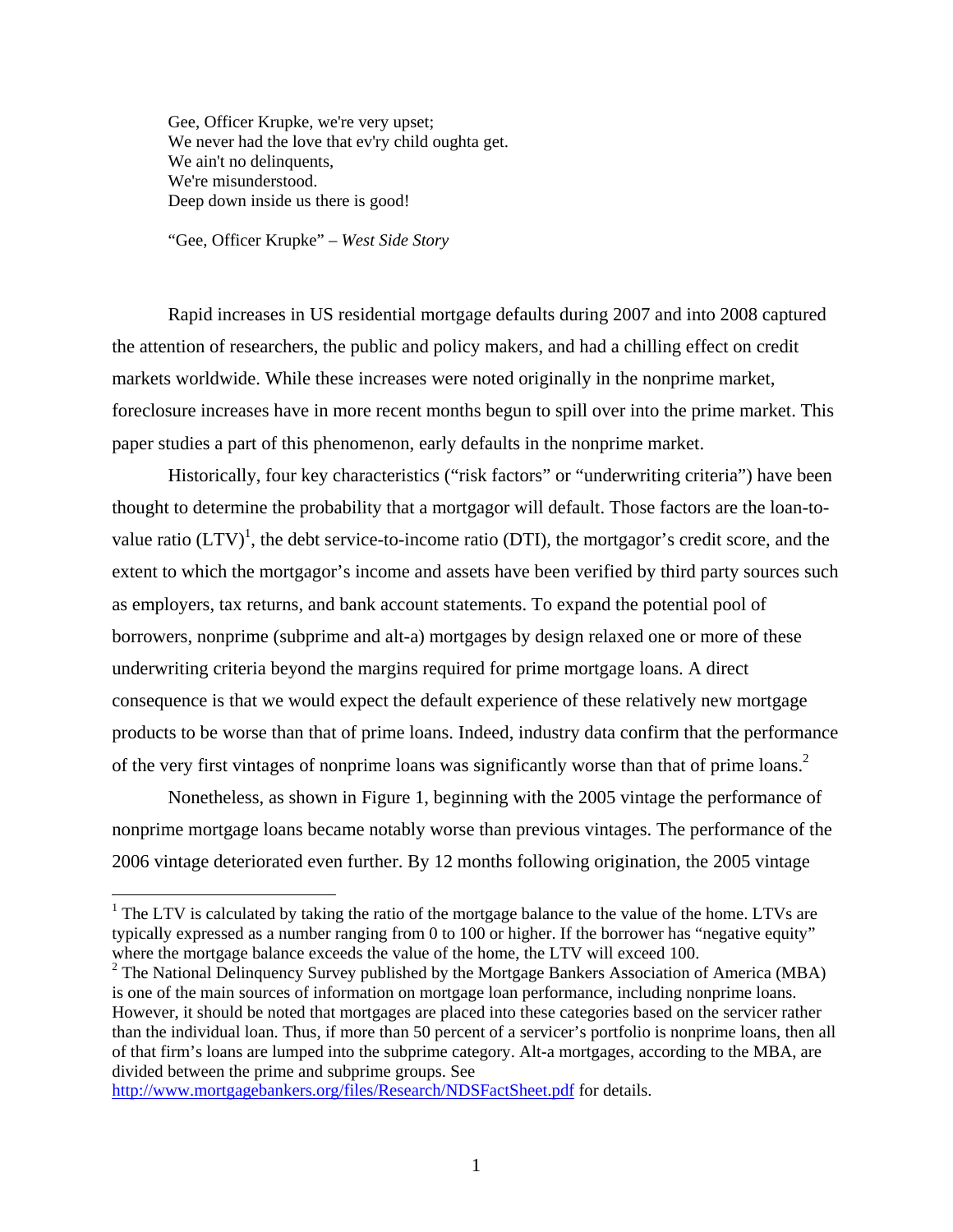Gee, Officer Krupke, we're very upset; We never had the love that ev'ry child oughta get. We ain't no delinquents, We're misunderstood. Deep down inside us there is good!

"Gee, Officer Krupke" – *West Side Story*

Rapid increases in US residential mortgage defaults during 2007 and into 2008 captured the attention of researchers, the public and policy makers, and had a chilling effect on credit markets worldwide. While these increases were noted originally in the nonprime market, foreclosure increases have in more recent months begun to spill over into the prime market. This paper studies a part of this phenomenon, early defaults in the nonprime market.

Historically, four key characteristics ("risk factors" or "underwriting criteria") have been thought to determine the probability that a mortgagor will default. Those factors are the loan-tovalue ratio  $(LTV)^1$ , the debt service-to-income ratio (DTI), the mortgagor's credit score, and the extent to which the mortgagor's income and assets have been verified by third party sources such as employers, tax returns, and bank account statements. To expand the potential pool of borrowers, nonprime (subprime and alt-a) mortgages by design relaxed one or more of these underwriting criteria beyond the margins required for prime mortgage loans. A direct consequence is that we would expect the default experience of these relatively new mortgage products to be worse than that of prime loans. Indeed, industry data confirm that the performance of the very first vintages of nonprime loans was significantly worse than that of prime loans.<sup>2</sup>

Nonetheless, as shown in Figure 1, beginning with the 2005 vintage the performance of nonprime mortgage loans became notably worse than previous vintages. The performance of the 2006 vintage deteriorated even further. By 12 months following origination, the 2005 vintage

http://www.mortgagebankers.org/files/Research/NDSFactSheet.pdf for details.

 $1$  The LTV is calculated by taking the ratio of the mortgage balance to the value of the home. LTVs are typically expressed as a number ranging from 0 to 100 or higher. If the borrower has "negative equity" where the mortgage balance exceeds the value of the home, the LTV will exceed 100.

<sup>&</sup>lt;sup>2</sup> The National Delinquency Survey published by the Mortgage Bankers Association of America (MBA) is one of the main sources of information on mortgage loan performance, including nonprime loans. However, it should be noted that mortgages are placed into these categories based on the servicer rather than the individual loan. Thus, if more than 50 percent of a servicer's portfolio is nonprime loans, then all of that firm's loans are lumped into the subprime category. Alt-a mortgages, according to the MBA, are divided between the prime and subprime groups. See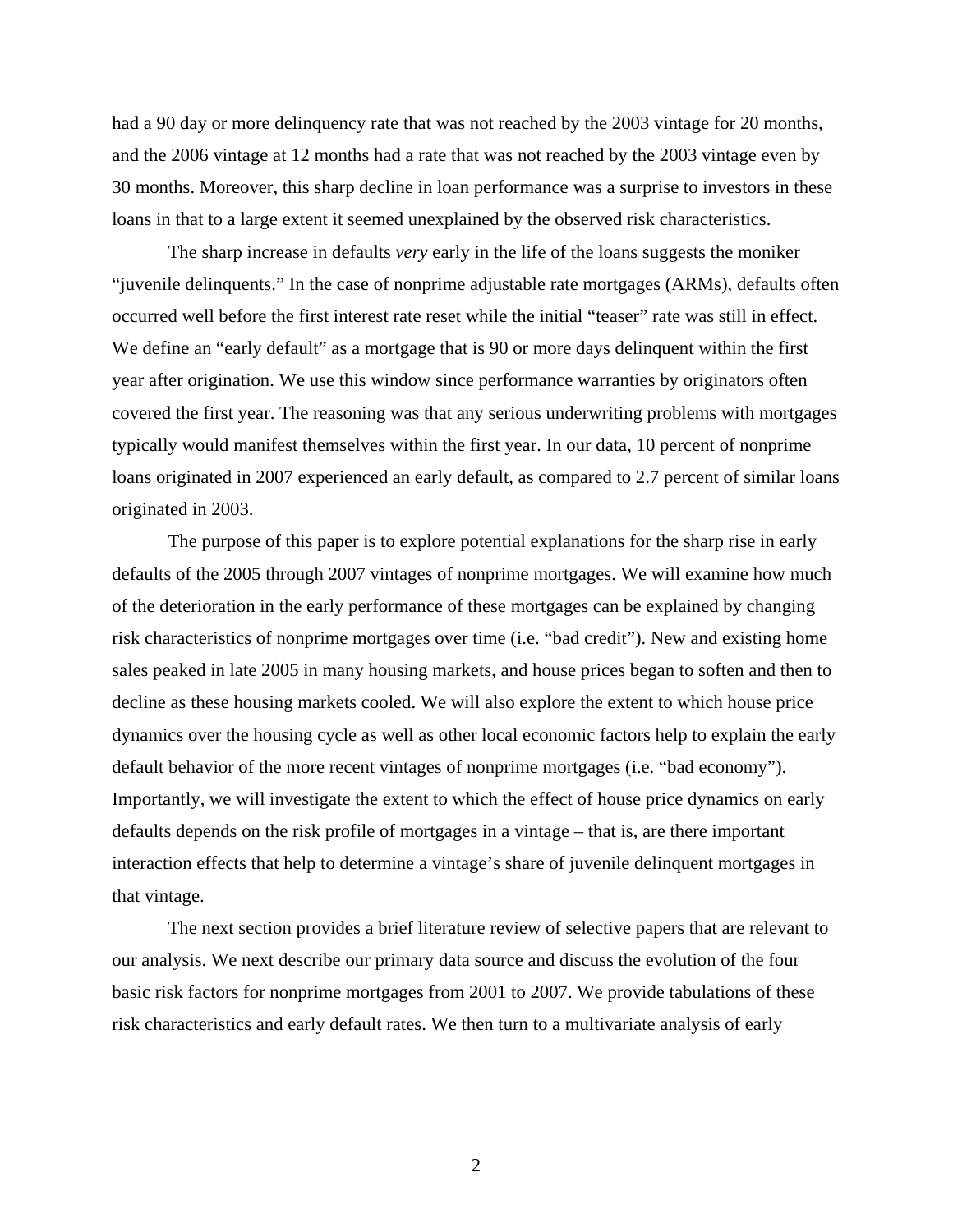had a 90 day or more delinquency rate that was not reached by the 2003 vintage for 20 months, and the 2006 vintage at 12 months had a rate that was not reached by the 2003 vintage even by 30 months. Moreover, this sharp decline in loan performance was a surprise to investors in these loans in that to a large extent it seemed unexplained by the observed risk characteristics.

The sharp increase in defaults *very* early in the life of the loans suggests the moniker "juvenile delinquents." In the case of nonprime adjustable rate mortgages (ARMs), defaults often occurred well before the first interest rate reset while the initial "teaser" rate was still in effect. We define an "early default" as a mortgage that is 90 or more days delinquent within the first year after origination. We use this window since performance warranties by originators often covered the first year. The reasoning was that any serious underwriting problems with mortgages typically would manifest themselves within the first year. In our data, 10 percent of nonprime loans originated in 2007 experienced an early default, as compared to 2.7 percent of similar loans originated in 2003.

The purpose of this paper is to explore potential explanations for the sharp rise in early defaults of the 2005 through 2007 vintages of nonprime mortgages. We will examine how much of the deterioration in the early performance of these mortgages can be explained by changing risk characteristics of nonprime mortgages over time (i.e. "bad credit"). New and existing home sales peaked in late 2005 in many housing markets, and house prices began to soften and then to decline as these housing markets cooled. We will also explore the extent to which house price dynamics over the housing cycle as well as other local economic factors help to explain the early default behavior of the more recent vintages of nonprime mortgages (i.e. "bad economy"). Importantly, we will investigate the extent to which the effect of house price dynamics on early defaults depends on the risk profile of mortgages in a vintage – that is, are there important interaction effects that help to determine a vintage's share of juvenile delinquent mortgages in that vintage.

 The next section provides a brief literature review of selective papers that are relevant to our analysis. We next describe our primary data source and discuss the evolution of the four basic risk factors for nonprime mortgages from 2001 to 2007. We provide tabulations of these risk characteristics and early default rates. We then turn to a multivariate analysis of early

2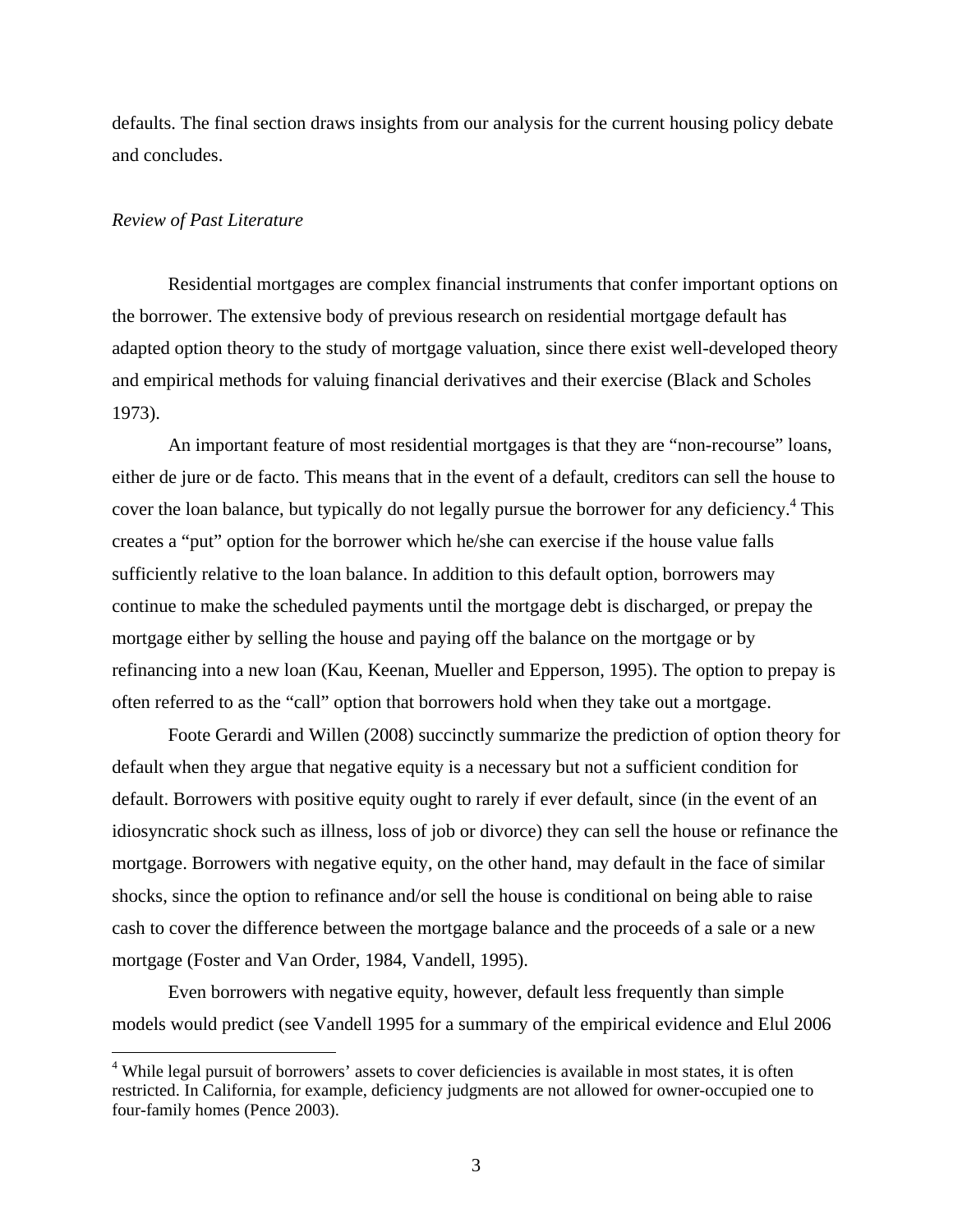defaults. The final section draws insights from our analysis for the current housing policy debate and concludes.

#### *Review of Past Literature*

1

Residential mortgages are complex financial instruments that confer important options on the borrower. The extensive body of previous research on residential mortgage default has adapted option theory to the study of mortgage valuation, since there exist well-developed theory and empirical methods for valuing financial derivatives and their exercise (Black and Scholes 1973).

An important feature of most residential mortgages is that they are "non-recourse" loans, either de jure or de facto. This means that in the event of a default, creditors can sell the house to cover the loan balance, but typically do not legally pursue the borrower for any deficiency.<sup>4</sup> This creates a "put" option for the borrower which he/she can exercise if the house value falls sufficiently relative to the loan balance. In addition to this default option, borrowers may continue to make the scheduled payments until the mortgage debt is discharged, or prepay the mortgage either by selling the house and paying off the balance on the mortgage or by refinancing into a new loan (Kau, Keenan, Mueller and Epperson, 1995). The option to prepay is often referred to as the "call" option that borrowers hold when they take out a mortgage.

Foote Gerardi and Willen (2008) succinctly summarize the prediction of option theory for default when they argue that negative equity is a necessary but not a sufficient condition for default. Borrowers with positive equity ought to rarely if ever default, since (in the event of an idiosyncratic shock such as illness, loss of job or divorce) they can sell the house or refinance the mortgage. Borrowers with negative equity, on the other hand, may default in the face of similar shocks, since the option to refinance and/or sell the house is conditional on being able to raise cash to cover the difference between the mortgage balance and the proceeds of a sale or a new mortgage (Foster and Van Order, 1984, Vandell, 1995).

Even borrowers with negative equity, however, default less frequently than simple models would predict (see Vandell 1995 for a summary of the empirical evidence and Elul 2006

<sup>&</sup>lt;sup>4</sup> While legal pursuit of borrowers' assets to cover deficiencies is available in most states, it is often restricted. In California, for example, deficiency judgments are not allowed for owner-occupied one to four-family homes (Pence 2003).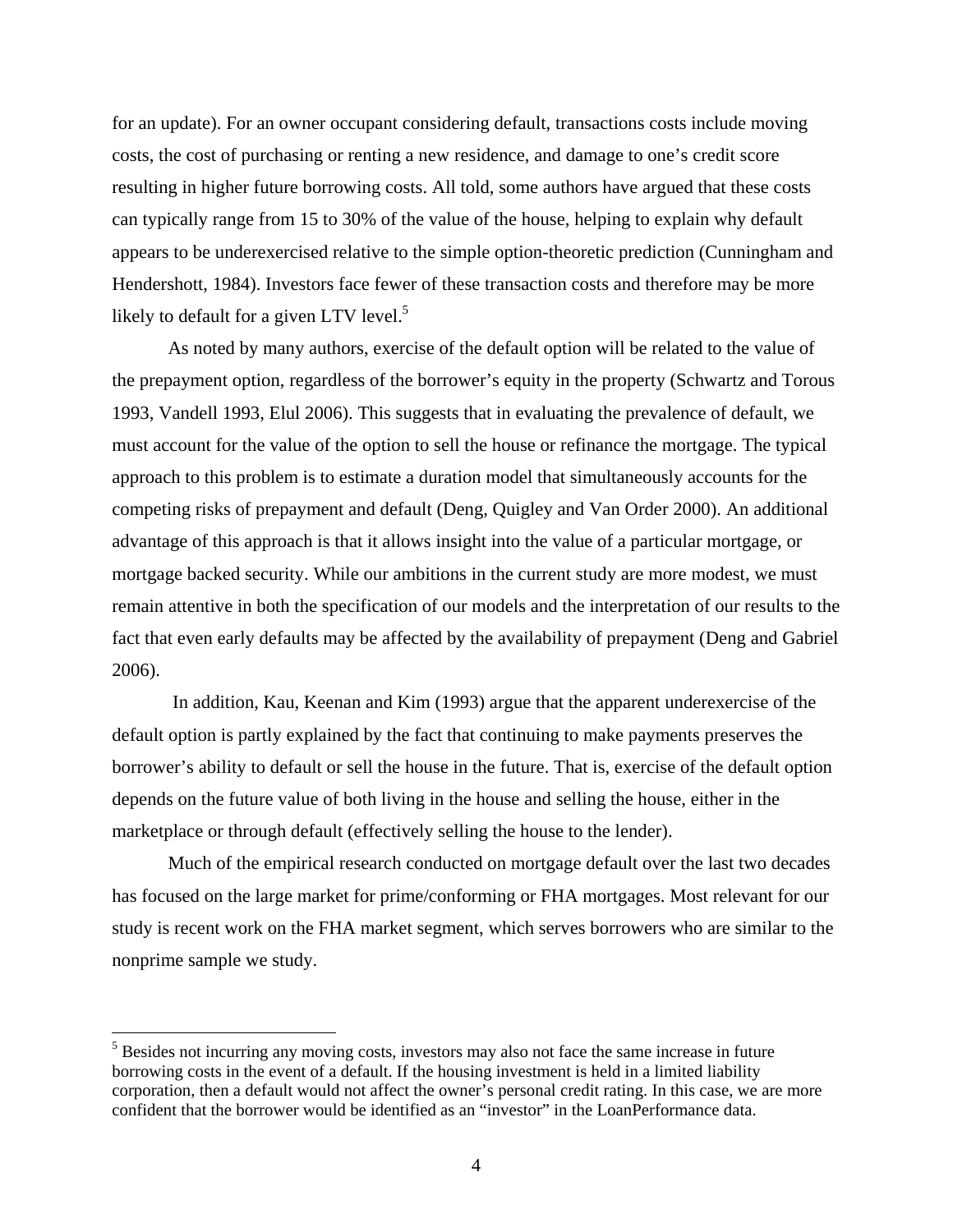for an update). For an owner occupant considering default, transactions costs include moving costs, the cost of purchasing or renting a new residence, and damage to one's credit score resulting in higher future borrowing costs. All told, some authors have argued that these costs can typically range from 15 to 30% of the value of the house, helping to explain why default appears to be underexercised relative to the simple option-theoretic prediction (Cunningham and Hendershott, 1984). Investors face fewer of these transaction costs and therefore may be more likely to default for a given LTV level. $5$ 

As noted by many authors, exercise of the default option will be related to the value of the prepayment option, regardless of the borrower's equity in the property (Schwartz and Torous 1993, Vandell 1993, Elul 2006). This suggests that in evaluating the prevalence of default, we must account for the value of the option to sell the house or refinance the mortgage. The typical approach to this problem is to estimate a duration model that simultaneously accounts for the competing risks of prepayment and default (Deng, Quigley and Van Order 2000). An additional advantage of this approach is that it allows insight into the value of a particular mortgage, or mortgage backed security. While our ambitions in the current study are more modest, we must remain attentive in both the specification of our models and the interpretation of our results to the fact that even early defaults may be affected by the availability of prepayment (Deng and Gabriel 2006).

 In addition, Kau, Keenan and Kim (1993) argue that the apparent underexercise of the default option is partly explained by the fact that continuing to make payments preserves the borrower's ability to default or sell the house in the future. That is, exercise of the default option depends on the future value of both living in the house and selling the house, either in the marketplace or through default (effectively selling the house to the lender).

 Much of the empirical research conducted on mortgage default over the last two decades has focused on the large market for prime/conforming or FHA mortgages. Most relevant for our study is recent work on the FHA market segment, which serves borrowers who are similar to the nonprime sample we study.

<sup>&</sup>lt;sup>5</sup> Besides not incurring any moving costs, investors may also not face the same increase in future borrowing costs in the event of a default. If the housing investment is held in a limited liability corporation, then a default would not affect the owner's personal credit rating. In this case, we are more confident that the borrower would be identified as an "investor" in the LoanPerformance data.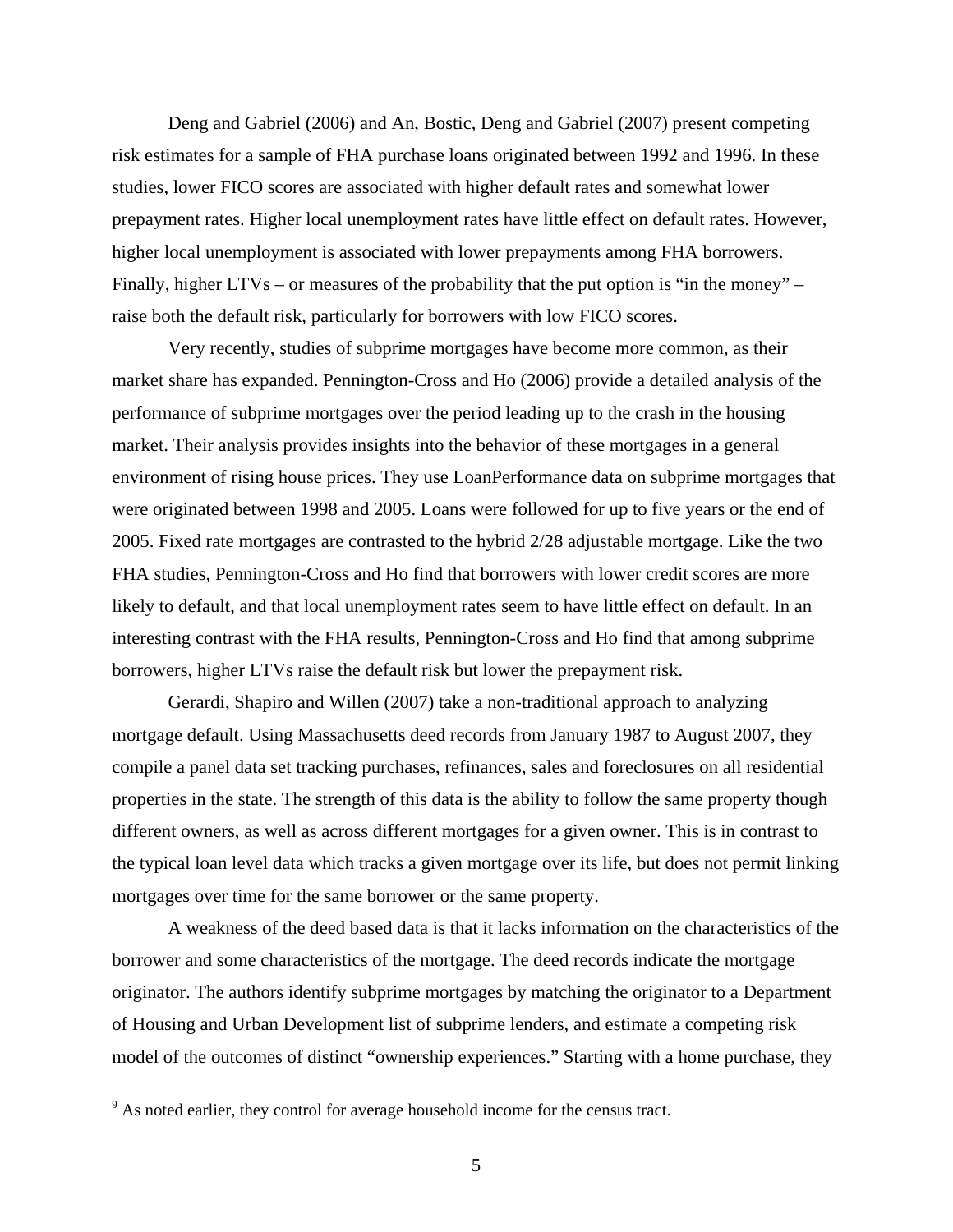Deng and Gabriel (2006) and An, Bostic, Deng and Gabriel (2007) present competing risk estimates for a sample of FHA purchase loans originated between 1992 and 1996. In these studies, lower FICO scores are associated with higher default rates and somewhat lower prepayment rates. Higher local unemployment rates have little effect on default rates. However, higher local unemployment is associated with lower prepayments among FHA borrowers. Finally, higher LTVs – or measures of the probability that the put option is "in the money" – raise both the default risk, particularly for borrowers with low FICO scores.

Very recently, studies of subprime mortgages have become more common, as their market share has expanded. Pennington-Cross and Ho (2006) provide a detailed analysis of the performance of subprime mortgages over the period leading up to the crash in the housing market. Their analysis provides insights into the behavior of these mortgages in a general environment of rising house prices. They use LoanPerformance data on subprime mortgages that were originated between 1998 and 2005. Loans were followed for up to five years or the end of 2005. Fixed rate mortgages are contrasted to the hybrid 2/28 adjustable mortgage. Like the two FHA studies, Pennington-Cross and Ho find that borrowers with lower credit scores are more likely to default, and that local unemployment rates seem to have little effect on default. In an interesting contrast with the FHA results, Pennington-Cross and Ho find that among subprime borrowers, higher LTVs raise the default risk but lower the prepayment risk.

Gerardi, Shapiro and Willen (2007) take a non-traditional approach to analyzing mortgage default. Using Massachusetts deed records from January 1987 to August 2007, they compile a panel data set tracking purchases, refinances, sales and foreclosures on all residential properties in the state. The strength of this data is the ability to follow the same property though different owners, as well as across different mortgages for a given owner. This is in contrast to the typical loan level data which tracks a given mortgage over its life, but does not permit linking mortgages over time for the same borrower or the same property.

A weakness of the deed based data is that it lacks information on the characteristics of the borrower and some characteristics of the mortgage. The deed records indicate the mortgage originator. The authors identify subprime mortgages by matching the originator to a Department of Housing and Urban Development list of subprime lenders, and estimate a competing risk model of the outcomes of distinct "ownership experiences." Starting with a home purchase, they

<sup>&</sup>lt;sup>9</sup> As noted earlier, they control for average household income for the census tract.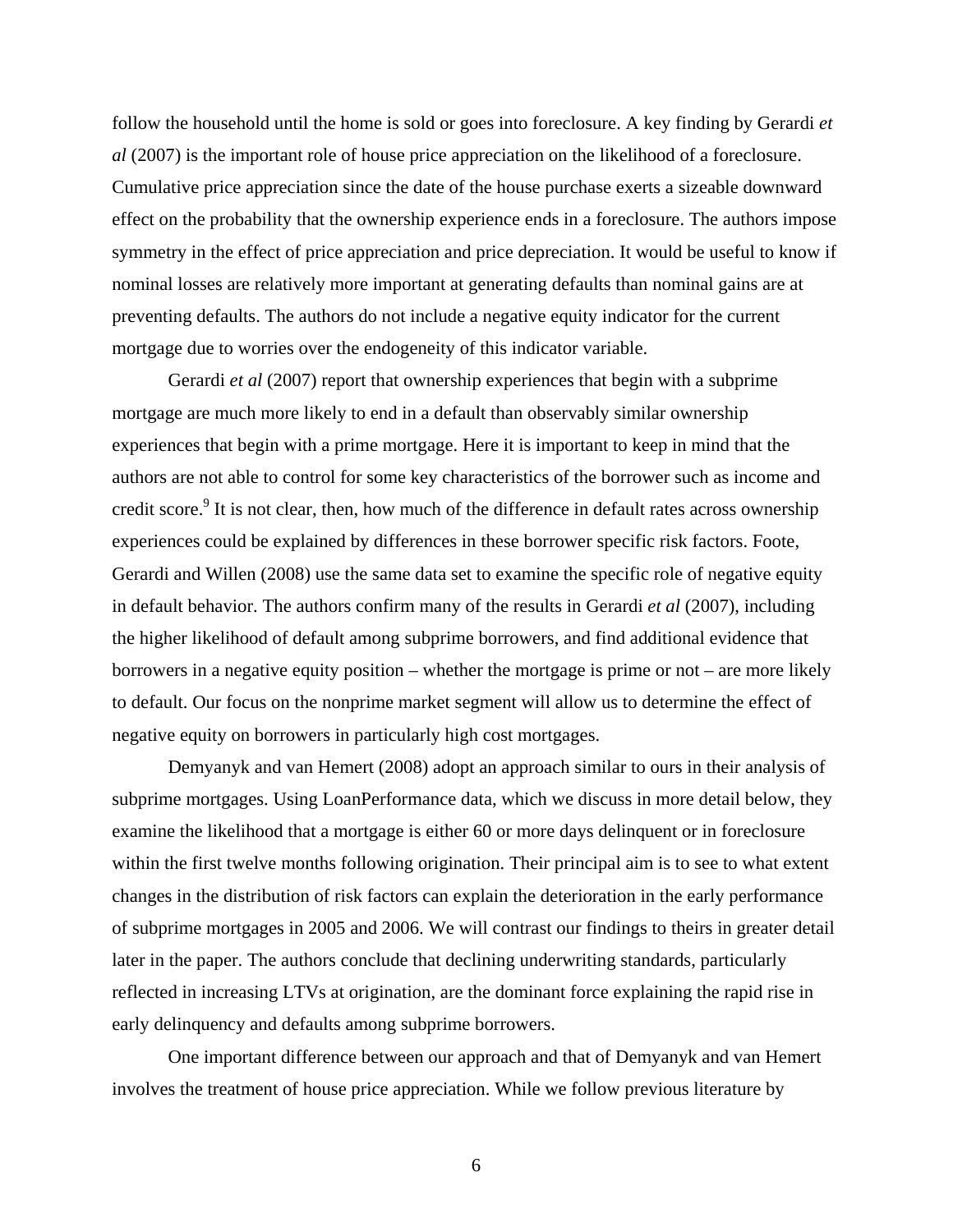follow the household until the home is sold or goes into foreclosure. A key finding by Gerardi *et al* (2007) is the important role of house price appreciation on the likelihood of a foreclosure. Cumulative price appreciation since the date of the house purchase exerts a sizeable downward effect on the probability that the ownership experience ends in a foreclosure. The authors impose symmetry in the effect of price appreciation and price depreciation. It would be useful to know if nominal losses are relatively more important at generating defaults than nominal gains are at preventing defaults. The authors do not include a negative equity indicator for the current mortgage due to worries over the endogeneity of this indicator variable.

Gerardi *et al* (2007) report that ownership experiences that begin with a subprime mortgage are much more likely to end in a default than observably similar ownership experiences that begin with a prime mortgage. Here it is important to keep in mind that the authors are not able to control for some key characteristics of the borrower such as income and credit score.<sup>9</sup> It is not clear, then, how much of the difference in default rates across ownership experiences could be explained by differences in these borrower specific risk factors. Foote, Gerardi and Willen (2008) use the same data set to examine the specific role of negative equity in default behavior. The authors confirm many of the results in Gerardi *et al* (2007), including the higher likelihood of default among subprime borrowers, and find additional evidence that borrowers in a negative equity position – whether the mortgage is prime or not – are more likely to default. Our focus on the nonprime market segment will allow us to determine the effect of negative equity on borrowers in particularly high cost mortgages.

Demyanyk and van Hemert (2008) adopt an approach similar to ours in their analysis of subprime mortgages. Using LoanPerformance data, which we discuss in more detail below, they examine the likelihood that a mortgage is either 60 or more days delinquent or in foreclosure within the first twelve months following origination. Their principal aim is to see to what extent changes in the distribution of risk factors can explain the deterioration in the early performance of subprime mortgages in 2005 and 2006. We will contrast our findings to theirs in greater detail later in the paper. The authors conclude that declining underwriting standards, particularly reflected in increasing LTVs at origination, are the dominant force explaining the rapid rise in early delinquency and defaults among subprime borrowers.

One important difference between our approach and that of Demyanyk and van Hemert involves the treatment of house price appreciation. While we follow previous literature by

6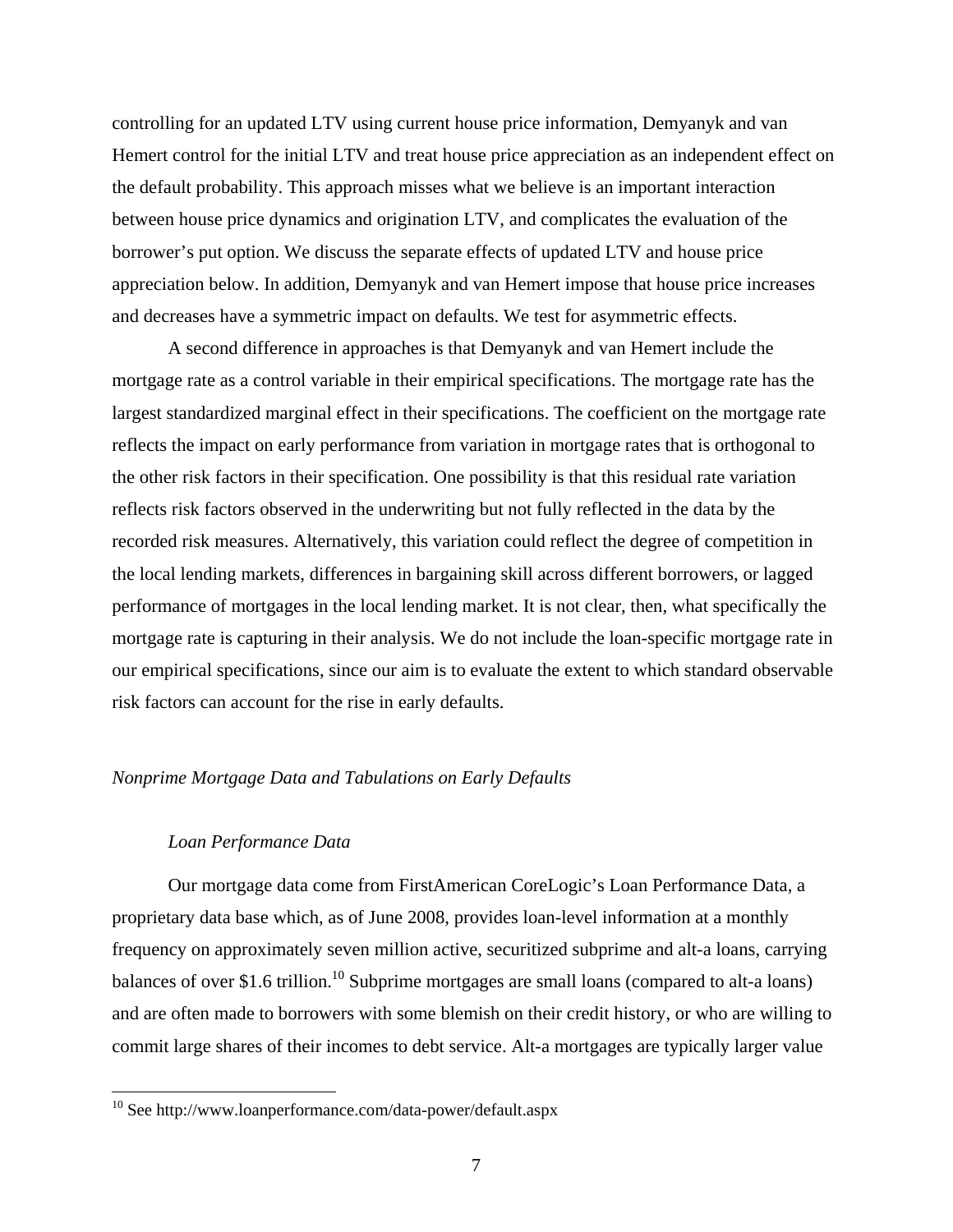controlling for an updated LTV using current house price information, Demyanyk and van Hemert control for the initial LTV and treat house price appreciation as an independent effect on the default probability. This approach misses what we believe is an important interaction between house price dynamics and origination LTV, and complicates the evaluation of the borrower's put option. We discuss the separate effects of updated LTV and house price appreciation below. In addition, Demyanyk and van Hemert impose that house price increases and decreases have a symmetric impact on defaults. We test for asymmetric effects.

A second difference in approaches is that Demyanyk and van Hemert include the mortgage rate as a control variable in their empirical specifications. The mortgage rate has the largest standardized marginal effect in their specifications. The coefficient on the mortgage rate reflects the impact on early performance from variation in mortgage rates that is orthogonal to the other risk factors in their specification. One possibility is that this residual rate variation reflects risk factors observed in the underwriting but not fully reflected in the data by the recorded risk measures. Alternatively, this variation could reflect the degree of competition in the local lending markets, differences in bargaining skill across different borrowers, or lagged performance of mortgages in the local lending market. It is not clear, then, what specifically the mortgage rate is capturing in their analysis. We do not include the loan-specific mortgage rate in our empirical specifications, since our aim is to evaluate the extent to which standard observable risk factors can account for the rise in early defaults.

#### *Nonprime Mortgage Data and Tabulations on Early Defaults*

#### *Loan Performance Data*

 $\overline{a}$ 

Our mortgage data come from FirstAmerican CoreLogic's Loan Performance Data, a proprietary data base which, as of June 2008, provides loan-level information at a monthly frequency on approximately seven million active, securitized subprime and alt-a loans, carrying balances of over \$1.6 trillion.<sup>10</sup> Subprime mortgages are small loans (compared to alt-a loans) and are often made to borrowers with some blemish on their credit history, or who are willing to commit large shares of their incomes to debt service. Alt-a mortgages are typically larger value

<sup>&</sup>lt;sup>10</sup> See http://www.loanperformance.com/data-power/default.aspx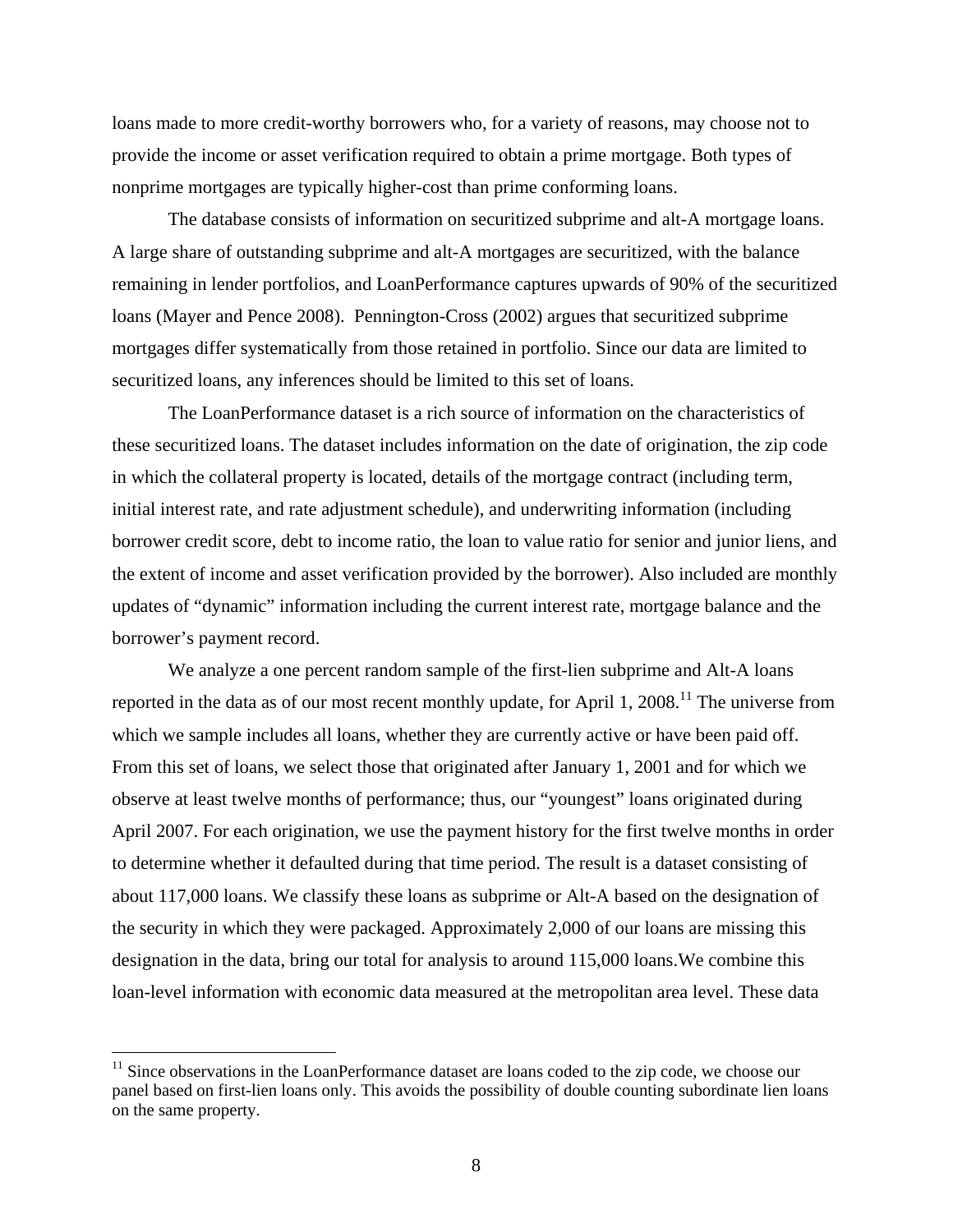loans made to more credit-worthy borrowers who, for a variety of reasons, may choose not to provide the income or asset verification required to obtain a prime mortgage. Both types of nonprime mortgages are typically higher-cost than prime conforming loans.

The database consists of information on securitized subprime and alt-A mortgage loans. A large share of outstanding subprime and alt-A mortgages are securitized, with the balance remaining in lender portfolios, and LoanPerformance captures upwards of 90% of the securitized loans (Mayer and Pence 2008). Pennington-Cross (2002) argues that securitized subprime mortgages differ systematically from those retained in portfolio. Since our data are limited to securitized loans, any inferences should be limited to this set of loans.

The LoanPerformance dataset is a rich source of information on the characteristics of these securitized loans. The dataset includes information on the date of origination, the zip code in which the collateral property is located, details of the mortgage contract (including term, initial interest rate, and rate adjustment schedule), and underwriting information (including borrower credit score, debt to income ratio, the loan to value ratio for senior and junior liens, and the extent of income and asset verification provided by the borrower). Also included are monthly updates of "dynamic" information including the current interest rate, mortgage balance and the borrower's payment record.

We analyze a one percent random sample of the first-lien subprime and Alt-A loans reported in the data as of our most recent monthly update, for April 1, 2008.<sup>11</sup> The universe from which we sample includes all loans, whether they are currently active or have been paid off. From this set of loans, we select those that originated after January 1, 2001 and for which we observe at least twelve months of performance; thus, our "youngest" loans originated during April 2007. For each origination, we use the payment history for the first twelve months in order to determine whether it defaulted during that time period. The result is a dataset consisting of about 117,000 loans. We classify these loans as subprime or Alt-A based on the designation of the security in which they were packaged. Approximately 2,000 of our loans are missing this designation in the data, bring our total for analysis to around 115,000 loans.We combine this loan-level information with economic data measured at the metropolitan area level. These data

 $11$  Since observations in the LoanPerformance dataset are loans coded to the zip code, we choose our panel based on first-lien loans only. This avoids the possibility of double counting subordinate lien loans on the same property.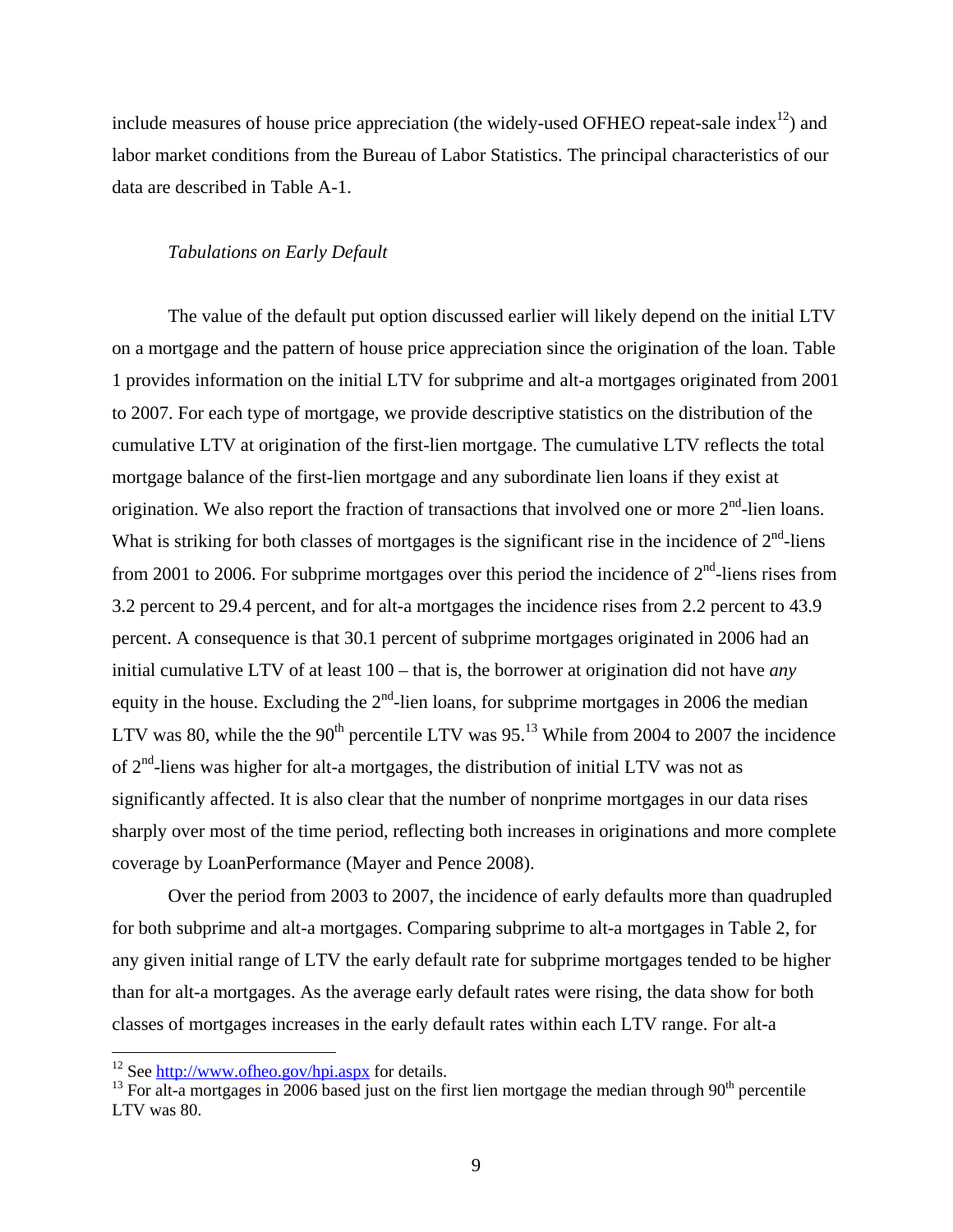include measures of house price appreciation (the widely-used OFHEO repeat-sale index<sup>12</sup>) and labor market conditions from the Bureau of Labor Statistics. The principal characteristics of our data are described in Table A-1.

#### *Tabulations on Early Default*

 The value of the default put option discussed earlier will likely depend on the initial LTV on a mortgage and the pattern of house price appreciation since the origination of the loan. Table 1 provides information on the initial LTV for subprime and alt-a mortgages originated from 2001 to 2007. For each type of mortgage, we provide descriptive statistics on the distribution of the cumulative LTV at origination of the first-lien mortgage. The cumulative LTV reflects the total mortgage balance of the first-lien mortgage and any subordinate lien loans if they exist at origination. We also report the fraction of transactions that involved one or more  $2<sup>nd</sup>$ -lien loans. What is striking for both classes of mortgages is the significant rise in the incidence of  $2<sup>nd</sup>$ -liens from 2001 to 2006. For subprime mortgages over this period the incidence of  $2<sup>nd</sup>$ -liens rises from 3.2 percent to 29.4 percent, and for alt-a mortgages the incidence rises from 2.2 percent to 43.9 percent. A consequence is that 30.1 percent of subprime mortgages originated in 2006 had an initial cumulative LTV of at least 100 – that is, the borrower at origination did not have *any* equity in the house. Excluding the  $2<sup>nd</sup>$ -lien loans, for subprime mortgages in 2006 the median LTV was 80, while the the  $90<sup>th</sup>$  percentile LTV was  $95<sup>13</sup>$  While from 2004 to 2007 the incidence of 2nd-liens was higher for alt-a mortgages, the distribution of initial LTV was not as significantly affected. It is also clear that the number of nonprime mortgages in our data rises sharply over most of the time period, reflecting both increases in originations and more complete coverage by LoanPerformance (Mayer and Pence 2008).

 Over the period from 2003 to 2007, the incidence of early defaults more than quadrupled for both subprime and alt-a mortgages. Comparing subprime to alt-a mortgages in Table 2, for any given initial range of LTV the early default rate for subprime mortgages tended to be higher than for alt-a mortgages. As the average early default rates were rising, the data show for both classes of mortgages increases in the early default rates within each LTV range. For alt-a

<sup>&</sup>lt;sup>12</sup> See http://www.ofheo.gov/hpi.aspx for details.

 $13$  For alt-a mortgages in 2006 based just on the first lien mortgage the median through  $90<sup>th</sup>$  percentile LTV was 80.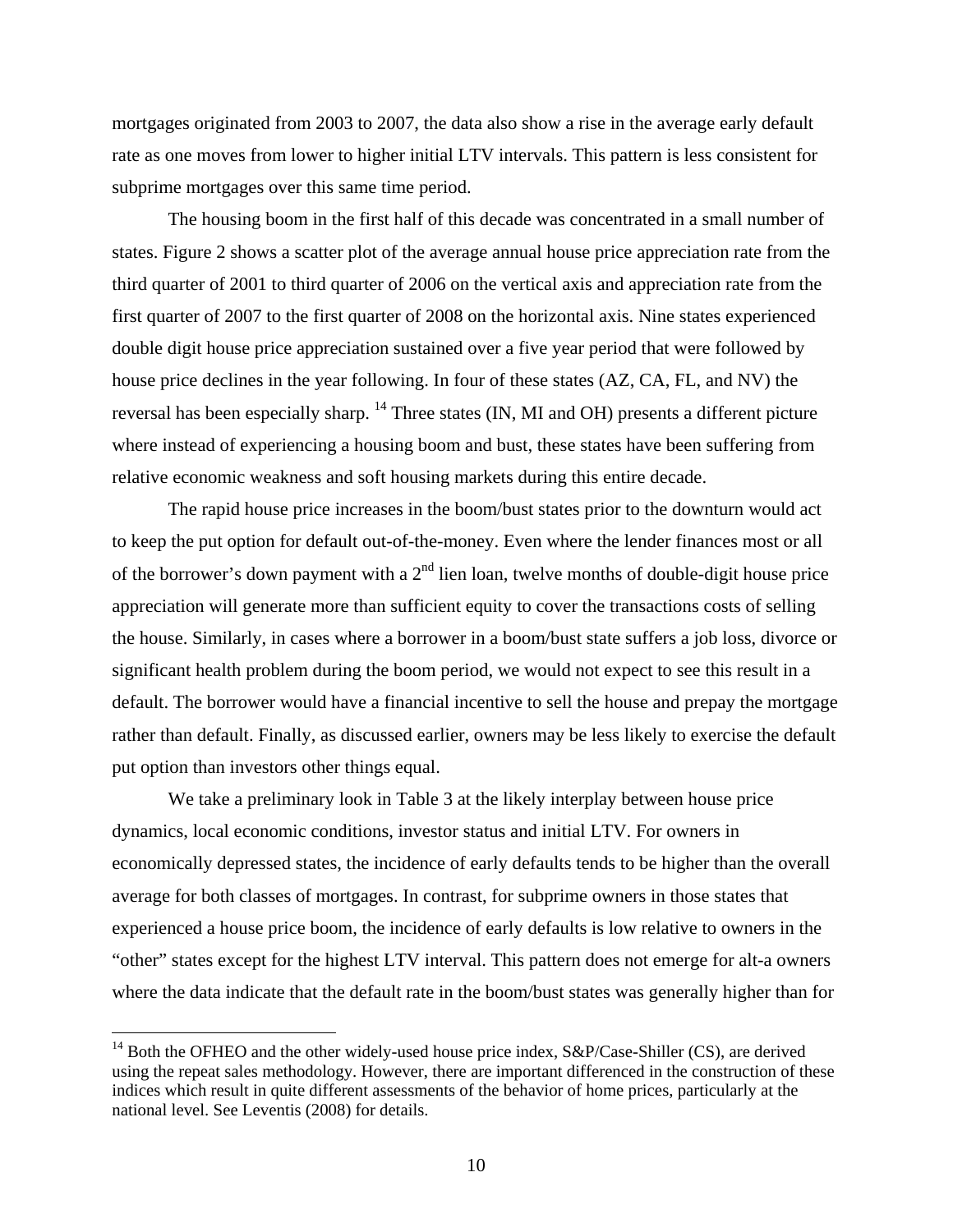mortgages originated from 2003 to 2007, the data also show a rise in the average early default rate as one moves from lower to higher initial LTV intervals. This pattern is less consistent for subprime mortgages over this same time period.

The housing boom in the first half of this decade was concentrated in a small number of states. Figure 2 shows a scatter plot of the average annual house price appreciation rate from the third quarter of 2001 to third quarter of 2006 on the vertical axis and appreciation rate from the first quarter of 2007 to the first quarter of 2008 on the horizontal axis. Nine states experienced double digit house price appreciation sustained over a five year period that were followed by house price declines in the year following. In four of these states (AZ, CA, FL, and NV) the reversal has been especially sharp. 14 Three states (IN, MI and OH) presents a different picture where instead of experiencing a housing boom and bust, these states have been suffering from relative economic weakness and soft housing markets during this entire decade.

 The rapid house price increases in the boom/bust states prior to the downturn would act to keep the put option for default out-of-the-money. Even where the lender finances most or all of the borrower's down payment with a  $2<sup>nd</sup>$  lien loan, twelve months of double-digit house price appreciation will generate more than sufficient equity to cover the transactions costs of selling the house. Similarly, in cases where a borrower in a boom/bust state suffers a job loss, divorce or significant health problem during the boom period, we would not expect to see this result in a default. The borrower would have a financial incentive to sell the house and prepay the mortgage rather than default. Finally, as discussed earlier, owners may be less likely to exercise the default put option than investors other things equal.

We take a preliminary look in Table 3 at the likely interplay between house price dynamics, local economic conditions, investor status and initial LTV. For owners in economically depressed states, the incidence of early defaults tends to be higher than the overall average for both classes of mortgages. In contrast, for subprime owners in those states that experienced a house price boom, the incidence of early defaults is low relative to owners in the "other" states except for the highest LTV interval. This pattern does not emerge for alt-a owners where the data indicate that the default rate in the boom/bust states was generally higher than for

<sup>&</sup>lt;sup>14</sup> Both the OFHEO and the other widely-used house price index,  $S\&P/Case-Shiller$  (CS), are derived using the repeat sales methodology. However, there are important differenced in the construction of these indices which result in quite different assessments of the behavior of home prices, particularly at the national level. See Leventis (2008) for details.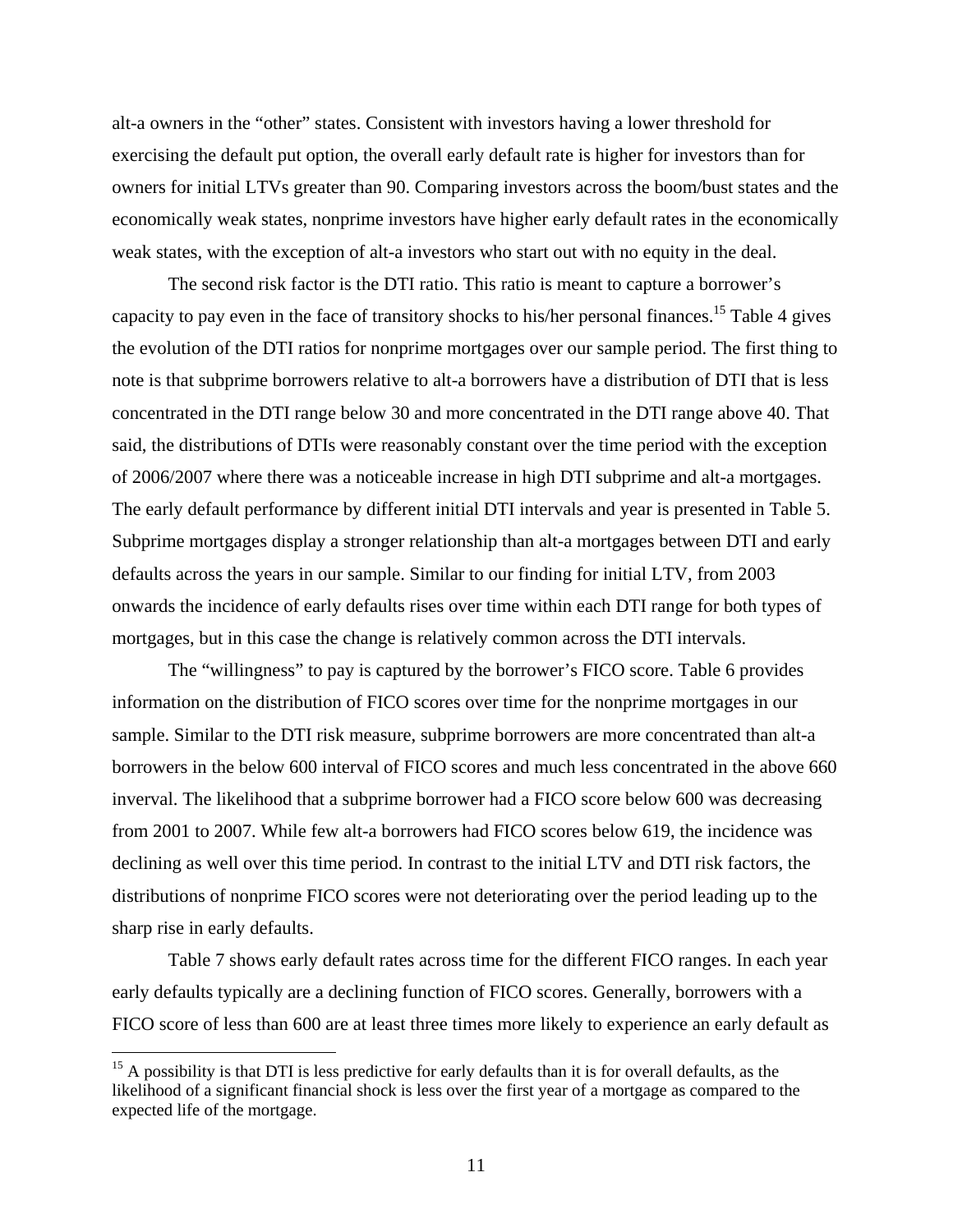alt-a owners in the "other" states. Consistent with investors having a lower threshold for exercising the default put option, the overall early default rate is higher for investors than for owners for initial LTVs greater than 90. Comparing investors across the boom/bust states and the economically weak states, nonprime investors have higher early default rates in the economically weak states, with the exception of alt-a investors who start out with no equity in the deal.

The second risk factor is the DTI ratio. This ratio is meant to capture a borrower's capacity to pay even in the face of transitory shocks to his/her personal finances.<sup>15</sup> Table 4 gives the evolution of the DTI ratios for nonprime mortgages over our sample period. The first thing to note is that subprime borrowers relative to alt-a borrowers have a distribution of DTI that is less concentrated in the DTI range below 30 and more concentrated in the DTI range above 40. That said, the distributions of DTIs were reasonably constant over the time period with the exception of 2006/2007 where there was a noticeable increase in high DTI subprime and alt-a mortgages. The early default performance by different initial DTI intervals and year is presented in Table 5. Subprime mortgages display a stronger relationship than alt-a mortgages between DTI and early defaults across the years in our sample. Similar to our finding for initial LTV, from 2003 onwards the incidence of early defaults rises over time within each DTI range for both types of mortgages, but in this case the change is relatively common across the DTI intervals.

The "willingness" to pay is captured by the borrower's FICO score. Table 6 provides information on the distribution of FICO scores over time for the nonprime mortgages in our sample. Similar to the DTI risk measure, subprime borrowers are more concentrated than alt-a borrowers in the below 600 interval of FICO scores and much less concentrated in the above 660 inverval. The likelihood that a subprime borrower had a FICO score below 600 was decreasing from 2001 to 2007. While few alt-a borrowers had FICO scores below 619, the incidence was declining as well over this time period. In contrast to the initial LTV and DTI risk factors, the distributions of nonprime FICO scores were not deteriorating over the period leading up to the sharp rise in early defaults.

Table 7 shows early default rates across time for the different FICO ranges. In each year early defaults typically are a declining function of FICO scores. Generally, borrowers with a FICO score of less than 600 are at least three times more likely to experience an early default as

 $15$  A possibility is that DTI is less predictive for early defaults than it is for overall defaults, as the likelihood of a significant financial shock is less over the first year of a mortgage as compared to the expected life of the mortgage.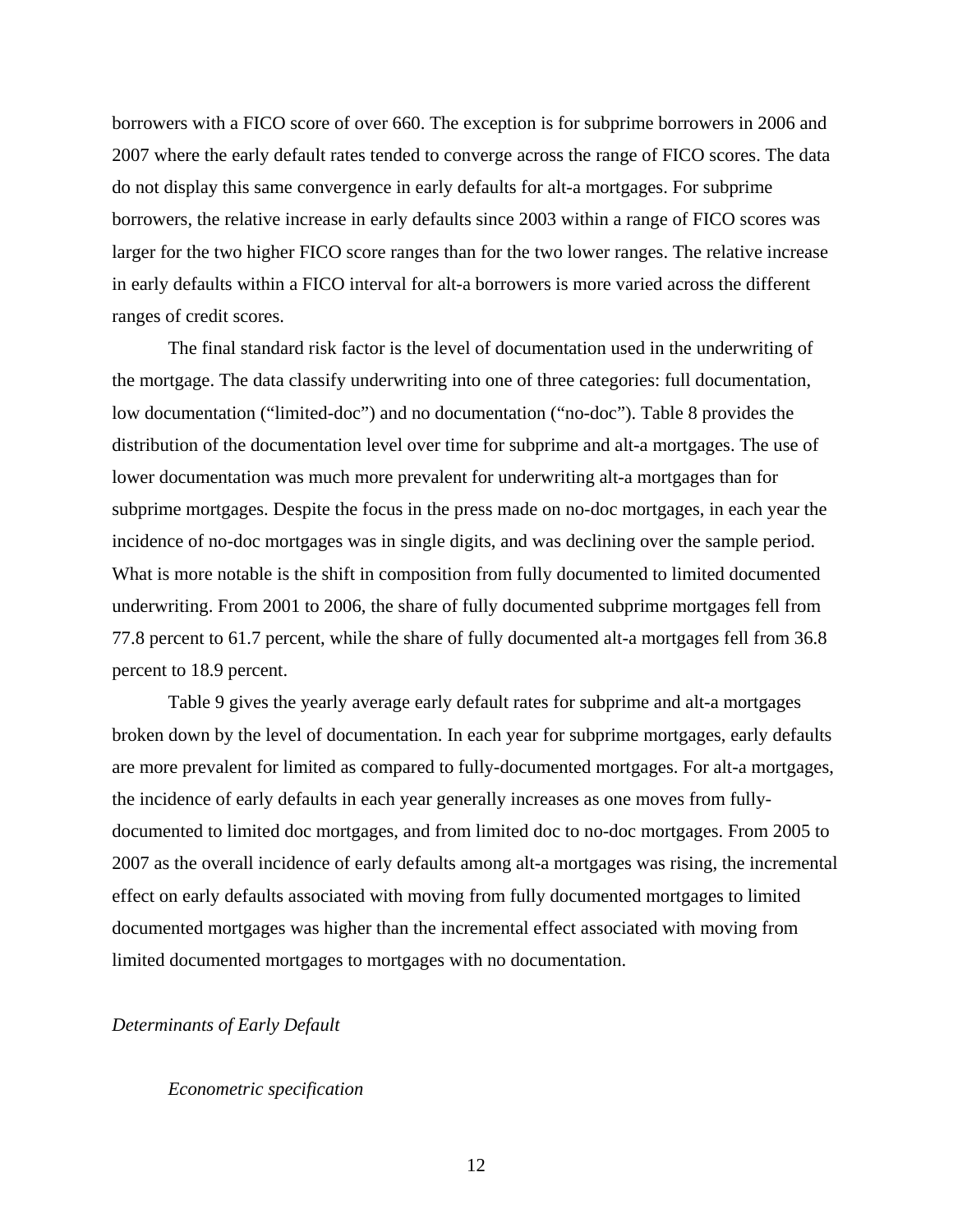borrowers with a FICO score of over 660. The exception is for subprime borrowers in 2006 and 2007 where the early default rates tended to converge across the range of FICO scores. The data do not display this same convergence in early defaults for alt-a mortgages. For subprime borrowers, the relative increase in early defaults since 2003 within a range of FICO scores was larger for the two higher FICO score ranges than for the two lower ranges. The relative increase in early defaults within a FICO interval for alt-a borrowers is more varied across the different ranges of credit scores.

The final standard risk factor is the level of documentation used in the underwriting of the mortgage. The data classify underwriting into one of three categories: full documentation, low documentation ("limited-doc") and no documentation ("no-doc"). Table 8 provides the distribution of the documentation level over time for subprime and alt-a mortgages. The use of lower documentation was much more prevalent for underwriting alt-a mortgages than for subprime mortgages. Despite the focus in the press made on no-doc mortgages, in each year the incidence of no-doc mortgages was in single digits, and was declining over the sample period. What is more notable is the shift in composition from fully documented to limited documented underwriting. From 2001 to 2006, the share of fully documented subprime mortgages fell from 77.8 percent to 61.7 percent, while the share of fully documented alt-a mortgages fell from 36.8 percent to 18.9 percent.

Table 9 gives the yearly average early default rates for subprime and alt-a mortgages broken down by the level of documentation. In each year for subprime mortgages, early defaults are more prevalent for limited as compared to fully-documented mortgages. For alt-a mortgages, the incidence of early defaults in each year generally increases as one moves from fullydocumented to limited doc mortgages, and from limited doc to no-doc mortgages. From 2005 to 2007 as the overall incidence of early defaults among alt-a mortgages was rising, the incremental effect on early defaults associated with moving from fully documented mortgages to limited documented mortgages was higher than the incremental effect associated with moving from limited documented mortgages to mortgages with no documentation.

#### *Determinants of Early Default*

#### *Econometric specification*

12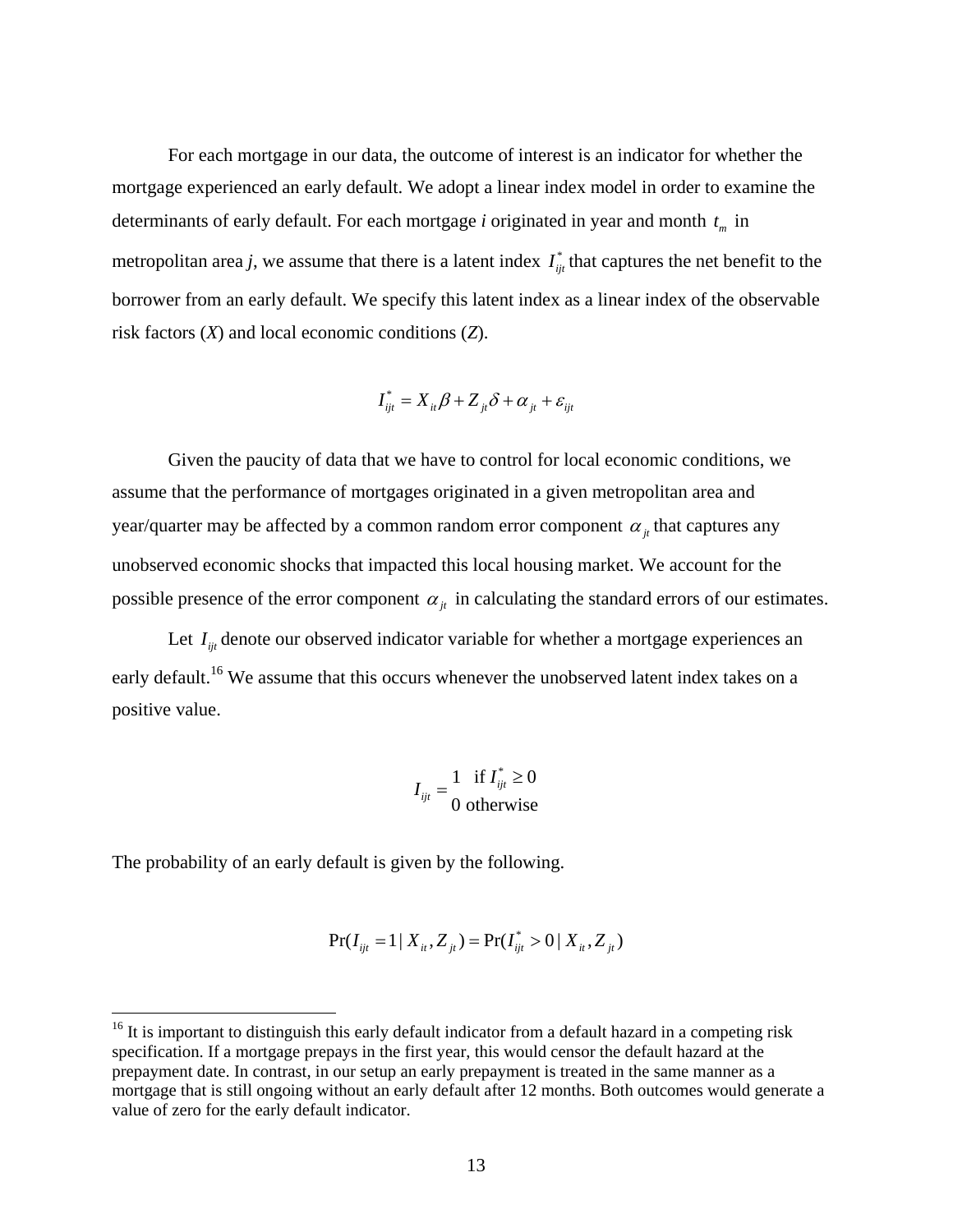For each mortgage in our data, the outcome of interest is an indicator for whether the mortgage experienced an early default. We adopt a linear index model in order to examine the determinants of early default. For each mortgage *i* originated in year and month  $t_m$  in metropolitan area *j*, we assume that there is a latent index  $I_{ij}^*$  that captures the net benefit to the borrower from an early default. We specify this latent index as a linear index of the observable risk factors (*X*) and local economic conditions (*Z*).

$$
I_{ijt}^* = X_{it} \beta + Z_{jt} \delta + \alpha_{jt} + \varepsilon_{ijt}
$$

Given the paucity of data that we have to control for local economic conditions, we assume that the performance of mortgages originated in a given metropolitan area and year/quarter may be affected by a common random error component  $\alpha_{it}$  that captures any unobserved economic shocks that impacted this local housing market. We account for the possible presence of the error component  $\alpha_{i}$  in calculating the standard errors of our estimates.

Let  $I_{ijt}$  denote our observed indicator variable for whether a mortgage experiences an early default.<sup>16</sup> We assume that this occurs whenever the unobserved latent index takes on a positive value.

$$
I_{ijt} = \frac{1}{0} \frac{\text{if } I_{ijt}^* \ge 0}{\text{otherwise}}
$$

The probability of an early default is given by the following.

$$
Pr(I_{ijt} = 1 | X_{it}, Z_{jt}) = Pr(I_{ijt}^{*} > 0 | X_{it}, Z_{jt})
$$

<sup>&</sup>lt;sup>16</sup> It is important to distinguish this early default indicator from a default hazard in a competing risk specification. If a mortgage prepays in the first year, this would censor the default hazard at the prepayment date. In contrast, in our setup an early prepayment is treated in the same manner as a mortgage that is still ongoing without an early default after 12 months. Both outcomes would generate a value of zero for the early default indicator.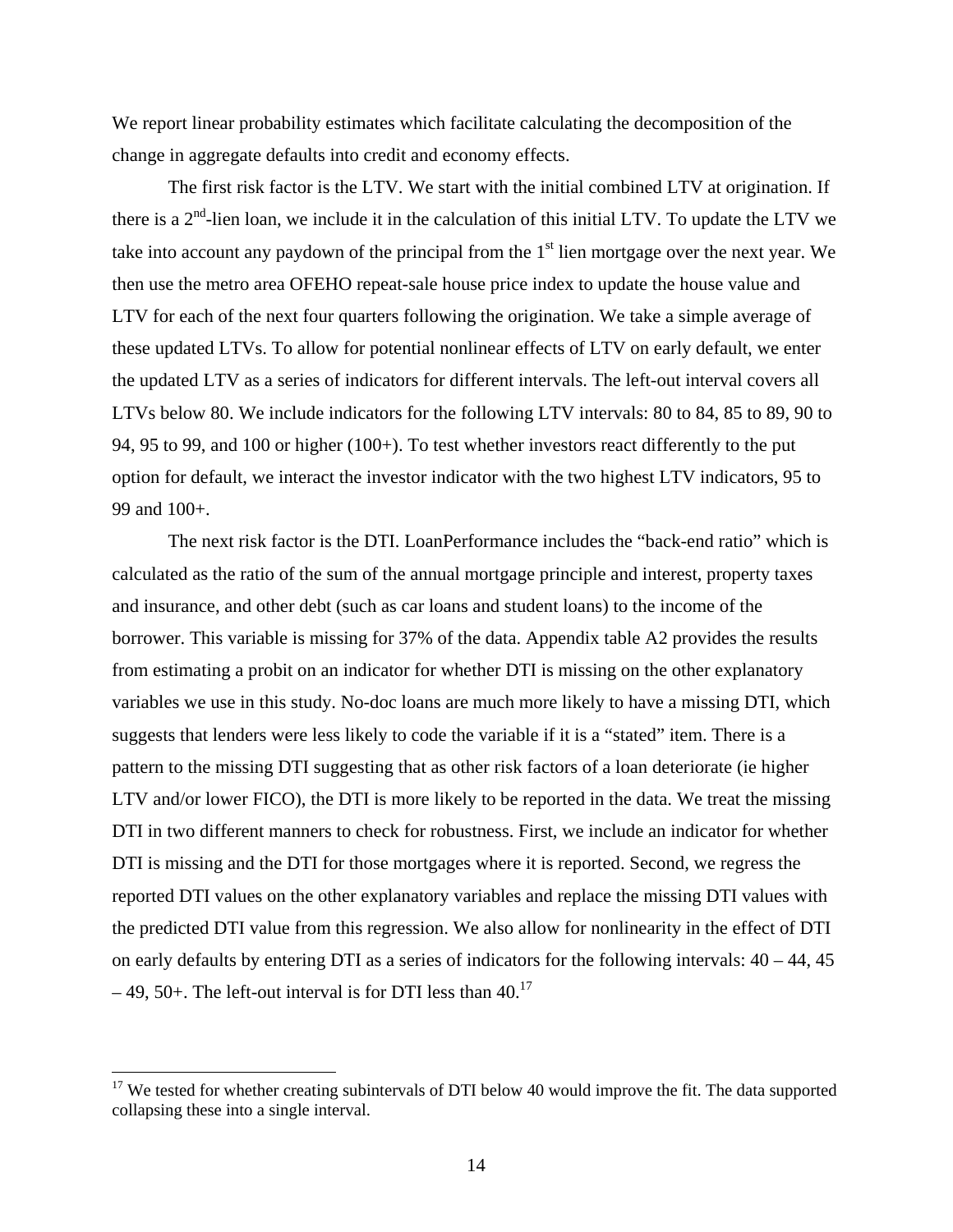We report linear probability estimates which facilitate calculating the decomposition of the change in aggregate defaults into credit and economy effects.

 The first risk factor is the LTV. We start with the initial combined LTV at origination. If there is a  $2<sup>nd</sup>$ -lien loan, we include it in the calculation of this initial LTV. To update the LTV we take into account any paydown of the principal from the  $1<sup>st</sup>$  lien mortgage over the next year. We then use the metro area OFEHO repeat-sale house price index to update the house value and LTV for each of the next four quarters following the origination. We take a simple average of these updated LTVs. To allow for potential nonlinear effects of LTV on early default, we enter the updated LTV as a series of indicators for different intervals. The left-out interval covers all LTVs below 80. We include indicators for the following LTV intervals: 80 to 84, 85 to 89, 90 to 94, 95 to 99, and 100 or higher (100+). To test whether investors react differently to the put option for default, we interact the investor indicator with the two highest LTV indicators, 95 to 99 and 100+.

The next risk factor is the DTI. LoanPerformance includes the "back-end ratio" which is calculated as the ratio of the sum of the annual mortgage principle and interest, property taxes and insurance, and other debt (such as car loans and student loans) to the income of the borrower. This variable is missing for 37% of the data. Appendix table A2 provides the results from estimating a probit on an indicator for whether DTI is missing on the other explanatory variables we use in this study. No-doc loans are much more likely to have a missing DTI, which suggests that lenders were less likely to code the variable if it is a "stated" item. There is a pattern to the missing DTI suggesting that as other risk factors of a loan deteriorate (ie higher LTV and/or lower FICO), the DTI is more likely to be reported in the data. We treat the missing DTI in two different manners to check for robustness. First, we include an indicator for whether DTI is missing and the DTI for those mortgages where it is reported. Second, we regress the reported DTI values on the other explanatory variables and replace the missing DTI values with the predicted DTI value from this regression. We also allow for nonlinearity in the effect of DTI on early defaults by entering DTI as a series of indicators for the following intervals: 40 – 44, 45  $-49$ , 50+. The left-out interval is for DTI less than 40.<sup>17</sup>

 $17$  We tested for whether creating subintervals of DTI below 40 would improve the fit. The data supported collapsing these into a single interval.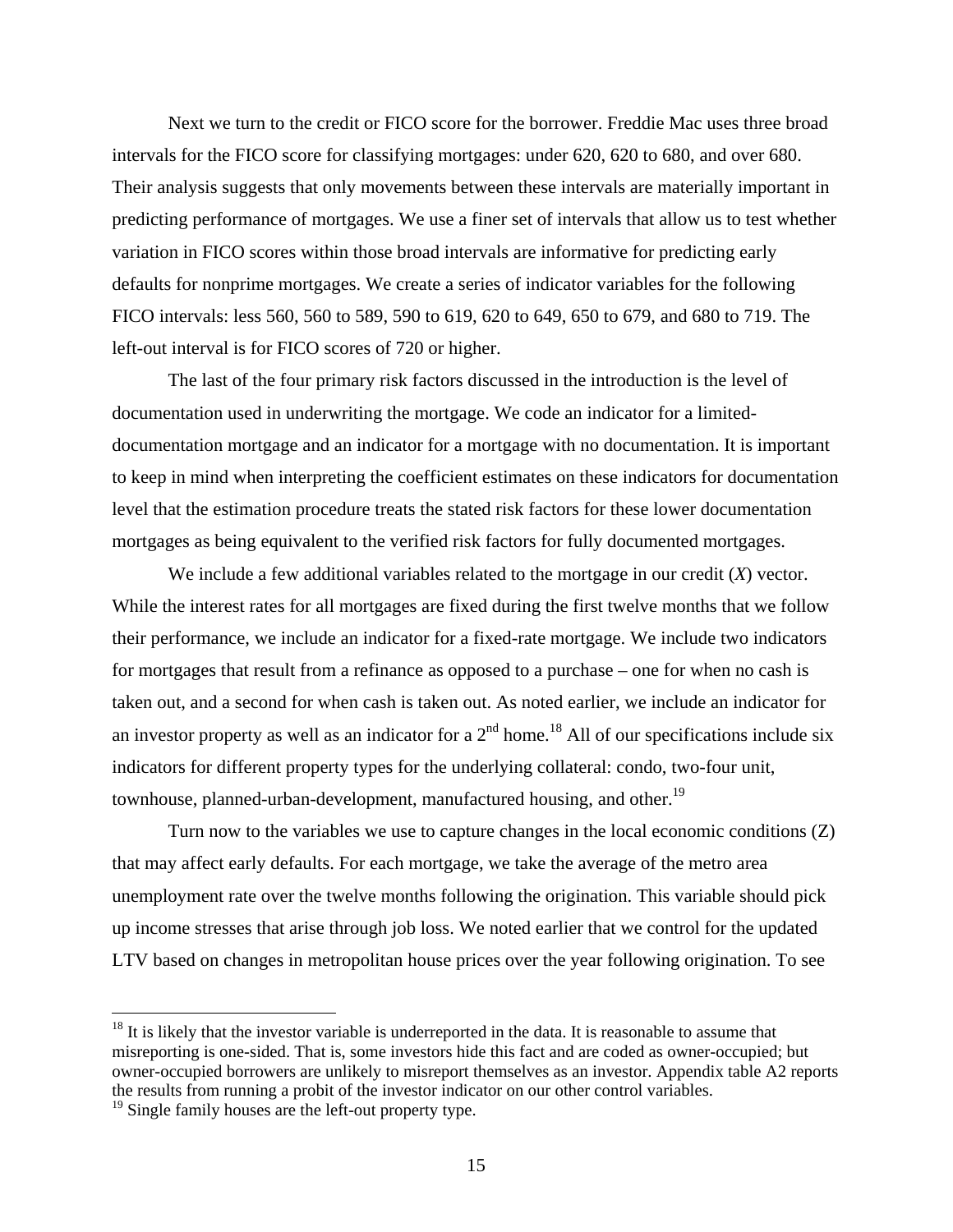Next we turn to the credit or FICO score for the borrower. Freddie Mac uses three broad intervals for the FICO score for classifying mortgages: under 620, 620 to 680, and over 680. Their analysis suggests that only movements between these intervals are materially important in predicting performance of mortgages. We use a finer set of intervals that allow us to test whether variation in FICO scores within those broad intervals are informative for predicting early defaults for nonprime mortgages. We create a series of indicator variables for the following FICO intervals: less 560, 560 to 589, 590 to 619, 620 to 649, 650 to 679, and 680 to 719. The left-out interval is for FICO scores of 720 or higher.

The last of the four primary risk factors discussed in the introduction is the level of documentation used in underwriting the mortgage. We code an indicator for a limiteddocumentation mortgage and an indicator for a mortgage with no documentation. It is important to keep in mind when interpreting the coefficient estimates on these indicators for documentation level that the estimation procedure treats the stated risk factors for these lower documentation mortgages as being equivalent to the verified risk factors for fully documented mortgages.

We include a few additional variables related to the mortgage in our credit (*X*) vector. While the interest rates for all mortgages are fixed during the first twelve months that we follow their performance, we include an indicator for a fixed-rate mortgage. We include two indicators for mortgages that result from a refinance as opposed to a purchase – one for when no cash is taken out, and a second for when cash is taken out. As noted earlier, we include an indicator for an investor property as well as an indicator for a  $2<sup>nd</sup>$  home.<sup>18</sup> All of our specifications include six indicators for different property types for the underlying collateral: condo, two-four unit, townhouse, planned-urban-development, manufactured housing, and other.<sup>19</sup>

Turn now to the variables we use to capture changes in the local economic conditions (Z) that may affect early defaults. For each mortgage, we take the average of the metro area unemployment rate over the twelve months following the origination. This variable should pick up income stresses that arise through job loss. We noted earlier that we control for the updated LTV based on changes in metropolitan house prices over the year following origination. To see

<u>.</u>

 $18$  It is likely that the investor variable is underreported in the data. It is reasonable to assume that misreporting is one-sided. That is, some investors hide this fact and are coded as owner-occupied; but owner-occupied borrowers are unlikely to misreport themselves as an investor. Appendix table A2 reports the results from running a probit of the investor indicator on our other control variables.

<sup>&</sup>lt;sup>19</sup> Single family houses are the left-out property type.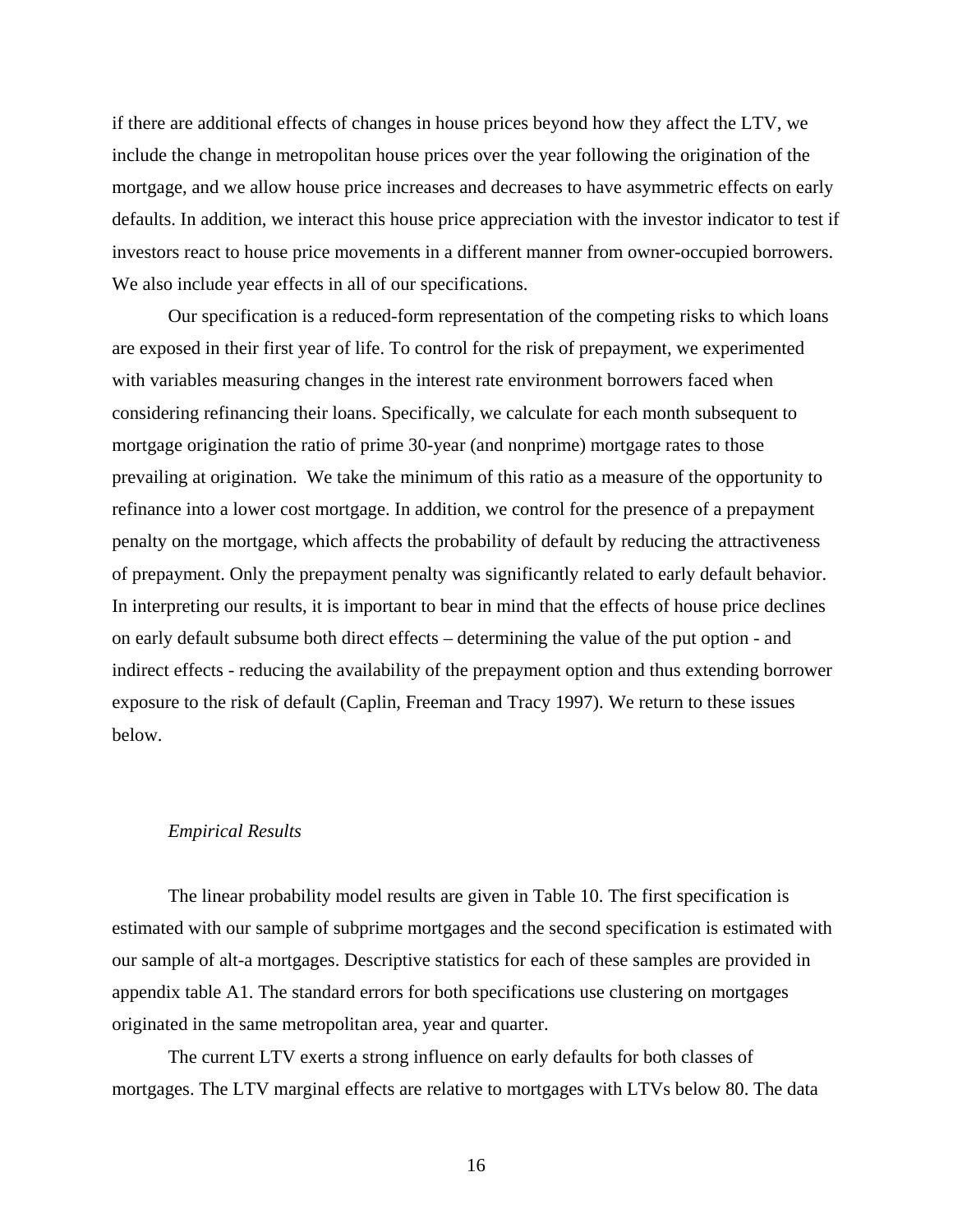if there are additional effects of changes in house prices beyond how they affect the LTV, we include the change in metropolitan house prices over the year following the origination of the mortgage, and we allow house price increases and decreases to have asymmetric effects on early defaults. In addition, we interact this house price appreciation with the investor indicator to test if investors react to house price movements in a different manner from owner-occupied borrowers. We also include year effects in all of our specifications.

Our specification is a reduced-form representation of the competing risks to which loans are exposed in their first year of life. To control for the risk of prepayment, we experimented with variables measuring changes in the interest rate environment borrowers faced when considering refinancing their loans. Specifically, we calculate for each month subsequent to mortgage origination the ratio of prime 30-year (and nonprime) mortgage rates to those prevailing at origination. We take the minimum of this ratio as a measure of the opportunity to refinance into a lower cost mortgage. In addition, we control for the presence of a prepayment penalty on the mortgage, which affects the probability of default by reducing the attractiveness of prepayment. Only the prepayment penalty was significantly related to early default behavior. In interpreting our results, it is important to bear in mind that the effects of house price declines on early default subsume both direct effects – determining the value of the put option - and indirect effects - reducing the availability of the prepayment option and thus extending borrower exposure to the risk of default (Caplin, Freeman and Tracy 1997). We return to these issues below.

#### *Empirical Results*

The linear probability model results are given in Table 10. The first specification is estimated with our sample of subprime mortgages and the second specification is estimated with our sample of alt-a mortgages. Descriptive statistics for each of these samples are provided in appendix table A1. The standard errors for both specifications use clustering on mortgages originated in the same metropolitan area, year and quarter.

The current LTV exerts a strong influence on early defaults for both classes of mortgages. The LTV marginal effects are relative to mortgages with LTVs below 80. The data

16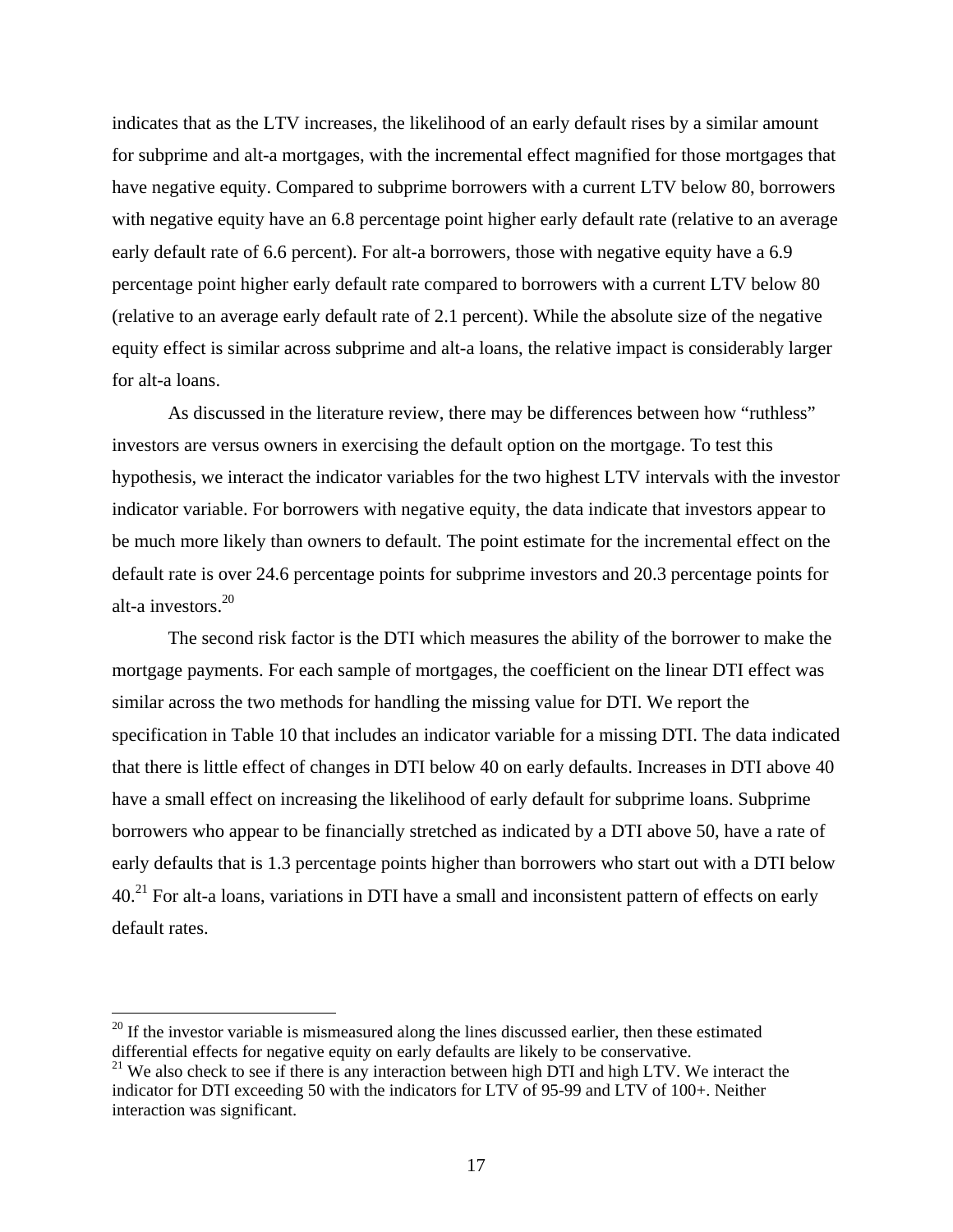indicates that as the LTV increases, the likelihood of an early default rises by a similar amount for subprime and alt-a mortgages, with the incremental effect magnified for those mortgages that have negative equity. Compared to subprime borrowers with a current LTV below 80, borrowers with negative equity have an 6.8 percentage point higher early default rate (relative to an average early default rate of 6.6 percent). For alt-a borrowers, those with negative equity have a 6.9 percentage point higher early default rate compared to borrowers with a current LTV below 80 (relative to an average early default rate of 2.1 percent). While the absolute size of the negative equity effect is similar across subprime and alt-a loans, the relative impact is considerably larger for alt-a loans.

As discussed in the literature review, there may be differences between how "ruthless" investors are versus owners in exercising the default option on the mortgage. To test this hypothesis, we interact the indicator variables for the two highest LTV intervals with the investor indicator variable. For borrowers with negative equity, the data indicate that investors appear to be much more likely than owners to default. The point estimate for the incremental effect on the default rate is over 24.6 percentage points for subprime investors and 20.3 percentage points for alt-a investors.20

The second risk factor is the DTI which measures the ability of the borrower to make the mortgage payments. For each sample of mortgages, the coefficient on the linear DTI effect was similar across the two methods for handling the missing value for DTI. We report the specification in Table 10 that includes an indicator variable for a missing DTI. The data indicated that there is little effect of changes in DTI below 40 on early defaults. Increases in DTI above 40 have a small effect on increasing the likelihood of early default for subprime loans. Subprime borrowers who appear to be financially stretched as indicated by a DTI above 50, have a rate of early defaults that is 1.3 percentage points higher than borrowers who start out with a DTI below 40.<sup>21</sup> For alt-a loans, variations in DTI have a small and inconsistent pattern of effects on early default rates.

 $20$  If the investor variable is mismeasured along the lines discussed earlier, then these estimated differential effects for negative equity on early defaults are likely to be conservative.

 $21$  We also check to see if there is any interaction between high DTI and high LTV. We interact the indicator for DTI exceeding 50 with the indicators for LTV of 95-99 and LTV of 100+. Neither interaction was significant.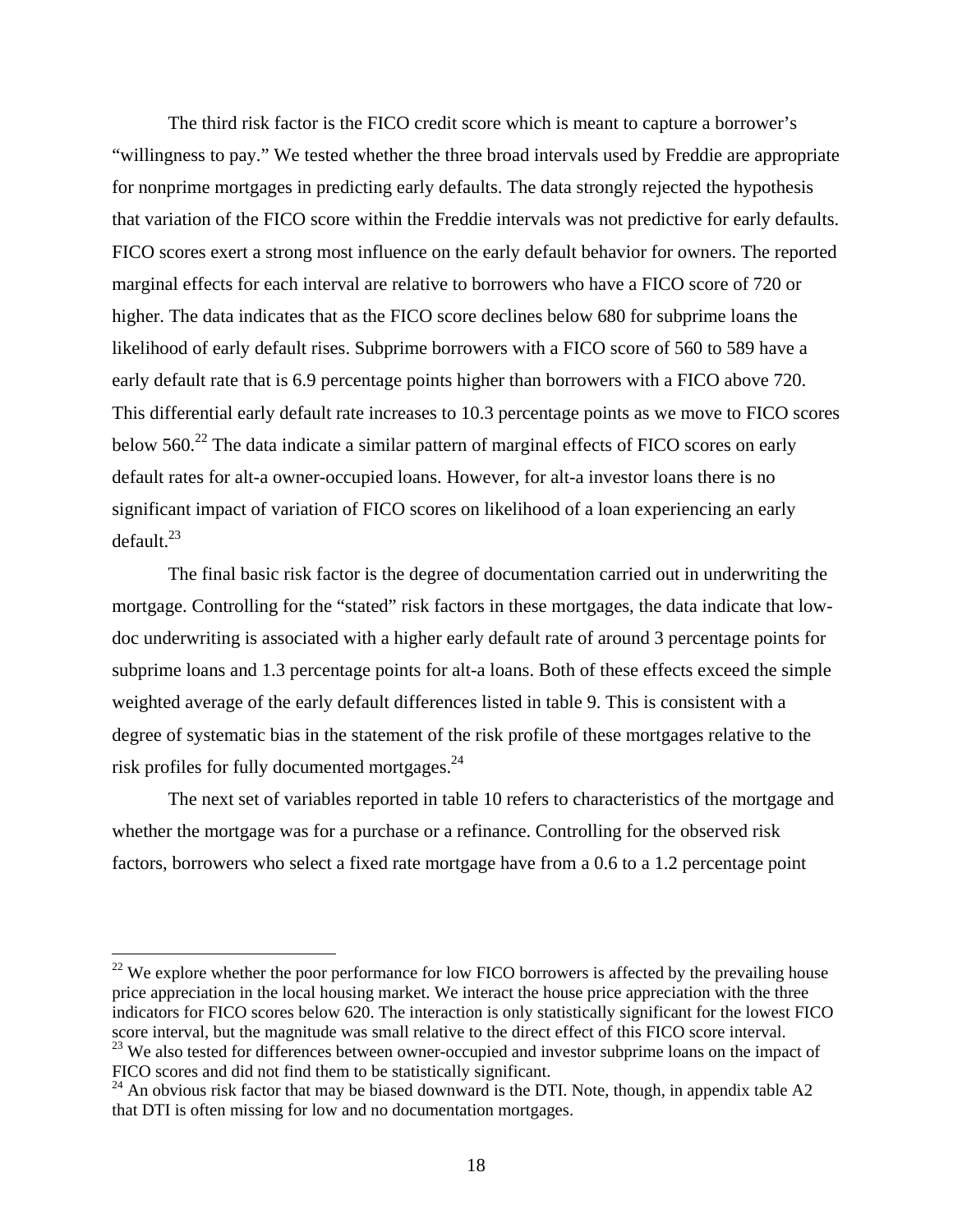The third risk factor is the FICO credit score which is meant to capture a borrower's "willingness to pay." We tested whether the three broad intervals used by Freddie are appropriate for nonprime mortgages in predicting early defaults. The data strongly rejected the hypothesis that variation of the FICO score within the Freddie intervals was not predictive for early defaults. FICO scores exert a strong most influence on the early default behavior for owners. The reported marginal effects for each interval are relative to borrowers who have a FICO score of 720 or higher. The data indicates that as the FICO score declines below 680 for subprime loans the likelihood of early default rises. Subprime borrowers with a FICO score of 560 to 589 have a early default rate that is 6.9 percentage points higher than borrowers with a FICO above 720. This differential early default rate increases to 10.3 percentage points as we move to FICO scores below 560.<sup>22</sup> The data indicate a similar pattern of marginal effects of FICO scores on early default rates for alt-a owner-occupied loans. However, for alt-a investor loans there is no significant impact of variation of FICO scores on likelihood of a loan experiencing an early  $default.<sup>23</sup>$ 

The final basic risk factor is the degree of documentation carried out in underwriting the mortgage. Controlling for the "stated" risk factors in these mortgages, the data indicate that lowdoc underwriting is associated with a higher early default rate of around 3 percentage points for subprime loans and 1.3 percentage points for alt-a loans. Both of these effects exceed the simple weighted average of the early default differences listed in table 9. This is consistent with a degree of systematic bias in the statement of the risk profile of these mortgages relative to the risk profiles for fully documented mortgages.24

The next set of variables reported in table 10 refers to characteristics of the mortgage and whether the mortgage was for a purchase or a refinance. Controlling for the observed risk factors, borrowers who select a fixed rate mortgage have from a 0.6 to a 1.2 percentage point

FICO scores and did not find them to be statistically significant.

1

 $22$  We explore whether the poor performance for low FICO borrowers is affected by the prevailing house price appreciation in the local housing market. We interact the house price appreciation with the three indicators for FICO scores below 620. The interaction is only statistically significant for the lowest FICO score interval, but the magnitude was small relative to the direct effect of this FICO score interval. <sup>23</sup> We also tested for differences between owner-occupied and investor subprime loans on the impact of

 $24$  An obvious risk factor that may be biased downward is the DTI. Note, though, in appendix table A2 that DTI is often missing for low and no documentation mortgages.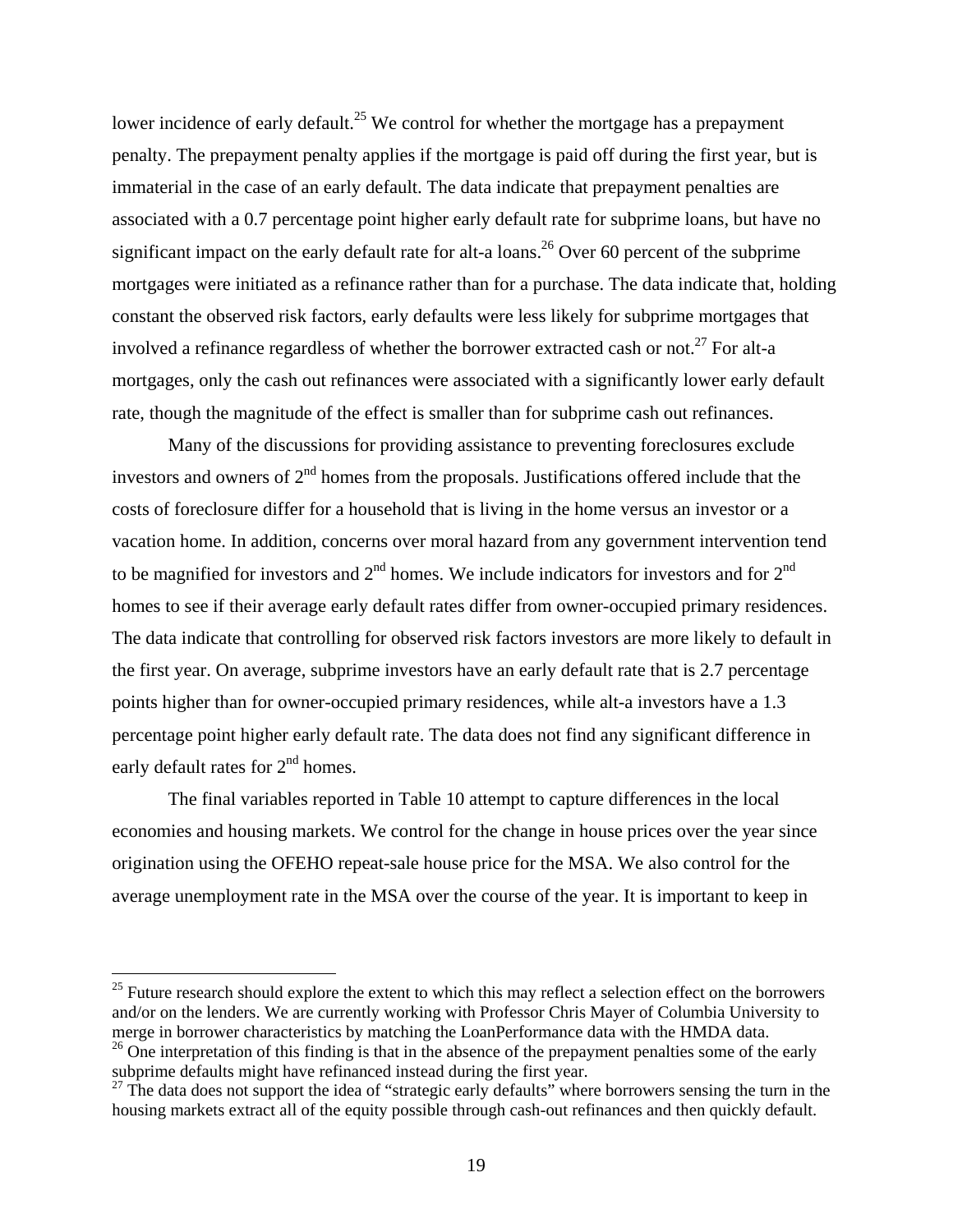lower incidence of early default.<sup>25</sup> We control for whether the mortgage has a prepayment penalty. The prepayment penalty applies if the mortgage is paid off during the first year, but is immaterial in the case of an early default. The data indicate that prepayment penalties are associated with a 0.7 percentage point higher early default rate for subprime loans, but have no significant impact on the early default rate for alt-a loans.<sup>26</sup> Over 60 percent of the subprime mortgages were initiated as a refinance rather than for a purchase. The data indicate that, holding constant the observed risk factors, early defaults were less likely for subprime mortgages that involved a refinance regardless of whether the borrower extracted cash or not.<sup>27</sup> For alt-a mortgages, only the cash out refinances were associated with a significantly lower early default rate, though the magnitude of the effect is smaller than for subprime cash out refinances.

Many of the discussions for providing assistance to preventing foreclosures exclude investors and owners of  $2<sup>nd</sup>$  homes from the proposals. Justifications offered include that the costs of foreclosure differ for a household that is living in the home versus an investor or a vacation home. In addition, concerns over moral hazard from any government intervention tend to be magnified for investors and  $2<sup>nd</sup>$  homes. We include indicators for investors and for  $2<sup>nd</sup>$ homes to see if their average early default rates differ from owner-occupied primary residences. The data indicate that controlling for observed risk factors investors are more likely to default in the first year. On average, subprime investors have an early default rate that is 2.7 percentage points higher than for owner-occupied primary residences, while alt-a investors have a 1.3 percentage point higher early default rate. The data does not find any significant difference in early default rates for  $2<sup>nd</sup>$  homes.

The final variables reported in Table 10 attempt to capture differences in the local economies and housing markets. We control for the change in house prices over the year since origination using the OFEHO repeat-sale house price for the MSA. We also control for the average unemployment rate in the MSA over the course of the year. It is important to keep in

<sup>&</sup>lt;sup>25</sup> Future research should explore the extent to which this may reflect a selection effect on the borrowers and/or on the lenders. We are currently working with Professor Chris Mayer of Columbia University to merge in borrower characteristics by matching the LoanPerformance data with the HMDA data.

 $^{26}$  One interpretation of this finding is that in the absence of the prepayment penalties some of the early subprime defaults might have refinanced instead during the first year.

 $27$  The data does not support the idea of "strategic early defaults" where borrowers sensing the turn in the housing markets extract all of the equity possible through cash-out refinances and then quickly default.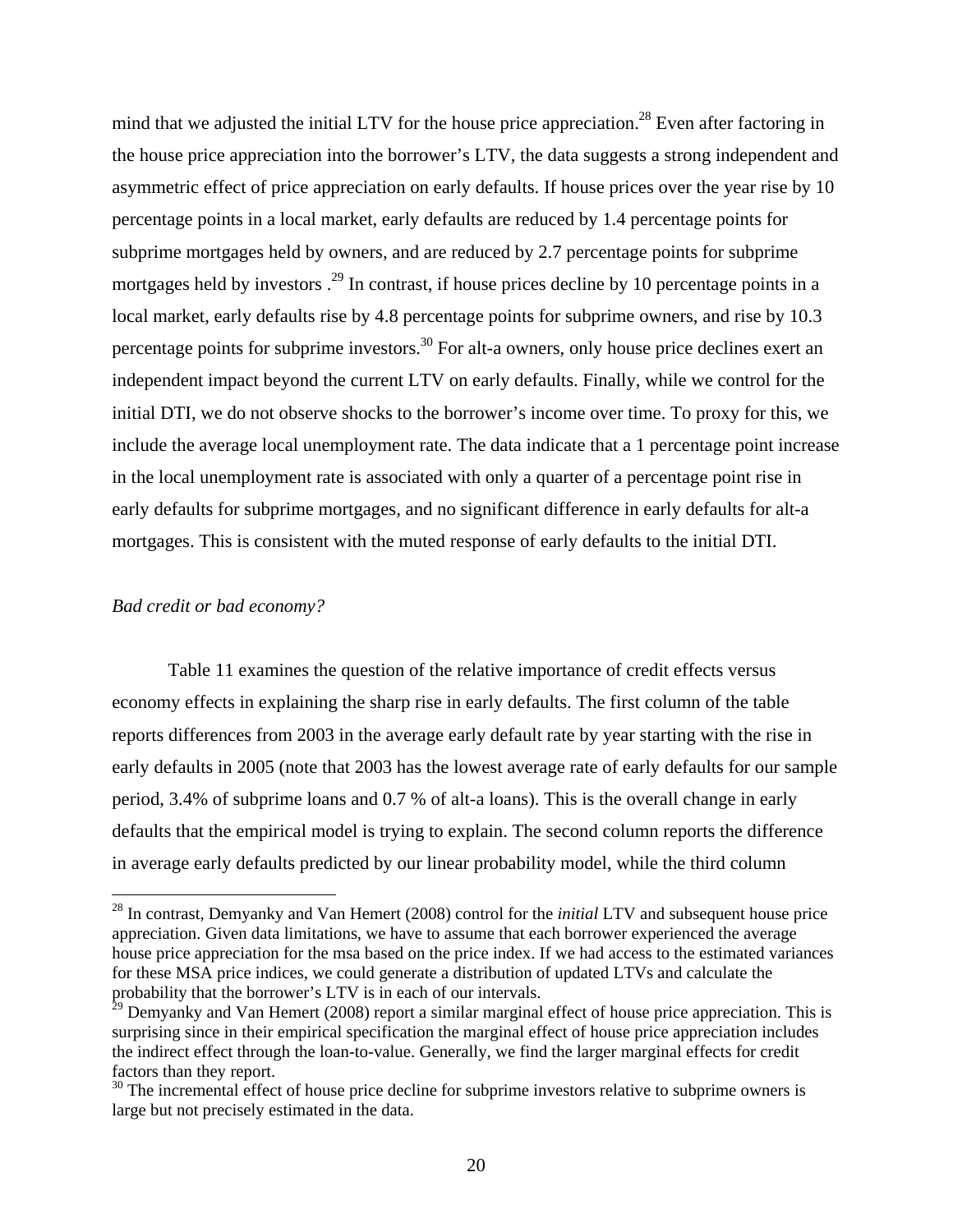mind that we adjusted the initial LTV for the house price appreciation.<sup>28</sup> Even after factoring in the house price appreciation into the borrower's LTV, the data suggests a strong independent and asymmetric effect of price appreciation on early defaults. If house prices over the year rise by 10 percentage points in a local market, early defaults are reduced by 1.4 percentage points for subprime mortgages held by owners, and are reduced by 2.7 percentage points for subprime mortgages held by investors  $^{29}$  In contrast, if house prices decline by 10 percentage points in a local market, early defaults rise by 4.8 percentage points for subprime owners, and rise by 10.3 percentage points for subprime investors.<sup>30</sup> For alt-a owners, only house price declines exert an independent impact beyond the current LTV on early defaults. Finally, while we control for the initial DTI, we do not observe shocks to the borrower's income over time. To proxy for this, we include the average local unemployment rate. The data indicate that a 1 percentage point increase in the local unemployment rate is associated with only a quarter of a percentage point rise in early defaults for subprime mortgages, and no significant difference in early defaults for alt-a mortgages. This is consistent with the muted response of early defaults to the initial DTI.

#### *Bad credit or bad economy?*

 $\overline{a}$ 

Table 11 examines the question of the relative importance of credit effects versus economy effects in explaining the sharp rise in early defaults. The first column of the table reports differences from 2003 in the average early default rate by year starting with the rise in early defaults in 2005 (note that 2003 has the lowest average rate of early defaults for our sample period, 3.4% of subprime loans and 0.7 % of alt-a loans). This is the overall change in early defaults that the empirical model is trying to explain. The second column reports the difference in average early defaults predicted by our linear probability model, while the third column

<sup>28</sup> In contrast, Demyanky and Van Hemert (2008) control for the *initial* LTV and subsequent house price appreciation. Given data limitations, we have to assume that each borrower experienced the average house price appreciation for the msa based on the price index. If we had access to the estimated variances for these MSA price indices, we could generate a distribution of updated LTVs and calculate the probability that the borrower's LTV is in each of our intervals.

 $^{29}$  Demyanky and Van Hemert (2008) report a similar marginal effect of house price appreciation. This is surprising since in their empirical specification the marginal effect of house price appreciation includes the indirect effect through the loan-to-value. Generally, we find the larger marginal effects for credit factors than they report.

<sup>&</sup>lt;sup>30</sup> The incremental effect of house price decline for subprime investors relative to subprime owners is large but not precisely estimated in the data.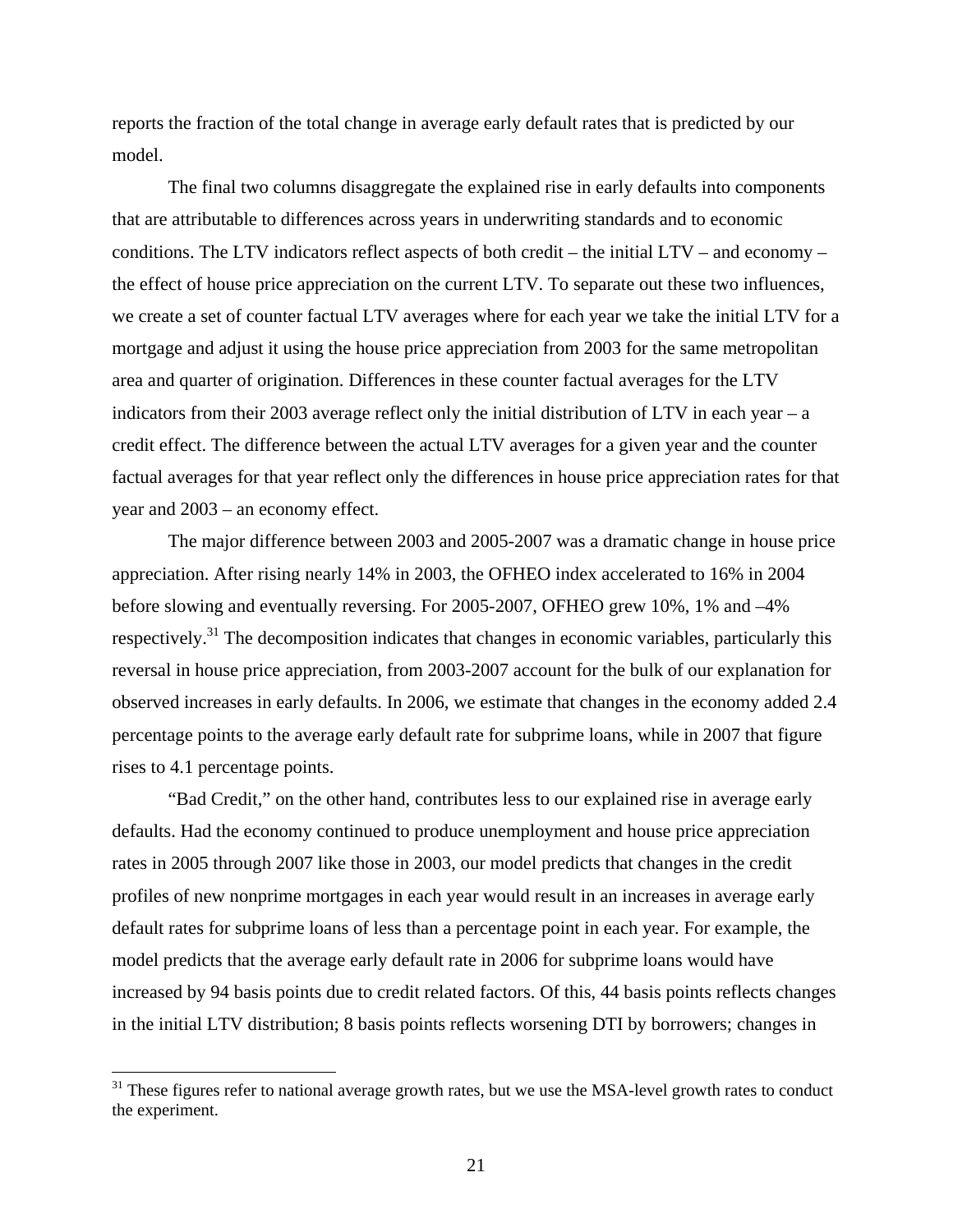reports the fraction of the total change in average early default rates that is predicted by our model.

The final two columns disaggregate the explained rise in early defaults into components that are attributable to differences across years in underwriting standards and to economic conditions. The LTV indicators reflect aspects of both credit – the initial LTV – and economy – the effect of house price appreciation on the current LTV. To separate out these two influences, we create a set of counter factual LTV averages where for each year we take the initial LTV for a mortgage and adjust it using the house price appreciation from 2003 for the same metropolitan area and quarter of origination. Differences in these counter factual averages for the LTV indicators from their 2003 average reflect only the initial distribution of LTV in each year – a credit effect. The difference between the actual LTV averages for a given year and the counter factual averages for that year reflect only the differences in house price appreciation rates for that year and 2003 – an economy effect.

The major difference between 2003 and 2005-2007 was a dramatic change in house price appreciation. After rising nearly 14% in 2003, the OFHEO index accelerated to 16% in 2004 before slowing and eventually reversing. For 2005-2007, OFHEO grew 10%, 1% and –4% respectively.<sup>31</sup> The decomposition indicates that changes in economic variables, particularly this reversal in house price appreciation, from 2003-2007 account for the bulk of our explanation for observed increases in early defaults. In 2006, we estimate that changes in the economy added 2.4 percentage points to the average early default rate for subprime loans, while in 2007 that figure rises to 4.1 percentage points.

"Bad Credit," on the other hand, contributes less to our explained rise in average early defaults. Had the economy continued to produce unemployment and house price appreciation rates in 2005 through 2007 like those in 2003, our model predicts that changes in the credit profiles of new nonprime mortgages in each year would result in an increases in average early default rates for subprime loans of less than a percentage point in each year. For example, the model predicts that the average early default rate in 2006 for subprime loans would have increased by 94 basis points due to credit related factors. Of this, 44 basis points reflects changes in the initial LTV distribution; 8 basis points reflects worsening DTI by borrowers; changes in

 $31$  These figures refer to national average growth rates, but we use the MSA-level growth rates to conduct the experiment.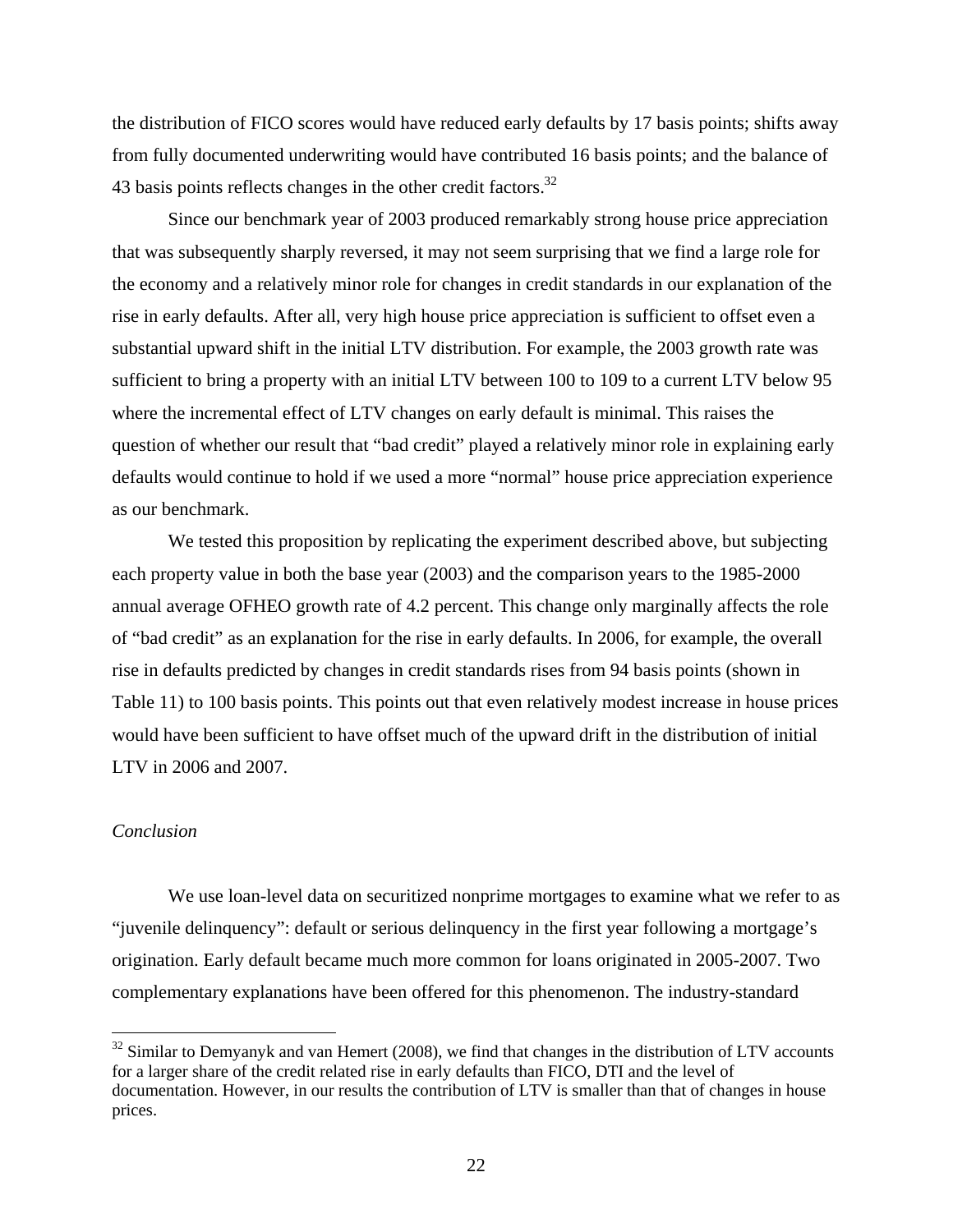the distribution of FICO scores would have reduced early defaults by 17 basis points; shifts away from fully documented underwriting would have contributed 16 basis points; and the balance of 43 basis points reflects changes in the other credit factors.<sup>32</sup>

Since our benchmark year of 2003 produced remarkably strong house price appreciation that was subsequently sharply reversed, it may not seem surprising that we find a large role for the economy and a relatively minor role for changes in credit standards in our explanation of the rise in early defaults. After all, very high house price appreciation is sufficient to offset even a substantial upward shift in the initial LTV distribution. For example, the 2003 growth rate was sufficient to bring a property with an initial LTV between 100 to 109 to a current LTV below 95 where the incremental effect of LTV changes on early default is minimal. This raises the question of whether our result that "bad credit" played a relatively minor role in explaining early defaults would continue to hold if we used a more "normal" house price appreciation experience as our benchmark.

We tested this proposition by replicating the experiment described above, but subjecting each property value in both the base year (2003) and the comparison years to the 1985-2000 annual average OFHEO growth rate of 4.2 percent. This change only marginally affects the role of "bad credit" as an explanation for the rise in early defaults. In 2006, for example, the overall rise in defaults predicted by changes in credit standards rises from 94 basis points (shown in Table 11) to 100 basis points. This points out that even relatively modest increase in house prices would have been sufficient to have offset much of the upward drift in the distribution of initial LTV in 2006 and 2007.

### *Conclusion*

 $\overline{a}$ 

 We use loan-level data on securitized nonprime mortgages to examine what we refer to as "juvenile delinquency": default or serious delinquency in the first year following a mortgage's origination. Early default became much more common for loans originated in 2005-2007. Two complementary explanations have been offered for this phenomenon. The industry-standard

 $32$  Similar to Demyanyk and van Hemert (2008), we find that changes in the distribution of LTV accounts for a larger share of the credit related rise in early defaults than FICO, DTI and the level of documentation. However, in our results the contribution of LTV is smaller than that of changes in house prices.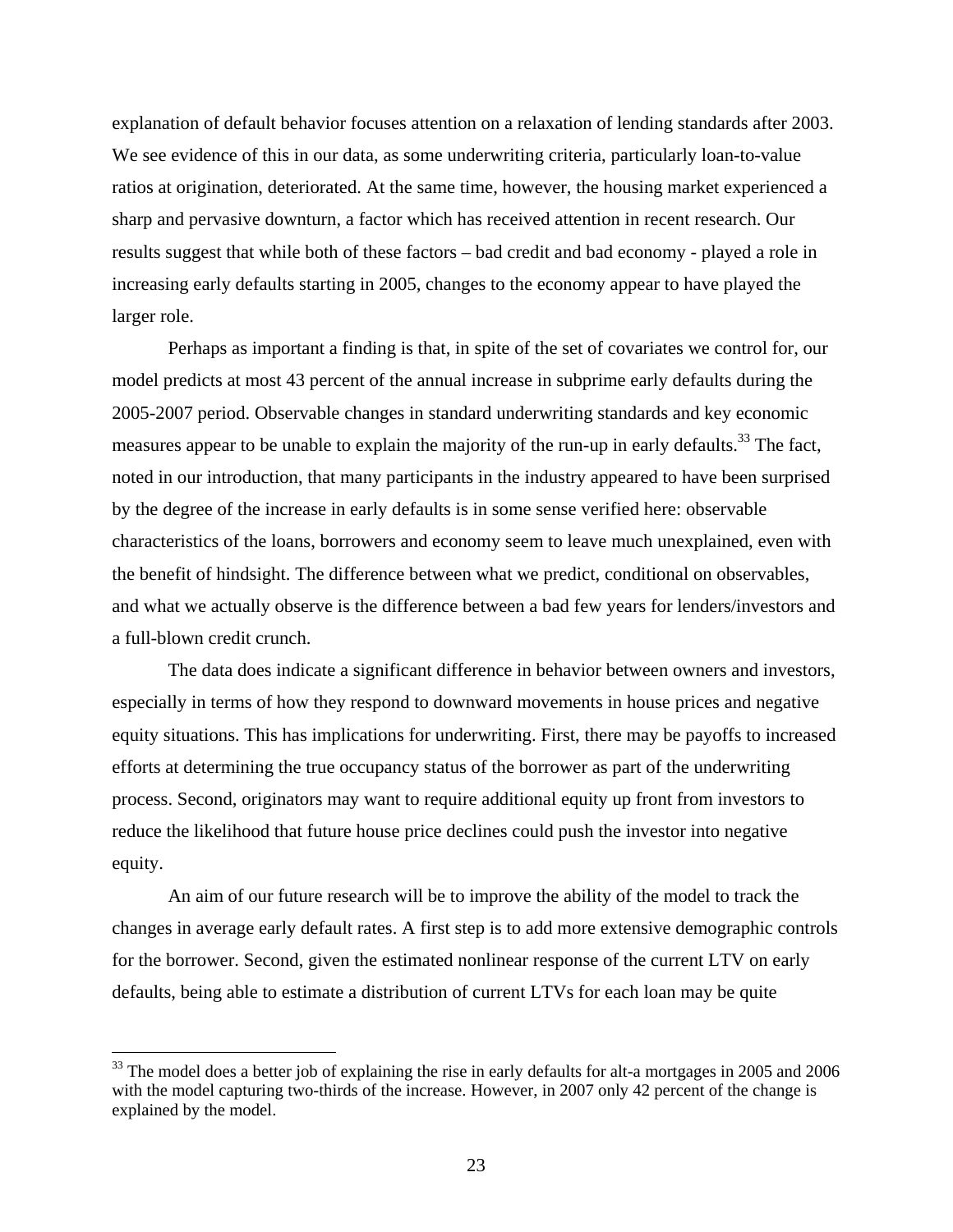explanation of default behavior focuses attention on a relaxation of lending standards after 2003. We see evidence of this in our data, as some underwriting criteria, particularly loan-to-value ratios at origination, deteriorated. At the same time, however, the housing market experienced a sharp and pervasive downturn, a factor which has received attention in recent research. Our results suggest that while both of these factors – bad credit and bad economy - played a role in increasing early defaults starting in 2005, changes to the economy appear to have played the larger role.

Perhaps as important a finding is that, in spite of the set of covariates we control for, our model predicts at most 43 percent of the annual increase in subprime early defaults during the 2005-2007 period. Observable changes in standard underwriting standards and key economic measures appear to be unable to explain the majority of the run-up in early defaults.<sup>33</sup> The fact, noted in our introduction, that many participants in the industry appeared to have been surprised by the degree of the increase in early defaults is in some sense verified here: observable characteristics of the loans, borrowers and economy seem to leave much unexplained, even with the benefit of hindsight. The difference between what we predict, conditional on observables, and what we actually observe is the difference between a bad few years for lenders/investors and a full-blown credit crunch.

The data does indicate a significant difference in behavior between owners and investors, especially in terms of how they respond to downward movements in house prices and negative equity situations. This has implications for underwriting. First, there may be payoffs to increased efforts at determining the true occupancy status of the borrower as part of the underwriting process. Second, originators may want to require additional equity up front from investors to reduce the likelihood that future house price declines could push the investor into negative equity.

An aim of our future research will be to improve the ability of the model to track the changes in average early default rates. A first step is to add more extensive demographic controls for the borrower. Second, given the estimated nonlinear response of the current LTV on early defaults, being able to estimate a distribution of current LTVs for each loan may be quite

<sup>&</sup>lt;sup>33</sup> The model does a better job of explaining the rise in early defaults for alt-a mortgages in 2005 and 2006 with the model capturing two-thirds of the increase. However, in 2007 only 42 percent of the change is explained by the model.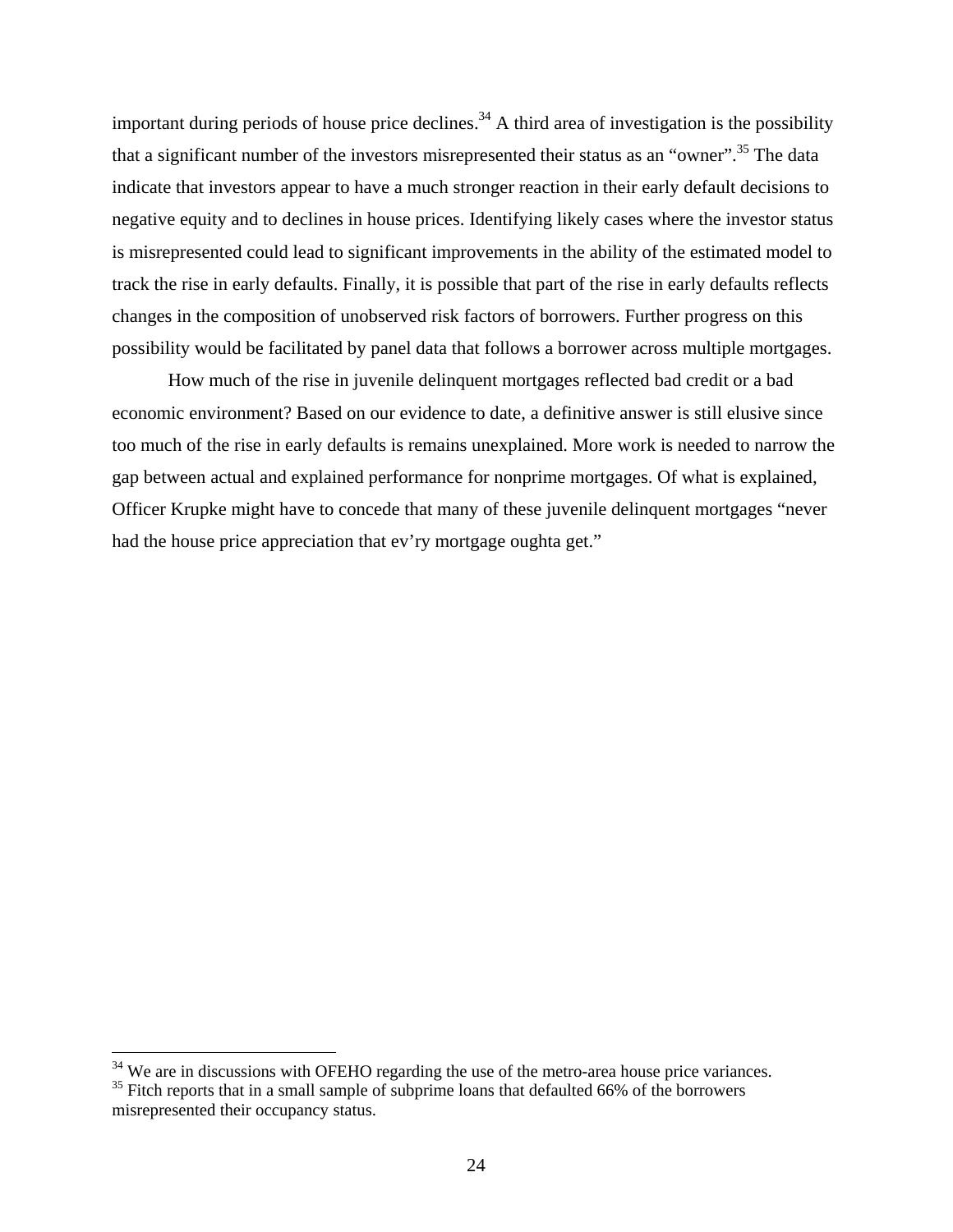important during periods of house price declines.<sup>34</sup> A third area of investigation is the possibility that a significant number of the investors misrepresented their status as an "owner".<sup>35</sup> The data indicate that investors appear to have a much stronger reaction in their early default decisions to negative equity and to declines in house prices. Identifying likely cases where the investor status is misrepresented could lead to significant improvements in the ability of the estimated model to track the rise in early defaults. Finally, it is possible that part of the rise in early defaults reflects changes in the composition of unobserved risk factors of borrowers. Further progress on this possibility would be facilitated by panel data that follows a borrower across multiple mortgages.

How much of the rise in juvenile delinquent mortgages reflected bad credit or a bad economic environment? Based on our evidence to date, a definitive answer is still elusive since too much of the rise in early defaults is remains unexplained. More work is needed to narrow the gap between actual and explained performance for nonprime mortgages. Of what is explained, Officer Krupke might have to concede that many of these juvenile delinquent mortgages "never had the house price appreciation that ev'ry mortgage oughta get."

 $34$  We are in discussions with OFEHO regarding the use of the metro-area house price variances.  $35$  Fitch reports that in a small sample of subprime loans that defaulted 66% of the borrowers misrepresented their occupancy status.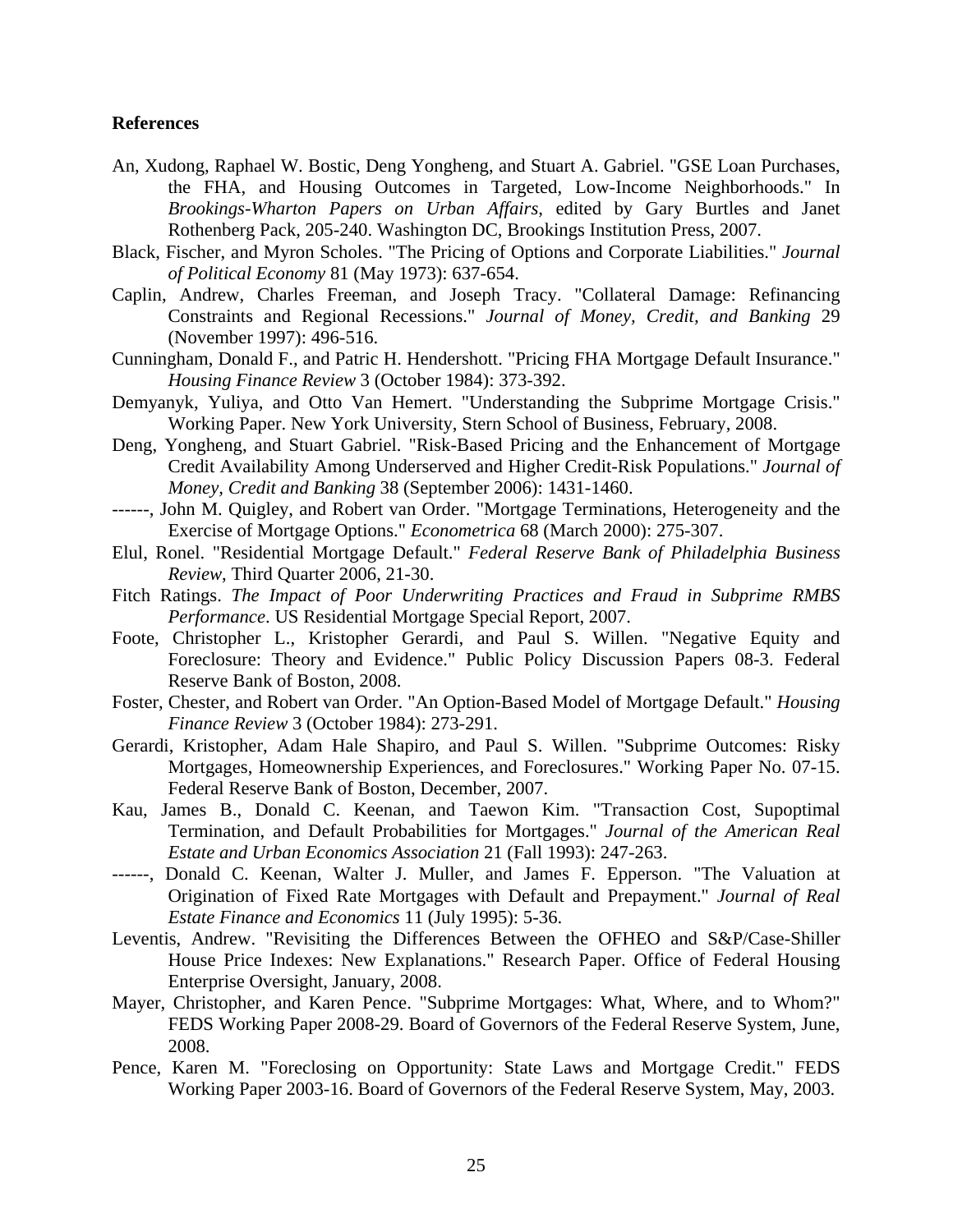#### **References**

- An, Xudong, Raphael W. Bostic, Deng Yongheng, and Stuart A. Gabriel. "GSE Loan Purchases, the FHA, and Housing Outcomes in Targeted, Low-Income Neighborhoods." In *Brookings-Wharton Papers on Urban Affairs*, edited by Gary Burtles and Janet Rothenberg Pack, 205-240. Washington DC, Brookings Institution Press, 2007.
- Black, Fischer, and Myron Scholes. "The Pricing of Options and Corporate Liabilities." *Journal of Political Economy* 81 (May 1973): 637-654.
- Caplin, Andrew, Charles Freeman, and Joseph Tracy. "Collateral Damage: Refinancing Constraints and Regional Recessions." *Journal of Money, Credit, and Banking* 29 (November 1997): 496-516.
- Cunningham, Donald F., and Patric H. Hendershott. "Pricing FHA Mortgage Default Insurance." *Housing Finance Review* 3 (October 1984): 373-392.
- Demyanyk, Yuliya, and Otto Van Hemert. "Understanding the Subprime Mortgage Crisis." Working Paper. New York University, Stern School of Business, February, 2008.
- Deng, Yongheng, and Stuart Gabriel. "Risk-Based Pricing and the Enhancement of Mortgage Credit Availability Among Underserved and Higher Credit-Risk Populations." *Journal of Money, Credit and Banking* 38 (September 2006): 1431-1460.
- ------, John M. Quigley, and Robert van Order. "Mortgage Terminations, Heterogeneity and the Exercise of Mortgage Options." *Econometrica* 68 (March 2000): 275-307.
- Elul, Ronel. "Residential Mortgage Default." *Federal Reserve Bank of Philadelphia Business Review*, Third Quarter 2006, 21-30.
- Fitch Ratings. *The Impact of Poor Underwriting Practices and Fraud in Subprime RMBS Performance*. US Residential Mortgage Special Report, 2007.
- Foote, Christopher L., Kristopher Gerardi, and Paul S. Willen. "Negative Equity and Foreclosure: Theory and Evidence." Public Policy Discussion Papers 08-3. Federal Reserve Bank of Boston, 2008.
- Foster, Chester, and Robert van Order. "An Option-Based Model of Mortgage Default." *Housing Finance Review* 3 (October 1984): 273-291.
- Gerardi, Kristopher, Adam Hale Shapiro, and Paul S. Willen. "Subprime Outcomes: Risky Mortgages, Homeownership Experiences, and Foreclosures." Working Paper No. 07-15. Federal Reserve Bank of Boston, December, 2007.
- Kau, James B., Donald C. Keenan, and Taewon Kim. "Transaction Cost, Supoptimal Termination, and Default Probabilities for Mortgages." *Journal of the American Real Estate and Urban Economics Association* 21 (Fall 1993): 247-263.
- ------, Donald C. Keenan, Walter J. Muller, and James F. Epperson. "The Valuation at Origination of Fixed Rate Mortgages with Default and Prepayment." *Journal of Real Estate Finance and Economics* 11 (July 1995): 5-36.
- Leventis, Andrew. "Revisiting the Differences Between the OFHEO and S&P/Case-Shiller House Price Indexes: New Explanations." Research Paper. Office of Federal Housing Enterprise Oversight, January, 2008.
- Mayer, Christopher, and Karen Pence. "Subprime Mortgages: What, Where, and to Whom?" FEDS Working Paper 2008-29. Board of Governors of the Federal Reserve System, June, 2008.
- Pence, Karen M. "Foreclosing on Opportunity: State Laws and Mortgage Credit." FEDS Working Paper 2003-16. Board of Governors of the Federal Reserve System, May, 2003.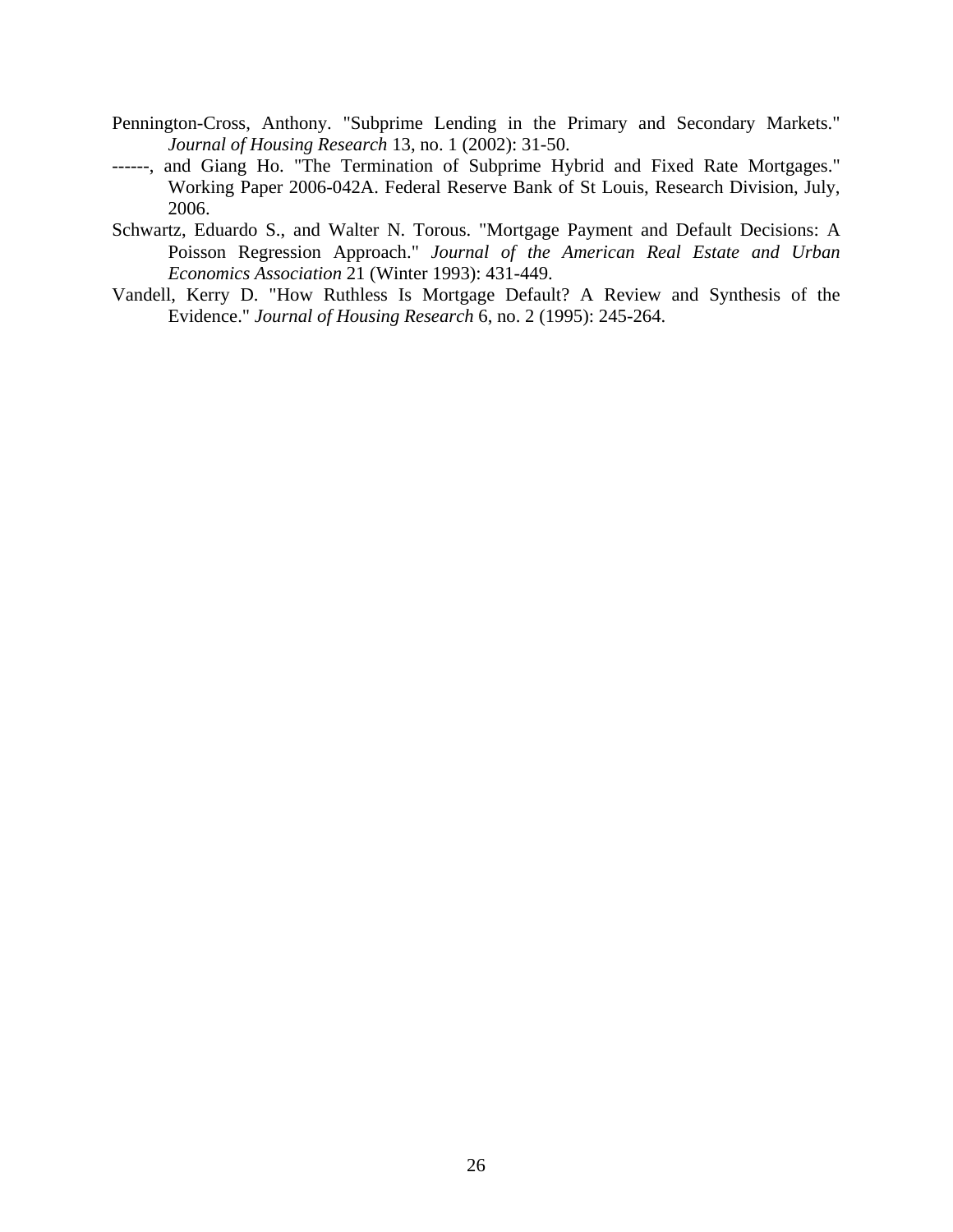- Pennington-Cross, Anthony. "Subprime Lending in the Primary and Secondary Markets." *Journal of Housing Research* 13, no. 1 (2002): 31-50.
- ------, and Giang Ho. "The Termination of Subprime Hybrid and Fixed Rate Mortgages." Working Paper 2006-042A. Federal Reserve Bank of St Louis, Research Division, July, 2006.
- Schwartz, Eduardo S., and Walter N. Torous. "Mortgage Payment and Default Decisions: A Poisson Regression Approach." *Journal of the American Real Estate and Urban Economics Association* 21 (Winter 1993): 431-449.
- Vandell, Kerry D. "How Ruthless Is Mortgage Default? A Review and Synthesis of the Evidence." *Journal of Housing Research* 6, no. 2 (1995): 245-264.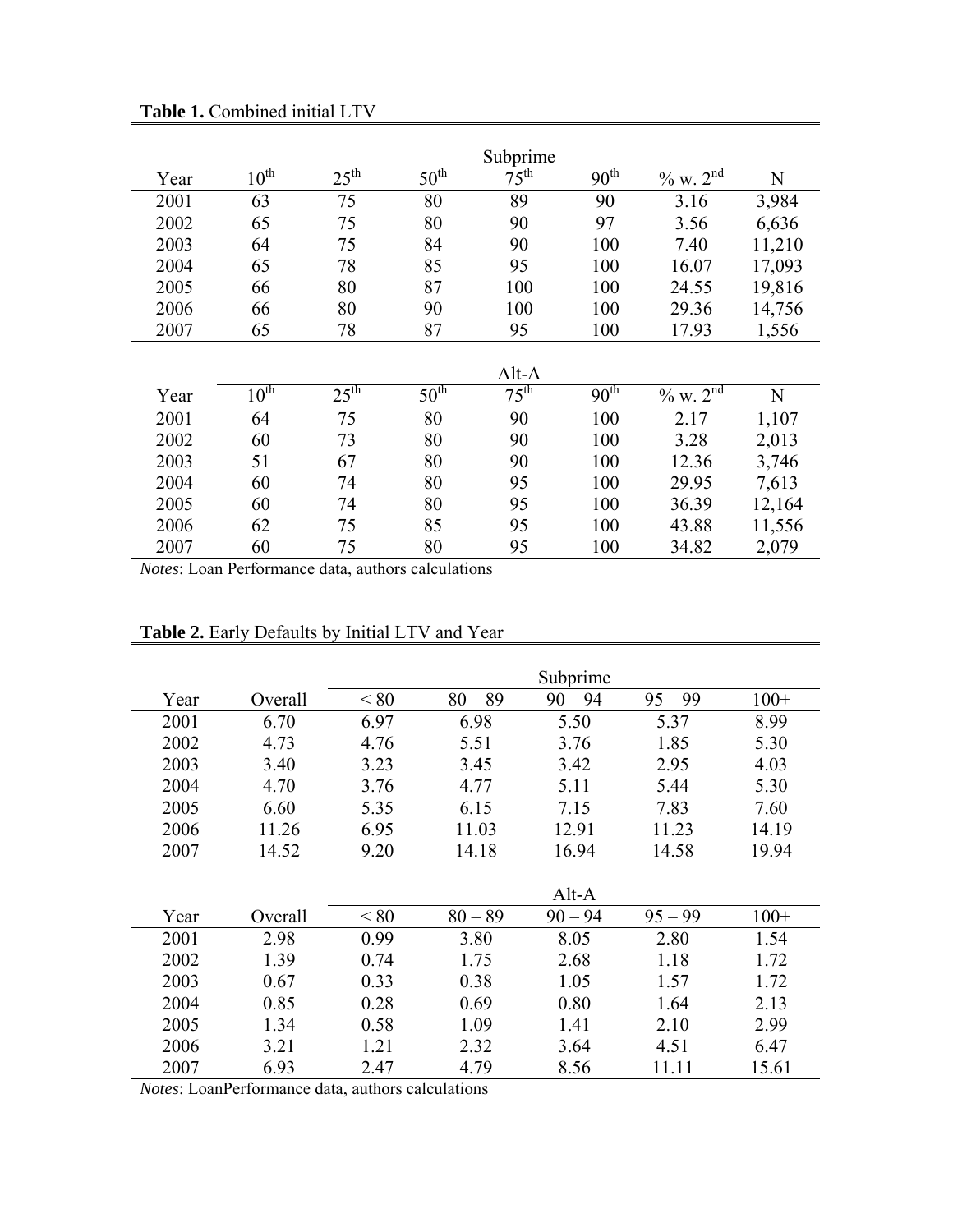|      |           |                  |                  | Subprime         |                  |                             |        |
|------|-----------|------------------|------------------|------------------|------------------|-----------------------------|--------|
| Year | $10^{th}$ | $25^{\text{th}}$ | 50 <sup>th</sup> | $75^{\text{th}}$ | 90 <sup>th</sup> | $\%$ w. $2^{nd}$            | N      |
| 2001 | 63        | 75               | 80               | 89               | 90               | 3.16                        | 3,984  |
| 2002 | 65        | 75               | 80               | 90               | 97               | 3.56                        | 6,636  |
| 2003 | 64        | 75               | 84               | 90               | 100              | 7.40                        | 11,210 |
| 2004 | 65        | 78               | 85               | 95               | 100              | 16.07                       | 17,093 |
| 2005 | 66        | 80               | 87               | 100              | 100              | 24.55                       | 19,816 |
| 2006 | 66        | 80               | 90               | 100              | 100              | 29.36                       | 14,756 |
| 2007 | 65        | 78               | 87               | 95               | 100              | 17.93                       | 1,556  |
|      |           |                  |                  |                  |                  |                             |        |
|      |           |                  |                  | Alt-A            |                  |                             |        |
| Year | $10^{th}$ | $25^{\text{th}}$ | $50^{\text{th}}$ | $75^{\text{th}}$ | 90 <sup>th</sup> | $\%$ w. $2^{\overline{nd}}$ | N      |
| 2001 | 64        | 75               | 80               | 90               | 100              | 2.17                        | 1,107  |
| 2002 | 60        | 73               | 80               | 90               | 100              | 3.28                        | 2,013  |
| 2003 | 51        | 67               | 80               | 90               | 100              | 12.36                       | 3,746  |
| 2004 | 60        | 74               | 80               | 95               | 100              | 29.95                       | 7,613  |
| 2005 | 60        | 74               | 80               | 95               | 100              | 36.39                       | 12,164 |
| 2006 | 62        | 75               | 85               | 95               | 100              | 43.88                       | 11,556 |
| 2007 | 60        | 75               | 80               | 95               | 100              | 34.82                       | 2,079  |

*Notes*: Loan Performance data, authors calculations

|      |         |      |           | Subprime  |           |        |
|------|---------|------|-----------|-----------|-----------|--------|
| Year | Overall | < 80 | $80 - 89$ | $90 - 94$ | $95 - 99$ | $100+$ |
| 2001 | 6.70    | 6.97 | 6.98      | 5.50      | 5.37      | 8.99   |
| 2002 | 4.73    | 4.76 | 5.51      | 3.76      | 1.85      | 5.30   |
| 2003 | 3.40    | 3.23 | 3.45      | 3.42      | 2.95      | 4.03   |
| 2004 | 4.70    | 3.76 | 4.77      | 5.11      | 5.44      | 5.30   |
| 2005 | 6.60    | 5.35 | 6.15      | 7.15      | 7.83      | 7.60   |
| 2006 | 11.26   | 6.95 | 11.03     | 12.91     | 11.23     | 14.19  |
| 2007 | 14.52   | 9.20 | 14.18     | 16.94     | 14.58     | 19.94  |
|      |         |      |           |           |           |        |
|      |         |      |           | Alt-A     |           |        |
| Year | Overall | < 80 | $80 - 89$ | $90 - 94$ | $95 - 99$ | $100+$ |
| 2001 | 2.98    | 0.99 | 3.80      | 8.05      | 2.80      | 1.54   |
| 2002 | 1.39    | 0.74 | 1.75      | 2.68      | 1.18      | 1.72   |
| 2003 | 0.67    | 0.33 | 0.38      | 1.05      | 1.57      | 1.72   |
| 2004 | 0.85    | 0.28 | 0.69      | 0.80      | 1.64      | 2.13   |
| 2005 | 1.34    | 0.58 | 1.09      | 1.41      | 2.10      | 2.99   |
| 2006 | 3.21    | 1.21 | 2.32      | 3.64      | 4.51      | 6.47   |
| 2007 | 6.93    | 2.47 | 4.79      | 8.56      | 11.11     | 15.61  |

### **Table 2.** Early Defaults by Initial LTV and Year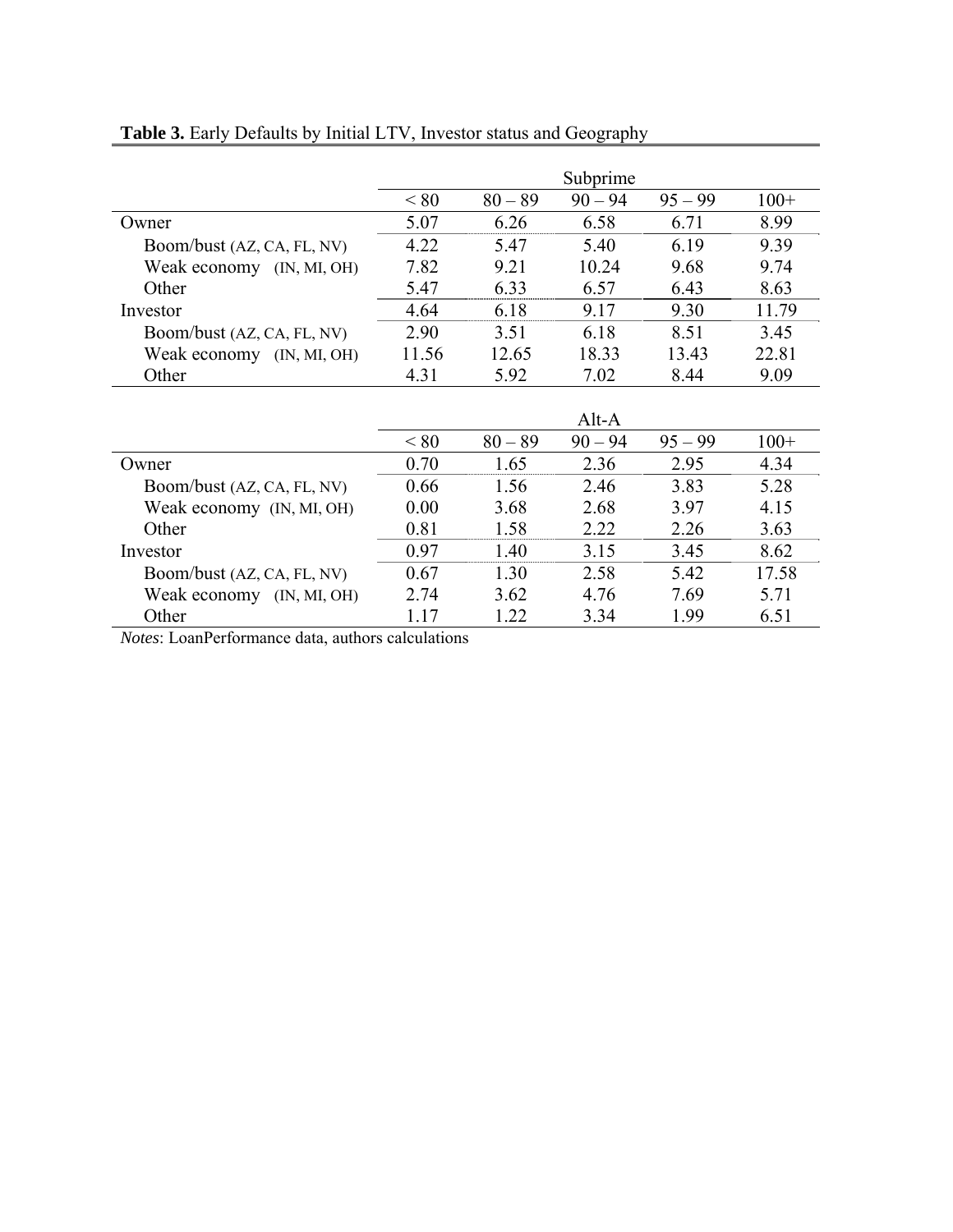|                              |       |           | Subprime  |           |        |
|------------------------------|-------|-----------|-----------|-----------|--------|
|                              | < 80  | $80 - 89$ | $90 - 94$ | $95 - 99$ | $100+$ |
| Owner)                       | 5.07  | 6.26      | 6.58      | 6.71      | 8.99   |
| Boom/bust (AZ, CA, FL, NV)   | 4.22  | 5.47      | 5.40      | 6.19      | 9.39   |
| Weak economy<br>(IN, MI, OH) | 7.82  | 9.21      | 10.24     | 9.68      | 9.74   |
| Other                        | 5.47  | 6.33      | 6.57      | 6.43      | 8.63   |
| Investor                     | 4.64  | 6.18      | 9 1 7     | 9.30      | 11.79  |
| Boom/bust (AZ, CA, FL, NV)   | 2.90  | 3.51      | 6.18      | 8.51      | 3.45   |
| Weak economy<br>(IN, MI, OH) | 11.56 | 12.65     | 18.33     | 13.43     | 22.81  |
| Other                        | 4.31  | 5.92      | 7.02      | 8.44      | 9.09   |

# **Table 3.** Early Defaults by Initial LTV, Investor status and Geography

|      |           | Alt-A     |           |        |
|------|-----------|-----------|-----------|--------|
| < 80 | $80 - 89$ | $90 - 94$ | $95 - 99$ | $100+$ |
| 0.70 | 1.65      | 2.36      | 2.95      | 4.34   |
| 0.66 | 1.56      | 2.46      | 3.83      | 5.28   |
| 0.00 | 3.68      | 2.68      | 3.97      | 4.15   |
| 0.81 | 1.58      | 2.22      | 2.26      | 3.63   |
| 0.97 | 1.40      | 3.15      | 3.45      | 8.62   |
| 0.67 | 1.30      | 2.58      | 5.42      | 17.58  |
| 2.74 | 3.62      | 4.76      | 7.69      | 5.71   |
| 1.17 | 1.22      | 3.34      | 1.99      | 6.51   |
|      |           |           |           |        |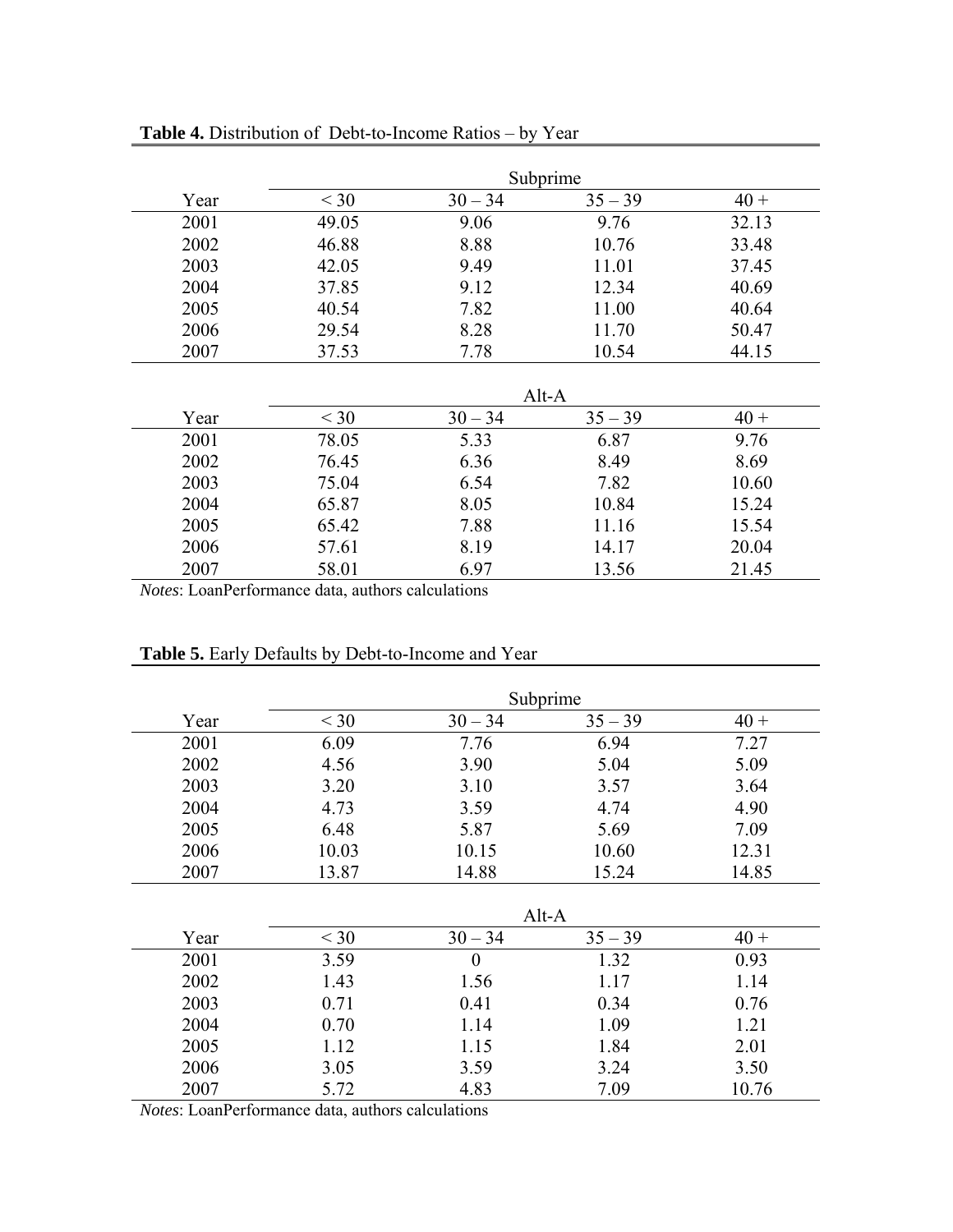|      | Subprime |           |           |        |  |
|------|----------|-----------|-----------|--------|--|
| Year | $<$ 30   | $30 - 34$ | $35 - 39$ | $40 +$ |  |
| 2001 | 49.05    | 9.06      | 9.76      | 32.13  |  |
| 2002 | 46.88    | 8.88      | 10.76     | 33.48  |  |
| 2003 | 42.05    | 9.49      | 11.01     | 37.45  |  |
| 2004 | 37.85    | 9.12      | 12.34     | 40.69  |  |
| 2005 | 40.54    | 7.82      | 11.00     | 40.64  |  |
| 2006 | 29.54    | 8.28      | 11.70     | 50.47  |  |
| 2007 | 37.53    | 7.78      | 10.54     | 44.15  |  |
|      |          |           |           |        |  |
|      |          |           | Alt-A     |        |  |
| Year | $<$ 30   | $30 - 34$ | $35 - 39$ | $40 +$ |  |
| 2001 | 78.05    | 5.33      | 6.87      | 9.76   |  |
| 2002 | 76.45    | 6.36      | 8.49      | 8.69   |  |
| 2003 | 75.04    | 6.54      | 7.82      | 10.60  |  |
| 2004 | 65.87    | 8.05      | 10.84     | 15.24  |  |
| 2005 | 65.42    | 7.88      | 11.16     | 15.54  |  |
| 2006 | 57.61    | 8.19      | 14.17     | 20.04  |  |
| 2007 | 58.01    | 6.97      | 13.56     | 21.45  |  |

**Table 4.** Distribution of Debt-to-Income Ratios – by Year

*Notes*: LoanPerformance data, authors calculations

|  |  |  |  | Table 5. Early Defaults by Debt-to-Income and Year |  |  |
|--|--|--|--|----------------------------------------------------|--|--|
|--|--|--|--|----------------------------------------------------|--|--|

|      | Subprime |                  |           |        |  |
|------|----------|------------------|-----------|--------|--|
| Year | $<$ 30   | $30 - 34$        | $35 - 39$ | $40 +$ |  |
| 2001 | 6.09     | 7.76             | 6.94      | 7.27   |  |
| 2002 | 4.56     | 3.90             | 5.04      | 5.09   |  |
| 2003 | 3.20     | 3.10             | 3.57      | 3.64   |  |
| 2004 | 4.73     | 3.59             | 4.74      | 4.90   |  |
| 2005 | 6.48     | 5.87             | 5.69      | 7.09   |  |
| 2006 | 10.03    | 10.15            | 10.60     | 12.31  |  |
| 2007 | 13.87    | 14.88            | 15.24     | 14.85  |  |
|      |          |                  |           |        |  |
|      |          |                  | $Alt-A$   |        |  |
| Year | $<$ 30   | $30 - 34$        | $35 - 39$ | $40 +$ |  |
| 2001 | 3.59     | $\boldsymbol{0}$ | 1.32      | 0.93   |  |
| 2002 | 1.43     | 1.56             | 1.17      | 1.14   |  |
| 2003 | 0.71     | 0.41             | 0.34      | 0.76   |  |
| 2004 | 0.70     | 1.14             | 1.09      | 1.21   |  |
| 2005 | 1.12     | 1.15             | 1.84      | 2.01   |  |
| 2006 | 3.05     | 3.59             | 3.24      | 3.50   |  |
| 2007 | 5.72     | 4.83             | 7.09      | 10.76  |  |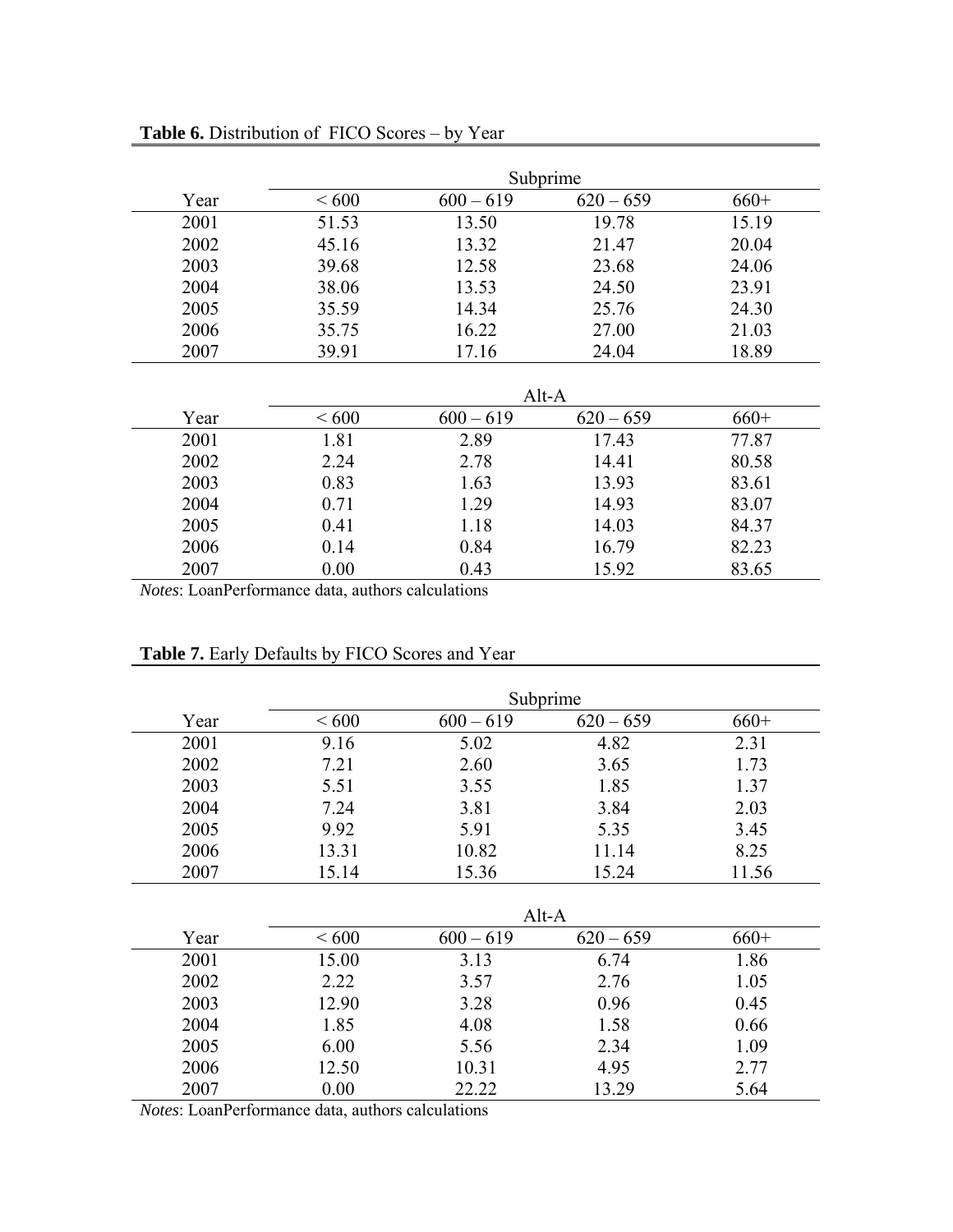|      | Subprime  |             |             |        |  |  |
|------|-----------|-------------|-------------|--------|--|--|
| Year | ${}< 600$ | $600 - 619$ | $620 - 659$ | $660+$ |  |  |
| 2001 | 51.53     | 13.50       | 19.78       | 15.19  |  |  |
| 2002 | 45.16     | 13.32       | 21.47       | 20.04  |  |  |
| 2003 | 39.68     | 12.58       | 23.68       | 24.06  |  |  |
| 2004 | 38.06     | 13.53       | 24.50       | 23.91  |  |  |
| 2005 | 35.59     | 14.34       | 25.76       | 24.30  |  |  |
| 2006 | 35.75     | 16.22       | 27.00       | 21.03  |  |  |
| 2007 | 39.91     | 17.16       | 24.04       | 18.89  |  |  |
|      |           |             |             |        |  |  |
|      |           |             | $Alt-A$     |        |  |  |
| Year | ${}< 600$ | $600 - 619$ | $620 - 659$ | $660+$ |  |  |
| 2001 | 1.81      | 2.89        | 17.43       | 77.87  |  |  |
| 2002 | 2.24      | 2.78        | 14.41       | 80.58  |  |  |
| 2003 | 0.83      | 1.63        | 13.93       | 83.61  |  |  |
| 2004 | 0.71      | 1.29        | 14.93       | 83.07  |  |  |
| 2005 | 0.41      | 1.18        | 14.03       | 84.37  |  |  |
| 2006 | 0.14      | 0.84        | 16.79       | 82.23  |  |  |
| 2007 | 0.00      | 0.43        | 15.92       | 83.65  |  |  |

# **Table 6.** Distribution of FICO Scores – by Year

*Notes*: LoanPerformance data, authors calculations

# **Table 7.** Early Defaults by FICO Scores and Year

|      | Subprime |             |             |        |  |
|------|----------|-------------|-------------|--------|--|
| Year | ${}<600$ | $600 - 619$ | $620 - 659$ | $660+$ |  |
| 2001 | 9.16     | 5.02        | 4.82        | 2.31   |  |
| 2002 | 7.21     | 2.60        | 3.65        | 1.73   |  |
| 2003 | 5.51     | 3.55        | 1.85        | 1.37   |  |
| 2004 | 7.24     | 3.81        | 3.84        | 2.03   |  |
| 2005 | 9.92     | 5.91        | 5.35        | 3.45   |  |
| 2006 | 13.31    | 10.82       | 11.14       | 8.25   |  |
| 2007 | 15.14    | 15.36       | 15.24       | 11.56  |  |
|      |          |             |             |        |  |
|      |          |             | $Alt-A$     |        |  |
| Year | ${}<600$ | $600 - 619$ | $620 - 659$ | $660+$ |  |
| 2001 | 15.00    | 3.13        | 6.74        | 1.86   |  |
| 2002 | 2.22     | 3.57        | 2.76        | 1.05   |  |
| 2003 | 12.90    | 3.28        | 0.96        | 0.45   |  |
| 2004 | 1.85     | 4.08        | 1.58        | 0.66   |  |
| 2005 | 6.00     | 5.56        | 2.34        | 1.09   |  |

2006 12.50 10.31 4.95 2.77 2007 0.00 22.22 13.29 5.64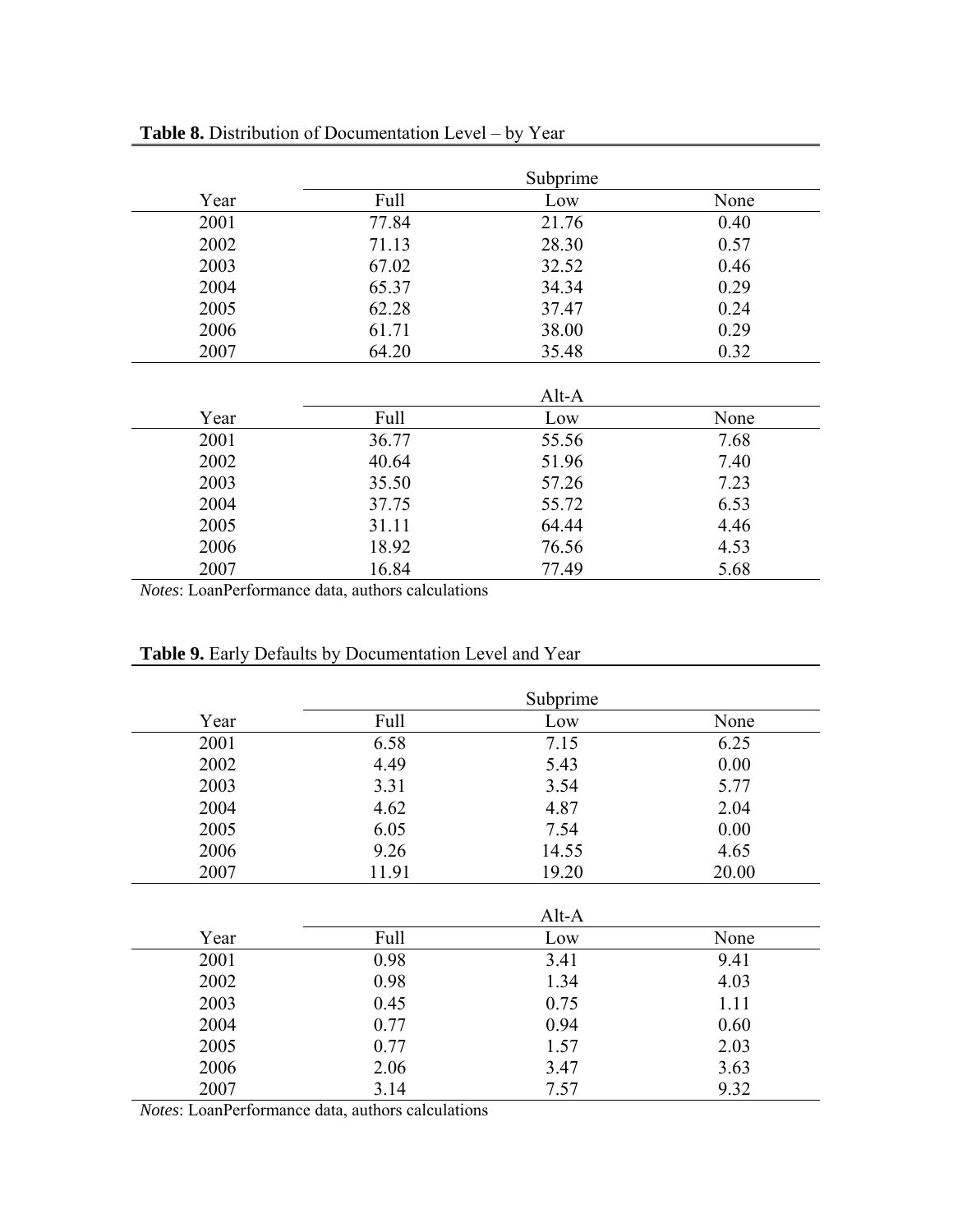|      |       | Subprime |      |
|------|-------|----------|------|
| Year | Full  | Low      | None |
| 2001 | 77.84 | 21.76    | 0.40 |
| 2002 | 71.13 | 28.30    | 0.57 |
| 2003 | 67.02 | 32.52    | 0.46 |
| 2004 | 65.37 | 34.34    | 0.29 |
| 2005 | 62.28 | 37.47    | 0.24 |
| 2006 | 61.71 | 38.00    | 0.29 |
| 2007 | 64.20 | 35.48    | 0.32 |
|      |       |          |      |
|      |       | $Alt-A$  |      |
| Year | Full  | Low      | None |
| 2001 | 36.77 | 55.56    | 7.68 |
| 2002 | 40.64 | 51.96    | 7.40 |
| 2003 | 35.50 | 57.26    | 7.23 |
| 2004 | 37.75 | 55.72    | 6.53 |
| 2005 | 31.11 | 64.44    | 4.46 |
| 2006 | 18.92 | 76.56    | 4.53 |
| 2007 | 16.84 | 77.49    | 5.68 |

|  |  |  | <b>Table 8.</b> Distribution of Documentation Level – by Year |  |
|--|--|--|---------------------------------------------------------------|--|
|--|--|--|---------------------------------------------------------------|--|

*Notes*: LoanPerformance data, authors calculations

|      |             | Subprime |       |
|------|-------------|----------|-------|
| Year | <b>Full</b> | Low      | None  |
| 2001 | 6.58        | 7.15     | 6.25  |
| 2002 | 4.49        | 5.43     | 0.00  |
| 2003 | 3.31        | 3.54     | 5.77  |
| 2004 | 4.62        | 4.87     | 2.04  |
| 2005 | 6.05        | 7.54     | 0.00  |
| 2006 | 9.26        | 14.55    | 4.65  |
| 2007 | 11.91       | 19.20    | 20.00 |
|      |             |          |       |
|      |             | $Alt-A$  |       |
| Year | Full        | Low      | None  |
| 2001 | 0.98        | 3.41     | 9.41  |
| 2002 | 0.98        | 1.34     | 4.03  |
| 2003 | 0.45        | 0.75     | 1.11  |
| 2004 | 0.77        | 0.94     | 0.60  |
| 2005 | 0.77        | 1.57     | 2.03  |
| 2006 | 2.06        | 3.47     | 3.63  |
| 2007 | 3.14        | 7.57     | 9.32  |

 $\overline{\phantom{a}}$ 

# **Table 9.** Early Defaults by Documentation Level and Year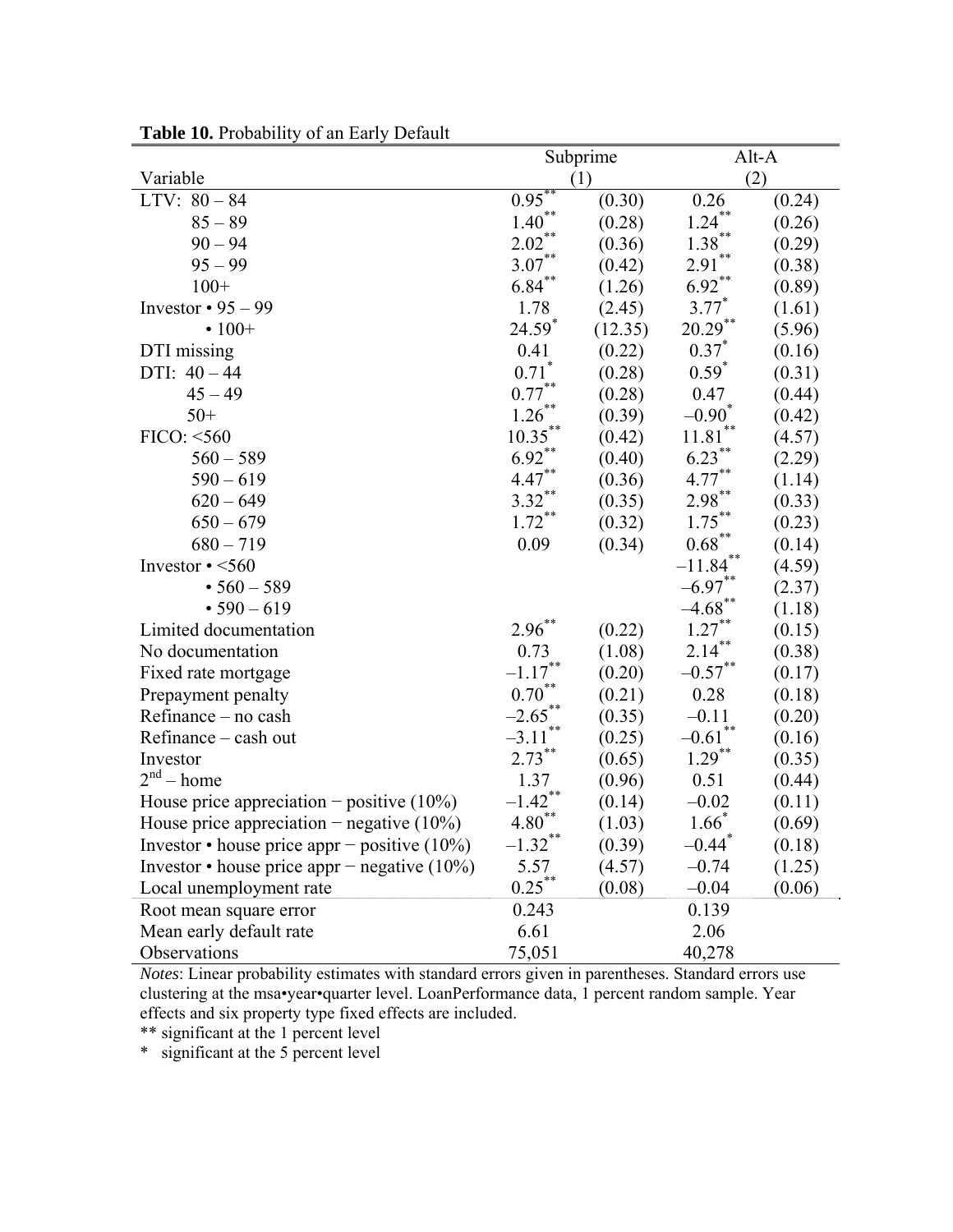|                                                 | Subprime              |         | Alt-A                 |        |
|-------------------------------------------------|-----------------------|---------|-----------------------|--------|
| Variable                                        | (1)                   |         | (2)                   |        |
| LTV: $80 - 84$                                  | 0.95                  | (0.30)  | 0.26                  | (0.24) |
| $85 - 89$                                       | $1.40***$             | (0.28)  | $1.24***$             | (0.26) |
| $90 - 94$                                       | $2.02***$             | (0.36)  | $1.38***$             | (0.29) |
| $95 - 99$                                       | $3.07***$             | (0.42)  | $2.91***$             | (0.38) |
| $100+$                                          | $6.84***$             | (1.26)  | $6.92***$             | (0.89) |
| Investor $\cdot$ 95 - 99                        | 1.78                  | (2.45)  | $3.77*$               | (1.61) |
| $\cdot$ 100+                                    | $24.59^*$             | (12.35) | $20.29$ **            | (5.96) |
| DTI missing                                     | 0.41                  | (0.22)  | $0.37*$               | (0.16) |
| DTI: $40 - 44$                                  | $0.71$ <sup>*</sup>   | (0.28)  | $0.59^*$              | (0.31) |
| $45 - 49$                                       | $0.77^{\ast\ast}$     | (0.28)  | 0.47                  | (0.44) |
| $50+$                                           | $1.26***$             | (0.39)  | $-0.90$ <sup>*</sup>  | (0.42) |
| FICO: <560                                      | $10.35***$            | (0.42)  | $11.81***$            | (4.57) |
| $560 - 589$                                     | $6.92***$             | (0.40)  | $6.23***$             | (2.29) |
| $590 - 619$                                     | $4.47***$             | (0.36)  | $4.77***$             | (1.14) |
| $620 - 649$                                     | $3.32***$             | (0.35)  | $2.98***$             | (0.33) |
| $650 - 679$                                     | $1.72***$             | (0.32)  | $1.75***$             | (0.23) |
| $680 - 719$                                     | 0.09                  | (0.34)  | $0.68^{**}$           | (0.14) |
| Investor $\cdot$ <560                           |                       |         | $-11.84$ **           | (4.59) |
| $•560 - 589$                                    |                       |         | $-6.97**$             | (2.37) |
| $•590 - 619$                                    |                       |         | $-4.68$ <sup>**</sup> | (1.18) |
| Limited documentation                           | $2.96^{**}$           | (0.22)  | $1.27***$             | (0.15) |
| No documentation                                | 0.73                  | (1.08)  | $2.14***$             | (0.38) |
| Fixed rate mortgage                             | $-1.17$ <sup>**</sup> | (0.20)  | $-0.57$ <sup>**</sup> | (0.17) |
| Prepayment penalty                              | $0.70***$             | (0.21)  | 0.28                  | (0.18) |
| Refinance - no cash                             | $-2.65$ **            | (0.35)  | $-0.11$               | (0.20) |
| Refinance – cash out                            | $-3.11$ <sup>**</sup> | (0.25)  | $-0.61$ <sup>**</sup> | (0.16) |
| Investor                                        | $2.73***$             | (0.65)  | $1.29***$             | (0.35) |
| $2nd$ – home                                    | 1.37                  | (0.96)  | 0.51                  | (0.44) |
| House price appreciation – positive $(10\%)$    | $-1.42$ <sup>**</sup> | (0.14)  | $-0.02$               | (0.11) |
| House price appreciation – negative $(10\%)$    | $4.80***$             | (1.03)  | $1.66*$               | (0.69) |
| Investor • house price appr – positive $(10\%)$ | $-1.32$ <sup>**</sup> | (0.39)  | $-0.44$ <sup>*</sup>  | (0.18) |
| Investor • house price appr – negative $(10\%)$ | 5.57                  | (4.57)  | $-0.74$               | (1.25) |
| Local unemployment rate                         | $0.25$ **             | (0.08)  | $-0.04$               | (0.06) |
| Root mean square error                          | 0.243                 |         | 0.139                 |        |
| Mean early default rate                         | 6.61                  |         | 2.06                  |        |
| Observations                                    | 75,051                |         | 40,278                |        |

**Table 10.** Probability of an Early Default

*Notes*: Linear probability estimates with standard errors given in parentheses. Standard errors use clustering at the msa•year•quarter level. LoanPerformance data, 1 percent random sample. Year effects and six property type fixed effects are included.

\*\* significant at the 1 percent level

\* significant at the 5 percent level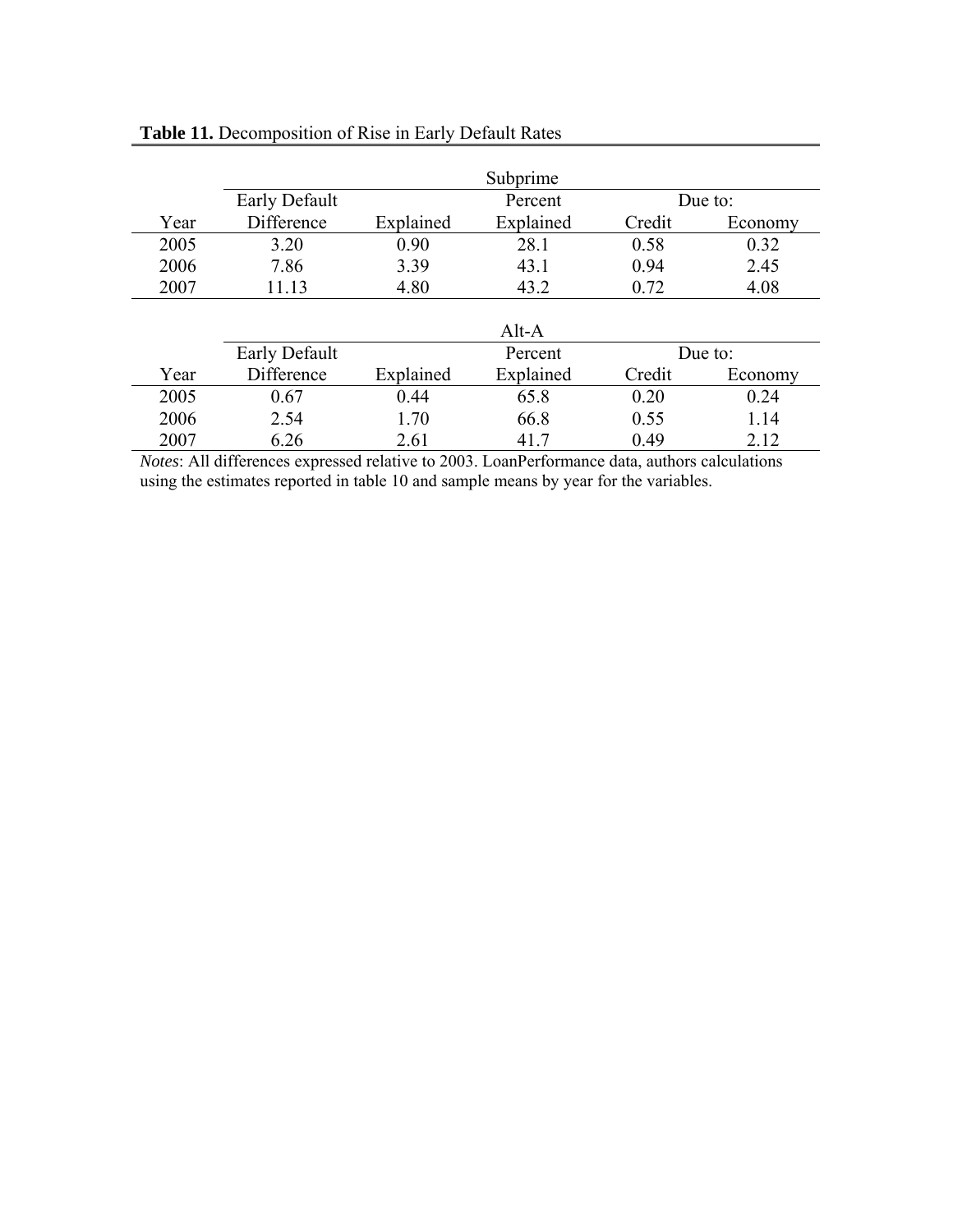| Subprime |                      |           |                    |         |         |  |
|----------|----------------------|-----------|--------------------|---------|---------|--|
|          | Early Default        |           | Percent<br>Due to: |         |         |  |
| Year     | Difference           | Explained | Explained          | Credit  | Economy |  |
| 2005     | 3.20                 | 0.90      | 28.1               | 0.58    | 0.32    |  |
| 2006     | 7.86                 | 3.39      | 43.1               | 0.94    | 2.45    |  |
| 2007     | 11.13                | 4.80      | 43.2               | 0.72    | 4.08    |  |
|          |                      |           |                    |         |         |  |
|          | Alt-A                |           |                    |         |         |  |
|          | <b>Early Default</b> |           | Percent            | Due to: |         |  |
| Year     | Difference           | Explained | Explained          | Credit  | Economy |  |
| 2005     | 0.67                 | 0.44      | 65.8               | 0.20    | 0.24    |  |
| 2006     | 2.54                 | 1.70      | 66.8               | 0.55    | 1.14    |  |
| 2007     | 6.26                 | 2.61      | 41.7               | 0.49    | 2.12    |  |

|  |  | <b>Table 11.</b> Decomposition of Rise in Early Default Rates |
|--|--|---------------------------------------------------------------|
|  |  |                                                               |

*Notes*: All differences expressed relative to 2003. LoanPerformance data, authors calculations using the estimates reported in table 10 and sample means by year for the variables.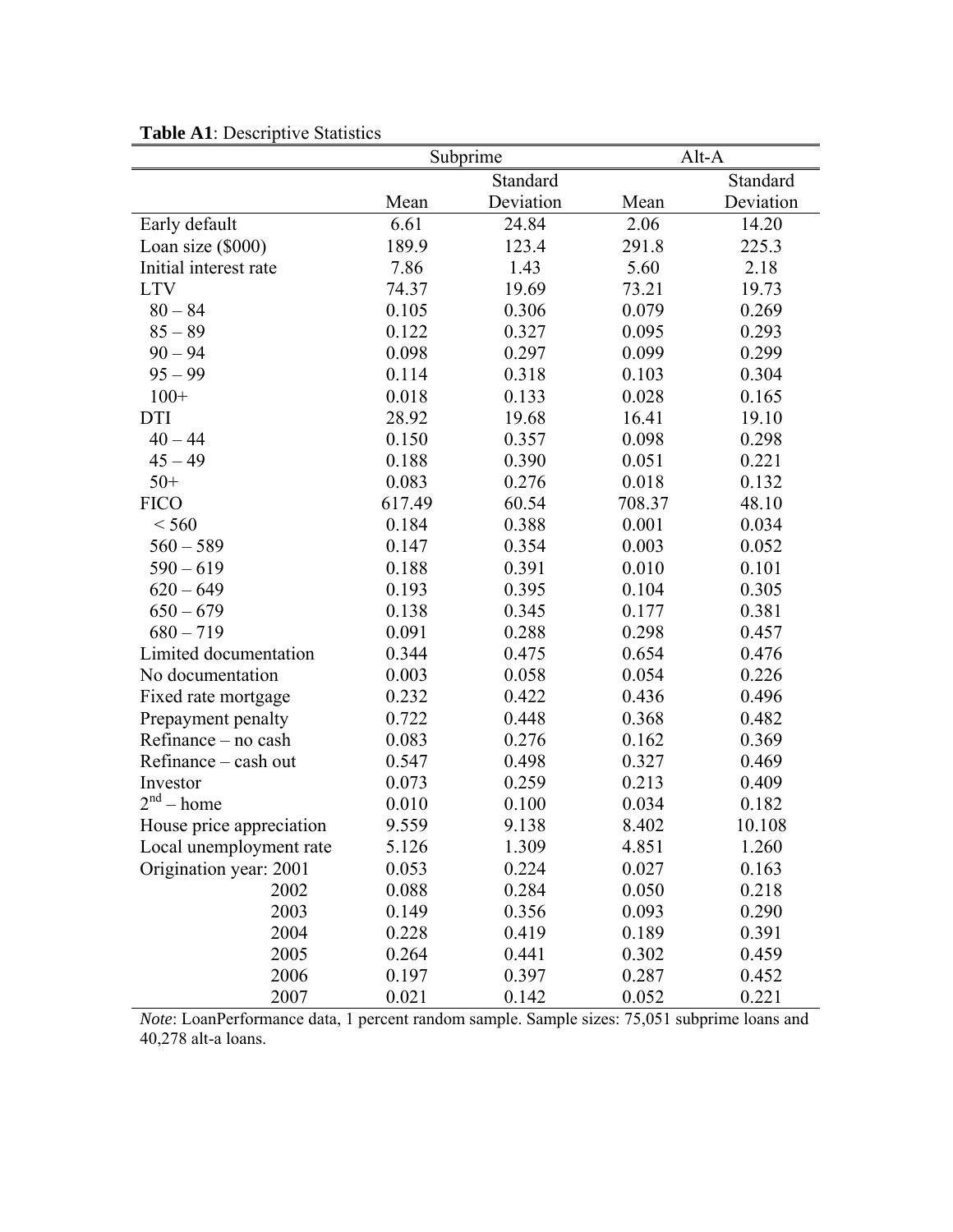|                          | Subprime |           | Alt-A  |           |  |
|--------------------------|----------|-----------|--------|-----------|--|
|                          |          | Standard  |        | Standard  |  |
|                          | Mean     | Deviation | Mean   | Deviation |  |
| Early default            | 6.61     | 24.84     | 2.06   | 14.20     |  |
| Loan size $(\$000)$      | 189.9    | 123.4     | 291.8  | 225.3     |  |
| Initial interest rate    | 7.86     | 1.43      | 5.60   | 2.18      |  |
| <b>LTV</b>               | 74.37    | 19.69     | 73.21  | 19.73     |  |
| $80 - 84$                | 0.105    | 0.306     | 0.079  | 0.269     |  |
| $85 - 89$                | 0.122    | 0.327     | 0.095  | 0.293     |  |
| $90 - 94$                | 0.098    | 0.297     | 0.099  | 0.299     |  |
| $95 - 99$                | 0.114    | 0.318     | 0.103  | 0.304     |  |
| $100+$                   | 0.018    | 0.133     | 0.028  | 0.165     |  |
| <b>DTI</b>               | 28.92    | 19.68     | 16.41  | 19.10     |  |
| $40 - 44$                | 0.150    | 0.357     | 0.098  | 0.298     |  |
| $45 - 49$                | 0.188    | 0.390     | 0.051  | 0.221     |  |
| $50+$                    | 0.083    | 0.276     | 0.018  | 0.132     |  |
| <b>FICO</b>              | 617.49   | 60.54     | 708.37 | 48.10     |  |
| < 560                    | 0.184    | 0.388     | 0.001  | 0.034     |  |
| $560 - 589$              | 0.147    | 0.354     | 0.003  | 0.052     |  |
| $590 - 619$              | 0.188    | 0.391     | 0.010  | 0.101     |  |
| $620 - 649$              | 0.193    | 0.395     | 0.104  | 0.305     |  |
| $650 - 679$              | 0.138    | 0.345     | 0.177  | 0.381     |  |
| $680 - 719$              | 0.091    | 0.288     | 0.298  | 0.457     |  |
| Limited documentation    | 0.344    | 0.475     | 0.654  | 0.476     |  |
| No documentation         | 0.003    | 0.058     | 0.054  | 0.226     |  |
| Fixed rate mortgage      | 0.232    | 0.422     | 0.436  | 0.496     |  |
| Prepayment penalty       | 0.722    | 0.448     | 0.368  | 0.482     |  |
| Refinance – no cash      | 0.083    | 0.276     | 0.162  | 0.369     |  |
| Refinance – cash out     | 0.547    | 0.498     | 0.327  | 0.469     |  |
| Investor                 | 0.073    | 0.259     | 0.213  | 0.409     |  |
| $2nd$ – home             | 0.010    | 0.100     | 0.034  | 0.182     |  |
| House price appreciation | 9.559    | 9.138     | 8.402  | 10.108    |  |
| Local unemployment rate  | 5.126    | 1.309     | 4.851  | 1.260     |  |
| Origination year: 2001   | 0.053    | 0.224     | 0.027  | 0.163     |  |
| 2002                     | 0.088    | 0.284     | 0.050  | 0.218     |  |
| 2003                     | 0.149    | 0.356     | 0.093  | 0.290     |  |
| 2004                     | 0.228    | 0.419     | 0.189  | 0.391     |  |
| 2005                     | 0.264    | 0.441     | 0.302  | 0.459     |  |
| 2006                     | 0.197    | 0.397     | 0.287  | 0.452     |  |
| 2007                     | 0.021    | 0.142     | 0.052  | 0.221     |  |

**Table A1**: Descriptive Statistics

*Note*: LoanPerformance data, 1 percent random sample. Sample sizes: 75,051 subprime loans and 40,278 alt-a loans.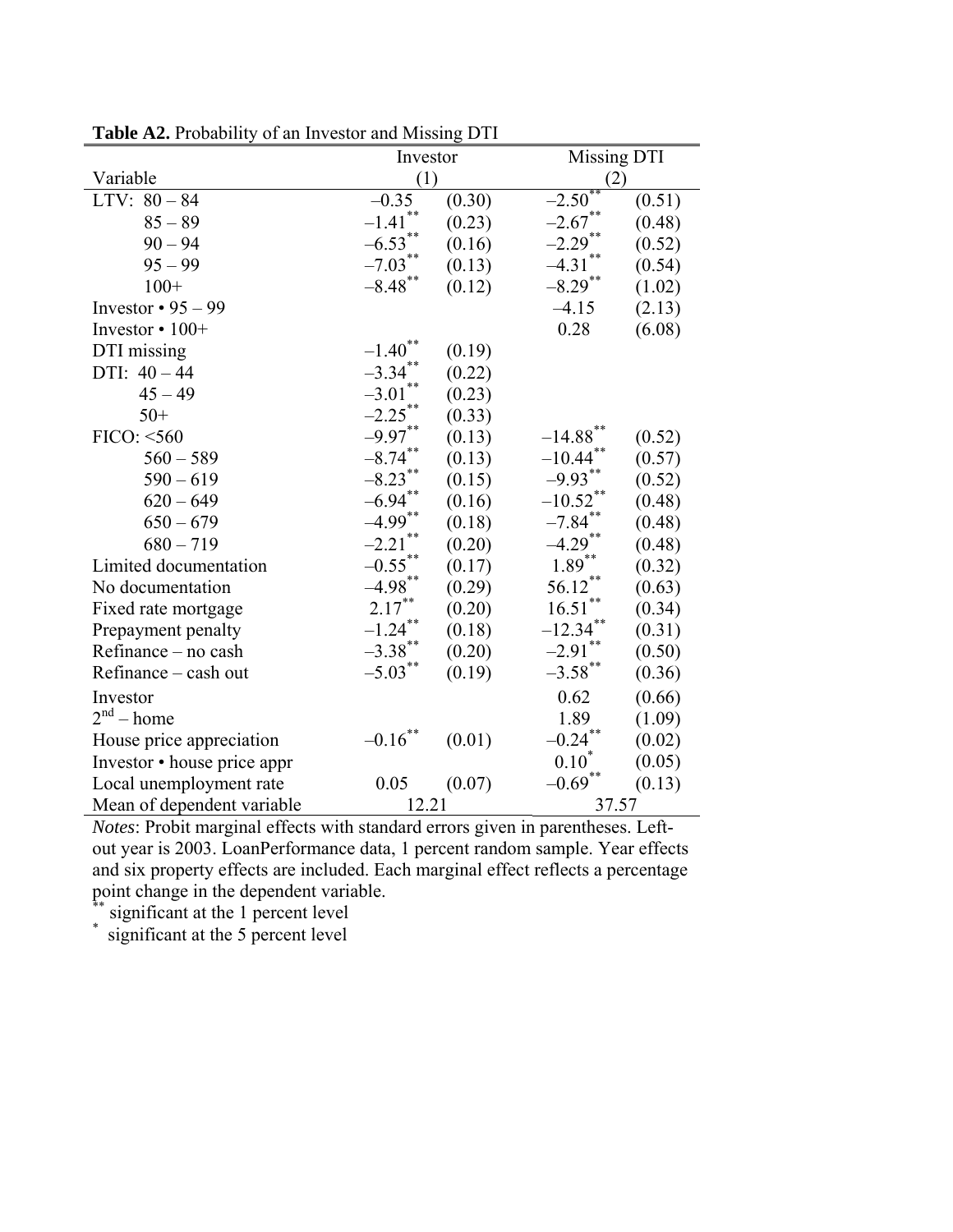|                             | Investor                                                 |        | Missing DTI            |        |  |
|-----------------------------|----------------------------------------------------------|--------|------------------------|--------|--|
| Variable                    | (1)                                                      |        | (2)                    |        |  |
| $LTV: 80 - 84$              | $-0.35$                                                  | (0.30) | $-2.50$                | (0.51) |  |
| $85 - 89$                   | $-1.41$ <sup>**</sup>                                    | (0.23) | $-2.67$ <sup>**</sup>  | (0.48) |  |
| $90 - 94$                   | $-6.53$ **                                               | (0.16) | $-2.29$ <sup>**</sup>  | (0.52) |  |
| $95 - 99$                   | $-7.03$ <sup>**</sup>                                    | (0.13) | $-4.31$ **             | (0.54) |  |
| $100+$                      | $-8.48$ **                                               | (0.12) | $-8.29$ **             | (1.02) |  |
| Investor $\cdot$ 95 - 99    |                                                          |        | $-4.15$                | (2.13) |  |
| Investor • 100+             |                                                          |        | 0.28                   | (6.08) |  |
| DTI missing                 | $-1.40$ <sup>**</sup>                                    | (0.19) |                        |        |  |
| DTI: $40 - 44$              | $-3.34$ **                                               | (0.22) |                        |        |  |
| $45 - 49$                   | $-3.01$ **                                               | (0.23) |                        |        |  |
| $50+$                       | $-2.25$ **                                               | (0.33) |                        |        |  |
| FICO: <560                  | $-9.97***$                                               | (0.13) | $-14.88$ <sup>**</sup> | (0.52) |  |
| $560 - 589$                 | $-8.74$ **                                               | (0.13) | $-10.44$ **            | (0.57) |  |
| $590 - 619$                 | $-8.23$ **                                               | (0.15) | $-9.93$ <sup>**</sup>  | (0.52) |  |
| $620 - 649$                 | $-6.94$ **                                               | (0.16) | $-10.52$ **            | (0.48) |  |
| $650 - 679$                 | $-4.99$ <sup>**</sup>                                    | (0.18) | $-7.84$ **             | (0.48) |  |
| $680 - 719$                 | $-2.21$ <sup>**</sup>                                    | (0.20) | $-4.29$ <sup>**</sup>  | (0.48) |  |
| Limited documentation       | $-0.55$ **                                               | (0.17) | $1.89***$              | (0.32) |  |
| No documentation            | $-4.98$ **                                               | (0.29) | $56.12$ **             | (0.63) |  |
| Fixed rate mortgage         |                                                          | (0.20) | $16.51***$             | (0.34) |  |
| Prepayment penalty          | $2.17^{*}$<br>-1.24 <sup>**</sup><br>-3.38 <sup>**</sup> | (0.18) | $-12.34$ **            | (0.31) |  |
| Refinance – no cash         |                                                          | (0.20) | $-2.91$ **             | (0.50) |  |
| Refinance – cash out        | $-5.03$ **                                               | (0.19) | $-3.58$ <sup>**</sup>  | (0.36) |  |
| Investor                    |                                                          |        | 0.62                   | (0.66) |  |
| $2nd$ – home                |                                                          |        | 1.89                   | (1.09) |  |
| House price appreciation    | $-0.16$                                                  | (0.01) | $-0.24$ <sup>**</sup>  | (0.02) |  |
| Investor • house price appr |                                                          |        | $0.10*$                | (0.05) |  |
| Local unemployment rate     | 0.05                                                     | (0.07) | $-0.69$ **             | (0.13) |  |
| Mean of dependent variable  | 12.21                                                    |        | 37.57                  |        |  |

**Table A2.** Probability of an Investor and Missing DTI

*Notes*: Probit marginal effects with standard errors given in parentheses. Leftout year is 2003. LoanPerformance data, 1 percent random sample. Year effects and six property effects are included. Each marginal effect reflects a percentage point change in the dependent variable.

\*\* significant at the 1 percent level<br>\* significant at the 5 percent level